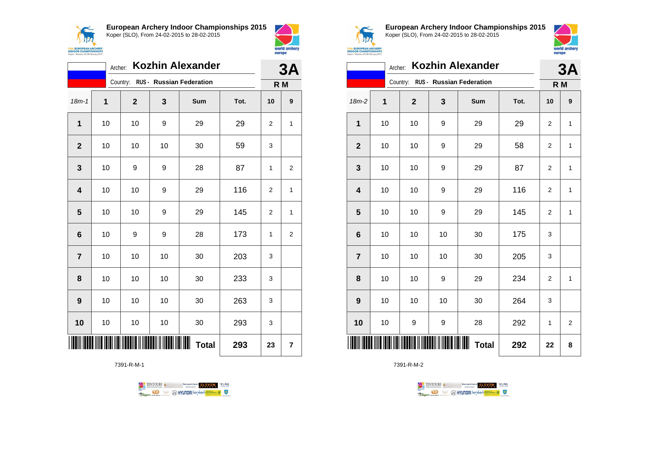



|                          | <b>Kozhin Alexander</b><br>Archer: |             |    |                                   |      |                |                  |  |
|--------------------------|------------------------------------|-------------|----|-----------------------------------|------|----------------|------------------|--|
|                          |                                    |             |    | Country: RUS - Russian Federation |      | R <sub>M</sub> |                  |  |
| $18m - 1$                | 1                                  | $\mathbf 2$ | 3  | Sum                               | Tot. | 10             | $\boldsymbol{9}$ |  |
| 1                        | 10                                 | 10          | 9  | 29                                | 29   | 2              | 1                |  |
| $\overline{2}$           | 10                                 | 10          | 10 | 30                                | 59   | 3              |                  |  |
| 3                        | 10                                 | 9           | 9  | 28                                | 87   | 1              | 2                |  |
| $\overline{\mathbf{4}}$  | 10                                 | 10          | 9  | 29                                | 116  | 2              | 1                |  |
| 5                        | 10                                 | 10          | 9  | 29                                | 145  | 2              | $\mathbf{1}$     |  |
| 6                        | 10                                 | 9           | 9  | 28                                | 173  | 1              | $\overline{2}$   |  |
| $\overline{7}$           | 10                                 | 10          | 10 | 30                                | 203  | 3              |                  |  |
| 8                        | 10                                 | 10          | 10 | 30                                | 233  | 3              |                  |  |
| 9                        | 10                                 | 10          | 10 | 30                                | 263  | 3              |                  |  |
| 10                       | 10                                 | 10          | 10 | 30                                | 293  | 3              |                  |  |
| Ш<br><b>Total</b><br>293 |                                    |             |    |                                   |      | 23             | 7                |  |

7391-R-M-1





**European Archery Indoor Championships 2015** Koper (SLO), From 24-02-2015 to 28-02-2015



|                | <b>Kozhin Alexander</b><br>Archer: |  |              |    |                                   |      |                |                |
|----------------|------------------------------------|--|--------------|----|-----------------------------------|------|----------------|----------------|
|                |                                    |  |              |    | Country: RUS - Russian Federation |      | R M            |                |
| 18m-2          | 1                                  |  | $\mathbf{2}$ | 3  | Sum                               | Tot. | 10             | 9              |
| 1              | 10                                 |  | 10           | 9  | 29                                | 29   | 2              | $\mathbf{1}$   |
| $\mathbf{2}$   | 10                                 |  | 10           | 9  | 29                                | 58   | 2              | $\mathbf{1}$   |
| 3              | 10                                 |  | 10           | 9  | 29                                | 87   | $\overline{c}$ | $\mathbf{1}$   |
| 4              | 10                                 |  | 10           | 9  | 29                                | 116  | $\overline{2}$ | $\mathbf{1}$   |
| 5              | 10                                 |  | 10           | 9  | 29                                | 145  | 2              | $\mathbf{1}$   |
| 6              | 10                                 |  | 10           | 10 | 30                                | 175  | 3              |                |
| $\overline{7}$ | 10                                 |  | 10           | 10 | 30                                | 205  | 3              |                |
| 8              | 10                                 |  | 10           | 9  | 29                                | 234  | 2              | $\mathbf{1}$   |
| 9              | 10                                 |  | 10           | 10 | 30                                | 264  | 3              |                |
| 10             | 10                                 |  | 9            | 9  | 28                                | 292  | 1              | $\overline{2}$ |
|                |                                    |  |              |    | Ⅲ<br><b>Total</b>                 | 292  | 22             | 8              |

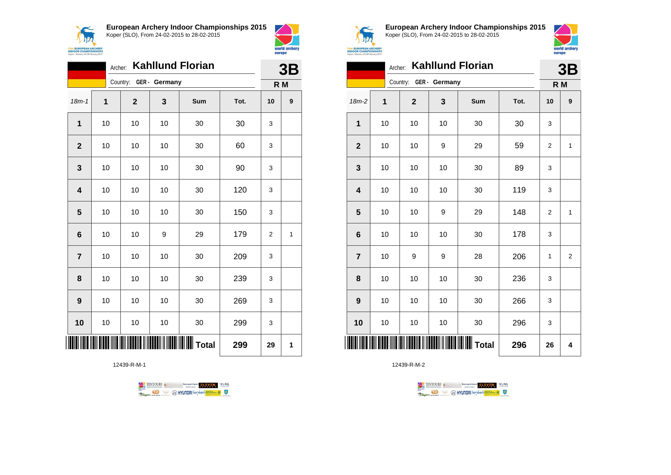



|                         | 3B |              |                        |     |      |                |             |
|-------------------------|----|--------------|------------------------|-----|------|----------------|-------------|
|                         |    |              | Country: GER - Germany |     |      | R <sub>M</sub> |             |
| $18m - 1$               | 1  | $\mathbf{2}$ | 3                      | Sum | Tot. | 10             | 9           |
| $\overline{1}$          | 10 | 10           | 10                     | 30  | 30   | 3              |             |
| $\mathbf{2}$            | 10 | 10           | 10                     | 30  | 60   | 3              |             |
| 3                       | 10 | 10           | 10                     | 30  | 90   | 3              |             |
| $\overline{\mathbf{4}}$ | 10 | 10           | 10                     | 30  | 120  | 3              |             |
| 5                       | 10 | 10           | 10                     | 30  | 150  | 3              |             |
| $6\phantom{1}$          | 10 | 10           | 9                      | 29  | 179  | 2              | $\mathbf 1$ |
| $\overline{7}$          | 10 | 10           | 10                     | 30  | 209  | 3              |             |
| 8                       | 10 | 10           | 10                     | 30  | 239  | 3              |             |
| 9                       | 10 | 10           | 10                     | 30  | 269  | 3              |             |
| 10                      | 10 | 10           | 10                     | 30  | 299  | 3              |             |
|                         |    |              |                        |     | 299  | 29             | 1           |

12439-R-M-1





world archery

europe

**European Archery Indoor Championships 2015** Koper (SLO), From 24-02-2015 to 28-02-2015



|                         | <b>Kahllund Florian</b><br>Archer: |             |    |     |      |    |                         |
|-------------------------|------------------------------------|-------------|----|-----|------|----|-------------------------|
|                         | Country: GER - Germany             |             |    |     | R M  |    |                         |
| 18m-2                   | $\mathbf 1$                        | $\mathbf 2$ | 3  | Sum | Tot. | 10 | 9                       |
| 1                       | 10                                 | 10          | 10 | 30  | 30   | 3  |                         |
| $\mathbf{2}$            | 10                                 | 10          | 9  | 29  | 59   | 2  | 1                       |
| 3                       | 10                                 | 10          | 10 | 30  | 89   | 3  |                         |
| $\overline{\mathbf{4}}$ | 10                                 | 10          | 10 | 30  | 119  | 3  |                         |
| 5                       | 10                                 | 10          | 9  | 29  | 148  | 2  | 1                       |
| $6\phantom{1}6$         | 10                                 | 10          | 10 | 30  | 178  | 3  |                         |
| $\overline{7}$          | 10                                 | 9           | 9  | 28  | 206  | 1  | $\overline{\mathbf{c}}$ |
| 8                       | 10                                 | 10          | 10 | 30  | 236  | 3  |                         |
| 9                       | 10                                 | 10          | 10 | 30  | 266  | 3  |                         |
| 10                      | 10                                 | 10          | 10 | 30  | 296  | 3  |                         |
|                         |                                    |             |    |     | 296  | 26 | 4                       |

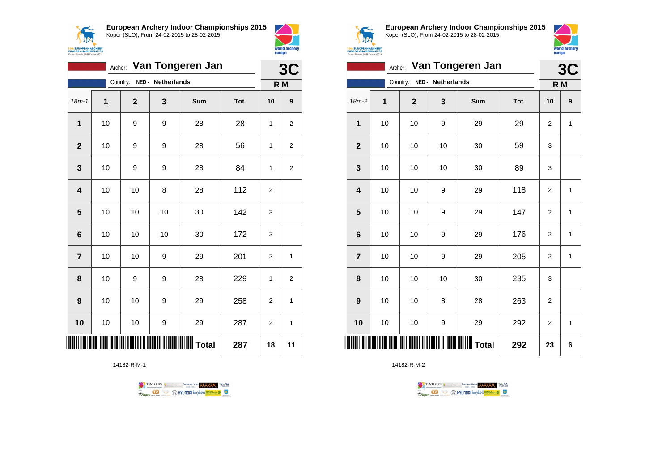



| Van Tongeren Jan<br>Archer: |    |                            |    |                     |      |                | 3C               |  |
|-----------------------------|----|----------------------------|----|---------------------|------|----------------|------------------|--|
|                             |    | Country: NED - Netherlands |    |                     |      | R M            |                  |  |
| $18m - 1$                   | 1  | $\mathbf{2}$               | 3  | Sum                 | Tot. | 10             | $\boldsymbol{9}$ |  |
| 1                           | 10 | 9                          | 9  | 28                  | 28   | 1              | $\overline{2}$   |  |
| $\overline{\mathbf{2}}$     | 10 | 9                          | 9  | 28                  | 56   | 1              | $\overline{2}$   |  |
| 3                           | 10 | 9                          | 9  | 28                  | 84   | 1              | 2                |  |
| $\overline{\mathbf{4}}$     | 10 | 10                         | 8  | 28                  | 112  | $\overline{2}$ |                  |  |
| 5                           | 10 | 10                         | 10 | 30                  | 142  | 3              |                  |  |
| 6                           | 10 | 10                         | 10 | 30                  | 172  | 3              |                  |  |
| $\overline{\mathbf{r}}$     | 10 | 10                         | 9  | 29                  | 201  | $\overline{2}$ | 1                |  |
| 8                           | 10 | 9                          | 9  | 28                  | 229  | 1              | 2                |  |
| 9                           | 10 | 10                         | 9  | 29                  | 258  | $\overline{2}$ | 1                |  |
| 10                          | 10 | 10                         | 9  | 29                  | 287  | $\overline{2}$ | 1                |  |
|                             |    |                            |    | $\  \  \  \ $ Total | 287  | 18             | 11               |  |

14182-R-M-1





**European Archery Indoor Championships 2015** Koper (SLO), From 24-02-2015 to 28-02-2015



| Van Tongeren Jan<br>Archer: |             |             |                   |     |      |                | 3C           |
|-----------------------------|-------------|-------------|-------------------|-----|------|----------------|--------------|
|                             |             | Country:    | NED - Netherlands |     |      | R M            |              |
| $18m-2$                     | $\mathbf 1$ | $\mathbf 2$ | 3                 | Sum | Tot. | 10             | 9            |
| 1                           | 10          | 10          | 9                 | 29  | 29   | $\overline{2}$ | $\mathbf{1}$ |
| $\overline{2}$              | 10          | 10          | 10                | 30  | 59   | 3              |              |
| 3                           | 10          | 10          | 10                | 30  | 89   | 3              |              |
| $\overline{\mathbf{4}}$     | 10          | 10          | 9                 | 29  | 118  | $\overline{2}$ | $\mathbf{1}$ |
| 5                           | 10          | 10          | 9                 | 29  | 147  | $\overline{2}$ | $\mathbf{1}$ |
| $6\phantom{1}6$             | 10          | 10          | 9                 | 29  | 176  | $\overline{2}$ | $\mathbf{1}$ |
| $\overline{7}$              | 10          | 10          | 9                 | 29  | 205  | $\overline{2}$ | $\mathbf{1}$ |
| 8                           | 10          | 10          | 10                | 30  | 235  | 3              |              |
| 9                           | 10          | 10          | 8                 | 28  | 263  | 2              |              |
| 10                          | 10          | 10          | 9                 | 29  | 292  | 2              | 1            |
|                             |             |             |                   |     | 292  | 23             | 6            |

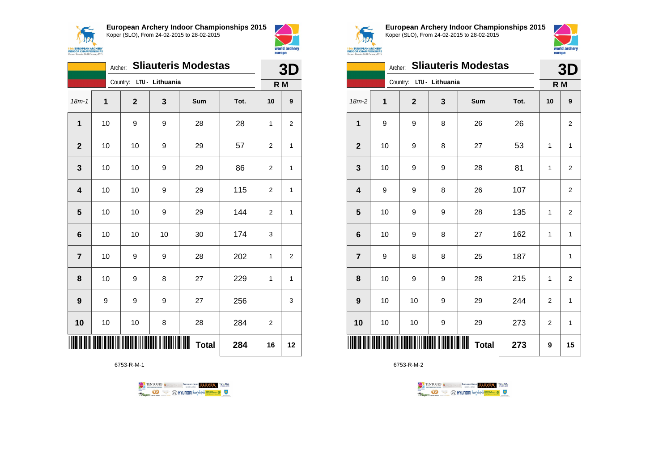



|                         | <b>Sliauteris Modestas</b><br>Archer: |              |                          |              |      |                |                  |
|-------------------------|---------------------------------------|--------------|--------------------------|--------------|------|----------------|------------------|
|                         |                                       | Country:     | LTU - Lithuania          |              |      | R M            |                  |
| $18m - 1$               | 1                                     | $\mathbf{2}$ | 3                        | Sum          | Tot. | 10             | $\boldsymbol{9}$ |
| $\mathbf{1}$            | 10                                    | 9            | 9                        | 28           | 28   | 1              | $\overline{2}$   |
| $\overline{2}$          | 10                                    | 10           | 9                        | 29           | 57   | 2              | 1                |
| 3                       | 10                                    | 10           | 9                        | 29           | 86   | 2              | 1                |
| $\overline{\mathbf{4}}$ | 10                                    | 10           | 9                        | 29           | 115  | $\overline{2}$ | 1                |
| 5                       | 10                                    | 10           | 9                        | 29           | 144  | $\overline{2}$ | 1                |
| 6                       | 10                                    | 10           | 10                       | 30           | 174  | 3              |                  |
| $\overline{7}$          | 10                                    | 9            | 9                        | 28           | 202  | 1              | 2                |
| 8                       | 10                                    | 9            | 8                        | 27           | 229  | 1              | 1                |
| 9                       | 9                                     | 9            | 9                        | 27           | 256  |                | 3                |
| 10                      | 10                                    | 10           | 8                        | 28           | 284  | 2              |                  |
|                         |                                       |              | <b>TENNING PARAMETER</b> | <b>Total</b> | 284  | 16             | 12               |

6753-R-M-1





**European Archery Indoor Championships 2015** Koper (SLO), From 24-02-2015 to 28-02-2015



|                  | 3D |                          |   |                   |      |                |                |
|------------------|----|--------------------------|---|-------------------|------|----------------|----------------|
|                  |    | Country: LTU - Lithuania |   |                   |      |                | R M            |
| 18m-2            | 1  | $\mathbf{2}$             | 3 | Sum               | Tot. | 10             | 9              |
| 1                | 9  | 9                        | 8 | 26                | 26   |                | $\overline{2}$ |
| $\mathbf 2$      | 10 | 9                        | 8 | 27                | 53   | 1              | $\mathbf{1}$   |
| 3                | 10 | 9                        | 9 | 28                | 81   | 1              | $\overline{2}$ |
| 4                | 9  | 9                        | 8 | 26                | 107  |                | 2              |
| 5                | 10 | 9                        | 9 | 28                | 135  | 1              | $\overline{c}$ |
| 6                | 10 | 9                        | 8 | 27                | 162  | 1              | $\mathbf{1}$   |
| $\overline{7}$   | 9  | 8                        | 8 | 25                | 187  |                | $\mathbf{1}$   |
| 8                | 10 | 9                        | 9 | 28                | 215  | 1              | 2              |
| $\boldsymbol{9}$ | 10 | 10                       | 9 | 29                | 244  | $\overline{2}$ | $\mathbf{1}$   |
| 10               | 10 | 10                       | 9 | 29                | 273  | 2              | $\mathbf{1}$   |
|                  |    |                          |   | ┉<br><b>Total</b> | 273  | 9              | 15             |

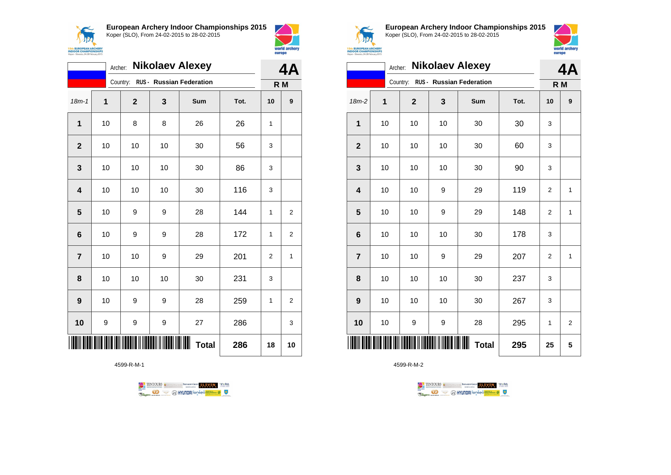



|                | <b>Nikolaev Alexey</b><br>Archer: |              |    |                                   |      |                |                  |  |
|----------------|-----------------------------------|--------------|----|-----------------------------------|------|----------------|------------------|--|
|                |                                   |              |    | Country: RUS - Russian Federation |      | R M            |                  |  |
| $18m - 1$      | 1                                 | $\mathbf{2}$ | 3  | Sum                               | Tot. | 10             | $\boldsymbol{9}$ |  |
| 1              | 10                                | 8            | 8  | 26                                | 26   | 1              |                  |  |
| $\overline{2}$ | 10                                | 10           | 10 | 30                                | 56   | 3              |                  |  |
| 3              | 10                                | 10           | 10 | 30                                | 86   | 3              |                  |  |
| 4              | 10                                | 10           | 10 | 30                                | 116  | 3              |                  |  |
| 5              | 10                                | 9            | 9  | 28                                | 144  | 1              | $\overline{2}$   |  |
| 6              | 10                                | 9            | 9  | 28                                | 172  | 1              | $\overline{2}$   |  |
| $\overline{7}$ | 10                                | 10           | 9  | 29                                | 201  | $\overline{2}$ | 1                |  |
| 8              | 10                                | 10           | 10 | 30                                | 231  | 3              |                  |  |
| 9              | 10                                | 9            | 9  | 28                                | 259  | 1              | $\overline{2}$   |  |
| 10             | 9                                 | 9            | 9  | 27                                | 286  |                | 3                |  |
|                |                                   |              |    | Ш<br><b>Total</b>                 | 286  | 18             | 10               |  |

4599-R-M-1





**European Archery Indoor Championships 2015** Koper (SLO), From 24-02-2015 to 28-02-2015



|                         | <b>Nikolaev Alexey</b><br>Archer: |              |    |                          |      |                |                |  |
|-------------------------|-----------------------------------|--------------|----|--------------------------|------|----------------|----------------|--|
|                         |                                   | Country:     |    | RUS - Russian Federation |      | R M            |                |  |
| 18m-2                   | 1                                 | $\mathbf{2}$ | 3  | Sum                      | Tot. | 10             | 9              |  |
| 1                       | 10                                | 10           | 10 | 30                       | 30   | 3              |                |  |
| $\mathbf{2}$            | 10                                | 10           | 10 | 30                       | 60   | 3              |                |  |
| 3                       | 10                                | 10           | 10 | 30                       | 90   | 3              |                |  |
| $\overline{\mathbf{4}}$ | 10                                | 10           | 9  | 29                       | 119  | $\overline{2}$ | $\mathbf{1}$   |  |
| 5                       | 10                                | 10           | 9  | 29                       | 148  | $\overline{2}$ | 1              |  |
| $6\phantom{1}6$         | 10                                | 10           | 10 | 30                       | 178  | 3              |                |  |
| $\overline{\mathbf{r}}$ | 10                                | 10           | 9  | 29                       | 207  | 2              | 1              |  |
| 8                       | 10                                | 10           | 10 | 30                       | 237  | 3              |                |  |
| 9                       | 10                                | 10           | 10 | 30                       | 267  | 3              |                |  |
| 10                      | 10                                | 9            | 9  | 28                       | 295  | 1              | $\overline{2}$ |  |
|                         |                                   |              |    | ┉<br><b>Total</b>        | 295  | 25             | 5              |  |

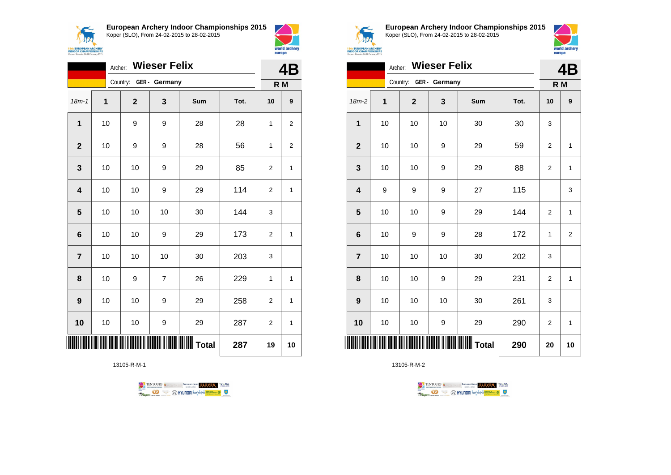



world archery

world are

|                         | <b>Wieser Felix</b><br>Archer: |              |                |                   |      |                |                  |  |
|-------------------------|--------------------------------|--------------|----------------|-------------------|------|----------------|------------------|--|
|                         | Country: GER - Germany         |              |                |                   | R M  |                |                  |  |
| $18m - 1$               | 1                              | $\mathbf{2}$ | 3              | Sum               | Tot. | 10             | $\boldsymbol{9}$ |  |
| 1                       | 10                             | 9            | 9              | 28                | 28   | 1              | 2                |  |
| $\mathbf{2}$            | 10                             | 9            | 9              | 28                | 56   | 1              | 2                |  |
| $\mathbf{3}$            | 10                             | 10           | 9              | 29                | 85   | 2              | 1                |  |
| $\overline{\mathbf{4}}$ | 10                             | 10           | 9              | 29                | 114  | 2              | 1                |  |
| 5                       | 10                             | 10           | 10             | 30                | 144  | 3              |                  |  |
| $6\phantom{1}6$         | 10                             | 10           | 9              | 29                | 173  | $\overline{2}$ | $\mathbf{1}$     |  |
| $\overline{7}$          | 10                             | 10           | 10             | 30                | 203  | 3              |                  |  |
| 8                       | 10                             | 9            | $\overline{7}$ | 26                | 229  | $\mathbf{1}$   | 1                |  |
| 9                       | 10                             | 10           | 9              | 29                | 258  | $\overline{2}$ | $\mathbf{1}$     |  |
| 10                      | 10                             | 10           | 9              | 29                | 287  | $\overline{2}$ | $\mathbf{1}$     |  |
|                         |                                |              |                | <b>WIII</b> Total | 287  | 19             | 10               |  |

13105-R-M-1





**European Archery Indoor Championships 2015** Koper (SLO), From 24-02-2015 to 28-02-2015



|                         | Archer: Wieser Felix |                        |    |                          |      |                |                         |  |
|-------------------------|----------------------|------------------------|----|--------------------------|------|----------------|-------------------------|--|
|                         |                      | Country: GER - Germany |    |                          |      | R M            |                         |  |
| $18m-2$                 | $\mathbf 1$          | $\mathbf 2$            | 3  | Sum                      | Tot. | 10             | 9                       |  |
| $\mathbf 1$             | 10                   | 10                     | 10 | 30                       | 30   | 3              |                         |  |
| $\mathbf{2}$            | 10                   | 10                     | 9  | 29                       | 59   | $\overline{c}$ | 1                       |  |
| 3                       | 10                   | 10                     | 9  | 29                       | 88   | $\mathbf{2}$   | $\mathbf{1}$            |  |
| $\overline{\mathbf{4}}$ | 9                    | 9                      | 9  | 27                       | 115  |                | 3                       |  |
| 5                       | 10                   | 10                     | 9  | 29                       | 144  | $\overline{2}$ | $\mathbf{1}$            |  |
| $6\phantom{1}6$         | 10                   | 9                      | 9  | 28                       | 172  | 1              | $\overline{\mathbf{c}}$ |  |
| $\overline{7}$          | 10                   | 10                     | 10 | 30                       | 202  | 3              |                         |  |
| 8                       | 10                   | 10                     | 9  | 29                       | 231  | 2              | 1                       |  |
| 9                       | 10                   | 10                     | 10 | 30                       | 261  | 3              |                         |  |
| 10                      | 10                   | 10                     | 9  | 29                       | 290  | 2              | 1                       |  |
| ║║                      |                      |                        |    | <b>           </b> Total | 290  | 20             | 10                      |  |

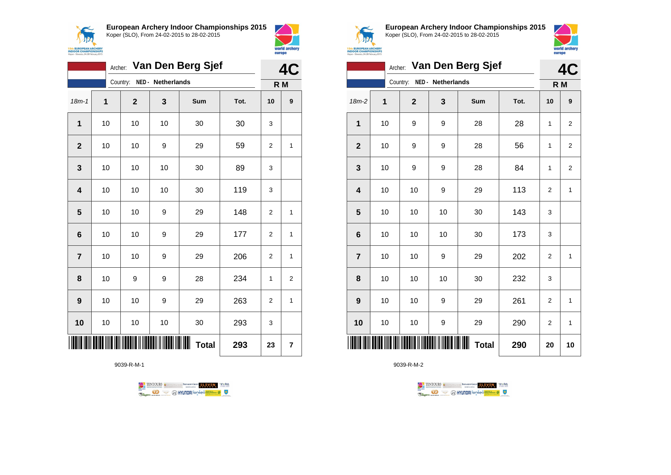



world archery

europe

|                         | Archer: Van Den Berg Sjef |              |                   |              |      |                |                  |  |
|-------------------------|---------------------------|--------------|-------------------|--------------|------|----------------|------------------|--|
|                         |                           | Country:     | NED - Netherlands |              |      | R M            |                  |  |
| $18m - 1$               | $\mathbf{1}$              | $\mathbf{2}$ | 3                 | Sum          | Tot. | 10             | $\boldsymbol{9}$ |  |
| $\mathbf{1}$            | 10                        | 10           | 10                | 30           | 30   | 3              |                  |  |
| $\overline{2}$          | 10                        | 10           | 9                 | 29           | 59   | 2              | $\mathbf 1$      |  |
| 3                       | 10                        | $10$         | 10                | 30           | 89   | 3              |                  |  |
| $\overline{\mathbf{4}}$ | 10                        | 10           | 10                | 30           | 119  | 3              |                  |  |
| 5                       | 10                        | 10           | 9                 | 29           | 148  | 2              | $\mathbf{1}$     |  |
| $6\phantom{1}$          | 10                        | 10           | 9                 | 29           | 177  | $\overline{2}$ | 1                |  |
| $\overline{7}$          | 10                        | 10           | 9                 | 29           | 206  | 2              | 1                |  |
| 8                       | 10                        | 9            | 9                 | 28           | 234  | 1              | 2                |  |
| 9                       | 10                        | 10           | 9                 | 29           | 263  | $\overline{2}$ | 1                |  |
| 10                      | 10                        | 10           | 10                | 30           | 293  | 3              |                  |  |
|                         |                           |              |                   | <b>Total</b> | 293  | 23             | 7                |  |

9039-R-M-1





**European Archery Indoor Championships 2015** Koper (SLO), From 24-02-2015 to 28-02-2015



|                         |    | Archer: Van Den Berg Sjef |                | 4C  |                   |      |                |                |
|-------------------------|----|---------------------------|----------------|-----|-------------------|------|----------------|----------------|
|                         |    | Country:                  |                | R M |                   |      |                |                |
| $18m-2$                 | 1  |                           | $\overline{2}$ | 3   | Sum               | Tot. | 10             | 9              |
| $\mathbf{1}$            | 10 |                           | 9              | 9   | 28                | 28   | 1              | $\overline{2}$ |
| $\mathbf{2}$            | 10 |                           | 9              | 9   | 28                | 56   | 1              | $\overline{2}$ |
| $\mathbf{3}$            | 10 |                           | 9              | 9   | 28                | 84   | 1              | $\overline{2}$ |
| $\overline{\mathbf{4}}$ | 10 |                           | 10             | 9   | 29                | 113  | $\overline{2}$ | $\mathbf{1}$   |
| $\overline{\mathbf{5}}$ | 10 |                           | 10             | 10  | 30                | 143  | 3              |                |
| $\bf 6$                 | 10 |                           | 10             | 10  | 30                | 173  | 3              |                |
| $\overline{7}$          | 10 |                           | 10             | 9   | 29                | 202  | $\overline{2}$ | $\mathbf{1}$   |
| 8                       | 10 |                           | 10             | 10  | 30                | 232  | 3              |                |
| 9                       | 10 |                           | 10             | 9   | 29                | 261  | $\overline{2}$ | $\mathbf{1}$   |
| 10                      | 10 |                           | 10             | 9   | 29                | 290  | $\overline{2}$ | $\mathbf{1}$   |
|                         |    |                           |                |     | Ш<br><b>Total</b> | 290  | 20             | 10             |

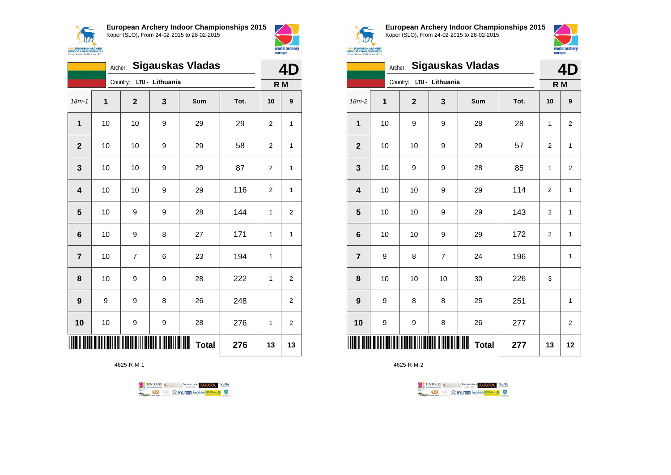



|                         | <b>Sigauskas Vladas</b><br>Archer: |                |                              |              |      |                |                  |
|-------------------------|------------------------------------|----------------|------------------------------|--------------|------|----------------|------------------|
|                         |                                    | Country:       | LTU - Lithuania              |              |      | R M            |                  |
| $18m - 1$               | 1                                  | $\overline{2}$ | 3                            | Sum          | Tot. | 10             | $\boldsymbol{9}$ |
| 1                       | 10                                 | 10             | 9                            | 29           | 29   | 2              | $\mathbf{1}$     |
| $\overline{2}$          | 10                                 | 10             | 9                            | 29           | 58   | $\overline{2}$ | 1                |
| 3                       | 10                                 | 10             | 9                            | 29           | 87   | $\overline{2}$ | $\mathbf{1}$     |
| $\overline{\mathbf{4}}$ | 10                                 | 10             | 9                            | 29           | 116  | $\overline{2}$ | $\mathbf{1}$     |
| 5                       | 10                                 | 9              | 9                            | 28           | 144  | $\mathbf{1}$   | 2                |
| 6                       | 10                                 | 9              | 8                            | 27           | 171  | $\mathbf{1}$   | 1                |
| $\overline{7}$          | 10                                 | 7              | 6                            | 23           | 194  | 1              |                  |
| 8                       | 10                                 | 9              | 9                            | 28           | 222  | $\mathbf{1}$   | 2                |
| 9                       | 9                                  | 9              | 8                            | 26           | 248  |                | $\overline{c}$   |
| 10                      | 10                                 | 9              | 9                            | 28           | 276  | 1              | 2                |
|                         |                                    |                | <b>TITUN INI KATIKA KULI</b> | <b>Total</b> | 276  | 13             | 13               |

4625-R-M-1





**European Archery Indoor Championships 2015** Koper (SLO), From 24-02-2015 to 28-02-2015



|                         |    | Archer: Sigauskas Vladas |                | 4D           |      |                |                         |  |
|-------------------------|----|--------------------------|----------------|--------------|------|----------------|-------------------------|--|
|                         |    | Country: LTU - Lithuania |                |              |      |                |                         |  |
| $18m-2$                 | 1  | $\mathbf{2}$             | 3              | Sum          | Tot. | 10             | 9                       |  |
| $\mathbf 1$             | 10 | 9                        | 9              | 28           | 28   | 1              | $\overline{2}$          |  |
| $\boldsymbol{2}$        | 10 | 10                       | 9              | 29           | 57   | $\overline{2}$ | $\mathbf{1}$            |  |
| $\mathbf{3}$            | 10 | 9                        | 9              | 28           | 85   | 1              | $\overline{\mathbf{c}}$ |  |
| $\overline{\mathbf{4}}$ | 10 | 10                       | 9              | 29           | 114  | $\overline{2}$ | $\mathbf{1}$            |  |
| $\overline{\mathbf{5}}$ | 10 | 10                       | 9              | 29           | 143  | 2              | 1                       |  |
| $\bf 6$                 | 10 | 10                       | 9              | 29           | 172  | $\overline{2}$ | $\mathbf{1}$            |  |
| $\overline{7}$          | 9  | 8                        | $\overline{7}$ | 24           | 196  |                | 1                       |  |
| 8                       | 10 | 10                       | 10             | 30           | 226  | 3              |                         |  |
| $\boldsymbol{9}$        | 9  | 8                        | 8              | 25           | 251  |                | $\mathbf{1}$            |  |
| 10                      | 9  | 9                        | 8              | 26           | 277  |                | $\overline{2}$          |  |
| Ш                       |    |                          |                | <b>Total</b> | 277  | 13             | 12                      |  |

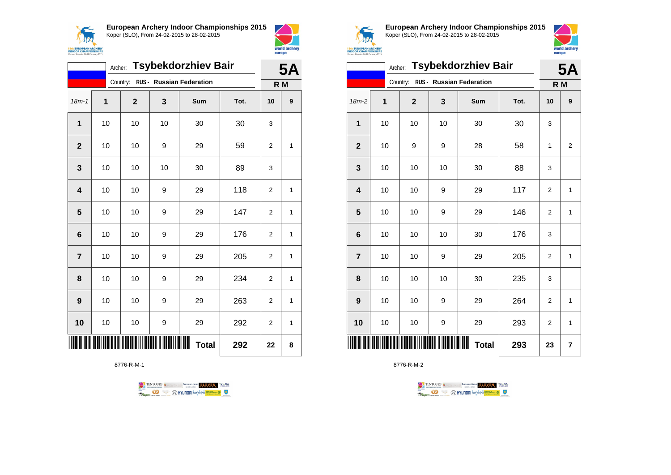



|                | <b>Tsybekdorzhiev Bair</b><br>Archer: |              |    |                                 |      |                |                  |
|----------------|---------------------------------------|--------------|----|---------------------------------|------|----------------|------------------|
|                |                                       | Country:     |    | <b>RUS - Russian Federation</b> |      | R <sub>M</sub> |                  |
| $18m-1$        | 1                                     | $\mathbf{2}$ | 3  | <b>Sum</b>                      | Tot. | 10             | $\boldsymbol{9}$ |
| 1              | 10                                    | 10           | 10 | 30                              | 30   | 3              |                  |
| $\overline{2}$ | 10                                    | 10           | 9  | 29                              | 59   | $\overline{2}$ | 1                |
| 3              | 10                                    | 10           | 10 | 30                              | 89   | 3              |                  |
| 4              | 10                                    | 10           | 9  | 29                              | 118  | $\overline{2}$ | 1                |
| 5              | 10                                    | 10           | 9  | 29                              | 147  | $\overline{2}$ | 1                |
| 6              | 10                                    | 10           | 9  | 29                              | 176  | $\overline{2}$ | 1                |
| $\overline{7}$ | 10                                    | 10           | 9  | 29                              | 205  | $\overline{2}$ | 1                |
| 8              | 10                                    | 10           | 9  | 29                              | 234  | 2              | 1                |
| 9              | 10                                    | 10           | 9  | 29                              | 263  | $\overline{2}$ | 1                |
| 10             | 10                                    | 10           | 9  | 29                              | 292  | $\overline{2}$ | 1                |
|                |                                       |              |    | Ш<br><b>Total</b>               | 292  | 22             | 8                |

8776-R-M-1





**European Archery Indoor Championships 2015** Koper (SLO), From 24-02-2015 to 28-02-2015



|                         | <b>Tsybekdorzhiev Bair</b><br>Archer: |                                                               |    |                          |      |                |                |  |
|-------------------------|---------------------------------------|---------------------------------------------------------------|----|--------------------------|------|----------------|----------------|--|
|                         |                                       | Country:                                                      |    | RUS - Russian Federation |      | R <sub>M</sub> |                |  |
| 18m-2                   | 1                                     | $\overline{\mathbf{2}}$                                       | 3  | Sum                      | Tot. | 10             | 9              |  |
| 1                       | 10                                    | 10                                                            | 10 | 30                       | 30   | 3              |                |  |
| $\mathbf{2}$            | 10                                    | 9                                                             | 9  | 28                       | 58   | 1              | $\overline{2}$ |  |
| 3                       | 10                                    | 10                                                            | 10 | 30                       | 88   | 3              |                |  |
| $\overline{\mathbf{4}}$ | 10                                    | 10                                                            | 9  | 29                       | 117  | $\overline{2}$ | 1              |  |
| 5                       | 10                                    | 10                                                            | 9  | 29                       | 146  | $\overline{2}$ | 1              |  |
| $\bf 6$                 | 10                                    | 10                                                            | 10 | 30                       | 176  | 3              |                |  |
| $\overline{7}$          | 10                                    | 10                                                            | 9  | 29                       | 205  | $\overline{2}$ | 1              |  |
| 8                       | 10                                    | 10                                                            | 10 | 30                       | 235  | 3              |                |  |
| 9                       | 10                                    | 10                                                            | 9  | 29                       | 264  | $\overline{2}$ | 1              |  |
| 10                      | 10                                    | 10                                                            | 9  | 29                       | 293  | $\overline{2}$ | $\mathbf{1}$   |  |
|                         |                                       | <u>Dill in dalim in indication in indication in the state</u> |    | <b>Total</b>             | 293  | 23             | 7              |  |

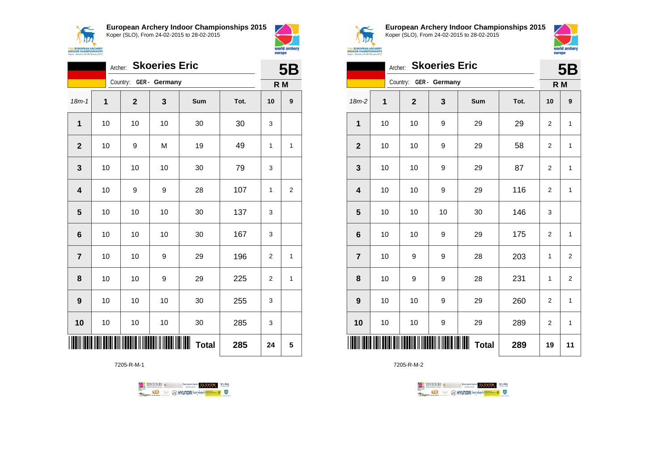



|                         | <b>Skoeries Eric</b><br>Archer: |             |               |              |      |                |                  |  |
|-------------------------|---------------------------------|-------------|---------------|--------------|------|----------------|------------------|--|
|                         |                                 | Country:    | GER - Germany |              |      | R M            |                  |  |
| $18m - 1$               | $\mathbf{1}$                    | $\mathbf 2$ | 3             | Sum          | Tot. | 10             | $\boldsymbol{9}$ |  |
| 1                       | 10                              | 10          | 10            | 30           | 30   | 3              |                  |  |
| $\overline{2}$          | 10                              | 9           | M             | 19           | 49   | 1              | 1                |  |
| 3                       | 10                              | 10          | 10            | 30           | 79   | 3              |                  |  |
| $\overline{\mathbf{4}}$ | 10                              | 9           | 9             | 28           | 107  | 1              | $\boldsymbol{2}$ |  |
| 5                       | 10                              | 10          | 10            | 30           | 137  | 3              |                  |  |
| $6\phantom{1}$          | 10                              | 10          | 10            | 30           | 167  | 3              |                  |  |
| $\overline{7}$          | 10                              | 10          | 9             | 29           | 196  | $\overline{2}$ | 1                |  |
| 8                       | 10                              | 10          | 9             | 29           | 225  | $\overline{2}$ | 1                |  |
| 9                       | 10                              | 10          | 10            | 30           | 255  | 3              |                  |  |
| 10                      | 10                              | 10          | 10            | 30           | 285  | 3              |                  |  |
|                         |                                 |             |               | <b>Total</b> | 285  | 24             | 5                |  |

7205-R-M-1





**European Archery Indoor Championships 2015** Koper (SLO), From 24-02-2015 to 28-02-2015



|                         |    | <b>Skoeries Eric</b><br>Archer: |                        |    |                        |      |                |                |  |
|-------------------------|----|---------------------------------|------------------------|----|------------------------|------|----------------|----------------|--|
|                         |    |                                 | Country: GER - Germany |    |                        |      | R M            |                |  |
| $18m-2$                 | 1  |                                 | $\mathbf{2}$           | 3  | Sum                    | Tot. | 10             | 9              |  |
| $\mathbf{1}$            | 10 |                                 | 10                     | 9  | 29                     | 29   | $\overline{2}$ | $\mathbf{1}$   |  |
| $\mathbf{2}$            | 10 |                                 | 10                     | 9  | 29                     | 58   | 2              | 1              |  |
| $\mathbf{3}$            | 10 |                                 | 10                     | 9  | 29                     | 87   | 2              | 1              |  |
| $\overline{\mathbf{4}}$ | 10 |                                 | 10                     | 9  | 29                     | 116  | $\overline{2}$ | $\mathbf{1}$   |  |
| $\overline{\mathbf{5}}$ | 10 |                                 | 10                     | 10 | 30                     | 146  | 3              |                |  |
| $\bf 6$                 | 10 |                                 | 10                     | 9  | 29                     | 175  | $\overline{2}$ | $\mathbf{1}$   |  |
| $\overline{7}$          | 10 |                                 | 9                      | 9  | 28                     | 203  | 1              | $\overline{2}$ |  |
| 8                       | 10 |                                 | 9                      | 9  | 28                     | 231  | 1              | $\overline{2}$ |  |
| $\boldsymbol{9}$        | 10 |                                 | 10                     | 9  | 29                     | 260  | $\overline{2}$ | $\mathbf{1}$   |  |
| 10                      | 10 |                                 | 10                     | 9  | 29                     | 289  | $\overline{2}$ | $\mathbf{1}$   |  |
| IIII                    |    |                                 |                        |    | IIIIII<br><b>Total</b> | 289  | 19             | 11             |  |

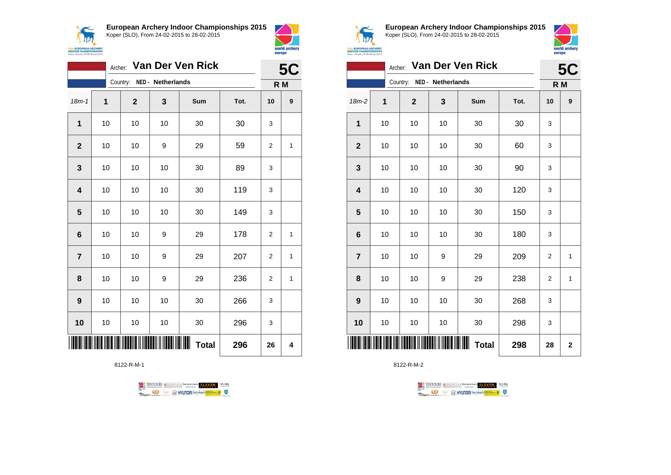



|                | Van Der Ven Rick<br>Archer: |              |                            |              |      |                |           |
|----------------|-----------------------------|--------------|----------------------------|--------------|------|----------------|-----------|
|                |                             |              | Country: NED - Netherlands |              |      | R M            | <b>5C</b> |
| $18m - 1$      | 1                           | $\mathbf{2}$ | 3                          | Sum          | Tot. | 10             | 9         |
| 1              | 10                          | 10           | 10                         | 30           | 30   | 3              |           |
| $\mathbf{2}$   | 10                          | 10           | 9                          | 29           | 59   | $\overline{2}$ | 1         |
| 3              | 10                          | 10           | 10                         | 30           | 89   | 3              |           |
| 4              | 10                          | 10           | 10                         | 30           | 119  | 3              |           |
| 5              | 10                          | 10           | 10                         | 30           | 149  | 3              |           |
| 6              | 10                          | 10           | 9                          | 29           | 178  | $\overline{2}$ | 1         |
| $\overline{7}$ | 10                          | 10           | 9                          | 29           | 207  | $\overline{2}$ | 1         |
| 8              | 10                          | 10           | 9                          | 29           | 236  | 2              | 1         |
| 9              | 10                          | 10           | 10                         | 30           | 266  | 3              |           |
| 10             | 10                          | 10           | 10                         | 30           | 296  | 3              |           |
|                |                             |              | <u>MINISTRA MINISTRA S</u> | <b>Total</b> | 296  | 26             | 4         |

8122-R-M-1





**European Archery Indoor Championships 2015** Koper (SLO), From 24-02-2015 to 28-02-2015



|                         | Van Der Ven Rick<br>Archer: |              |                   |                   |      |                |             |
|-------------------------|-----------------------------|--------------|-------------------|-------------------|------|----------------|-------------|
|                         |                             | Country:     | NED - Netherlands |                   |      | R M            |             |
| $18m-2$                 | 1                           | $\mathbf{2}$ | 3                 | Sum               | Tot. | 10             | 9           |
| 1                       | 10                          | 10           | 10                | 30                | 30   | 3              |             |
| $\boldsymbol{2}$        | 10                          | 10           | 10                | 30                | 60   | 3              |             |
| $\mathbf{3}$            | 10                          | 10           | 10                | 30                | 90   | 3              |             |
| $\overline{\mathbf{4}}$ | 10                          | 10           | 10                | 30                | 120  | 3              |             |
| $\overline{\mathbf{5}}$ | 10                          | 10           | 10                | 30                | 150  | 3              |             |
| $\bf 6$                 | 10                          | 10           | 10                | 30                | 180  | 3              |             |
| $\overline{7}$          | 10                          | 10           | 9                 | 29                | 209  | $\overline{2}$ | 1           |
| 8                       | 10                          | 10           | 9                 | 29                | 238  | $\overline{2}$ | 1           |
| 9                       | 10                          | 10           | 10                | 30                | 268  | 3              |             |
| 10                      | 10                          | 10           | 10                | 30                | 298  | 3              |             |
| IIII                    |                             |              |                   | Ш<br><b>Total</b> | 298  | 28             | $\mathbf 2$ |

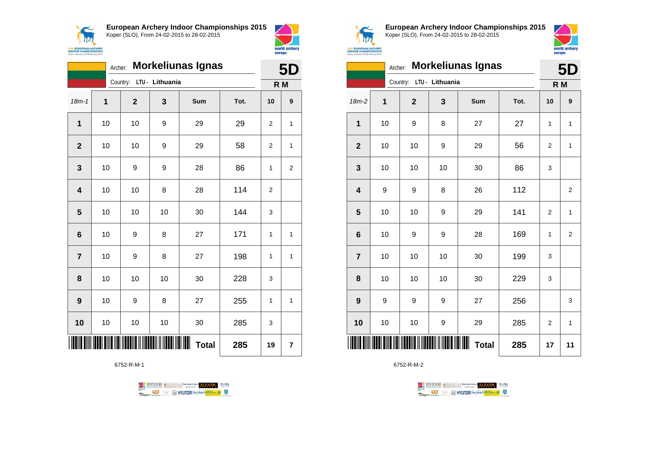



|                         | <b>Morkeliunas Ignas</b><br>Archer: |                          |    |                        |      |                |   |
|-------------------------|-------------------------------------|--------------------------|----|------------------------|------|----------------|---|
|                         |                                     | Country: LTU - Lithuania |    |                        |      | R M            |   |
| $18m - 1$               | 1                                   | $\overline{2}$           | 3  | Sum                    | Tot. | 10             | 9 |
| $\mathbf{1}$            | 10                                  | 10                       | 9  | 29                     | 29   | 2              | 1 |
| $\overline{2}$          | 10                                  | 10                       | 9  | 29                     | 58   | 2              | 1 |
| 3                       | 10                                  | 9                        | 9  | 28                     | 86   | 1              | 2 |
| $\overline{\mathbf{4}}$ | 10                                  | 10                       | 8  | 28                     | 114  | $\overline{2}$ |   |
| 5                       | 10                                  | 10                       | 10 | 30                     | 144  | 3              |   |
| 6                       | 10                                  | 9                        | 8  | 27                     | 171  | 1              | 1 |
| $\overline{7}$          | 10                                  | 9                        | 8  | 27                     | 198  | 1              | 1 |
| 8                       | 10                                  | 10                       | 10 | 30                     | 228  | 3              |   |
| 9                       | 10                                  | 9                        | 8  | 27                     | 255  | 1              | 1 |
| 10                      | 10                                  | 10                       | 10 | 30                     | 285  | 3              |   |
|                         |                                     |                          |    | IIIIII<br><b>Total</b> | 285  | 19             | 7 |

6752-R-M-1





**European Archery Indoor Championships 2015** Koper (SLO), From 24-02-2015 to 28-02-2015



|                         |    | <b>Morkeliunas Ignas</b><br>Archer: |    |                   |      |                |                |  |
|-------------------------|----|-------------------------------------|----|-------------------|------|----------------|----------------|--|
|                         |    | LTU - Lithuania<br>Country:         |    | R M               |      |                |                |  |
| $18m-2$                 | 1  | $\mathbf{2}$                        | 3  | Sum               | Tot. | 10             | 9              |  |
| $\mathbf 1$             | 10 | 9                                   | 8  | 27                | 27   | 1              | 1              |  |
| $\mathbf{2}$            | 10 | 10                                  | 9  | 29                | 56   | $\overline{2}$ | $\mathbf{1}$   |  |
| $\mathbf{3}$            | 10 | 10                                  | 10 | 30                | 86   | 3              |                |  |
| $\overline{\mathbf{4}}$ | 9  | 9                                   | 8  | 26                | 112  |                | $\overline{2}$ |  |
| $\overline{\mathbf{5}}$ | 10 | 10                                  | 9  | 29                | 141  | $\overline{2}$ | $\mathbf{1}$   |  |
| $\bf 6$                 | 10 | 9                                   | 9  | 28                | 169  | 1              | $\overline{2}$ |  |
| $\overline{7}$          | 10 | 10                                  | 10 | 30                | 199  | 3              |                |  |
| 8                       | 10 | 10                                  | 10 | 30                | 229  | 3              |                |  |
| 9                       | 9  | 9                                   | 9  | 27                | 256  |                | 3              |  |
| 10                      | 10 | 10                                  | 9  | 29                | 285  | $\overline{2}$ | $\mathbf{1}$   |  |
| IIII                    |    |                                     |    | Ш<br><b>Total</b> | 285  | 17             | 11             |  |

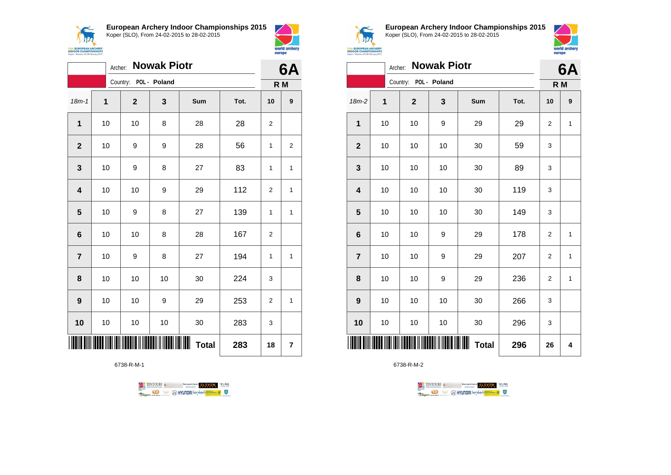



|                |    | Archer: |                       | <b>Nowak Piotr</b> |                        |      | 6A             |                  |
|----------------|----|---------|-----------------------|--------------------|------------------------|------|----------------|------------------|
|                |    |         | Country: POL - Poland |                    |                        |      | R M            |                  |
| $18m - 1$      | 1  |         | $\mathbf 2$           | 3                  | Sum                    | Tot. | 10             | $\boldsymbol{9}$ |
| $\mathbf{1}$   | 10 |         | 10                    | 8                  | 28                     | 28   | 2              |                  |
| $\mathbf{2}$   | 10 |         | 9                     | 9                  | 28                     | 56   | 1              | 2                |
| 3              | 10 |         | 9                     | 8                  | 27                     | 83   | 1              | 1                |
| 4              | 10 |         | 10                    | 9                  | 29                     | 112  | $\overline{2}$ | 1                |
| 5              | 10 |         | 9                     | 8                  | 27                     | 139  | 1              | 1                |
| 6              | 10 |         | 10                    | 8                  | 28                     | 167  | $\overline{2}$ |                  |
| $\overline{7}$ | 10 |         | 9                     | 8                  | 27                     | 194  | 1              | 1                |
| 8              | 10 |         | 10                    | 10                 | 30                     | 224  | 3              |                  |
| 9              | 10 |         | 10                    | 9                  | 29                     | 253  | $\overline{2}$ | $\mathbf{1}$     |
| 10             | 10 |         | 10                    | 10                 | 30                     | 283  | 3              |                  |
|                |    |         |                       |                    | IIIIII<br><b>Total</b> | 283  | 18             | 7                |

6738-R-M-1





**European Archery Indoor Championships 2015** Koper (SLO), From 24-02-2015 to 28-02-2015



|                         | Archer: |                       | <b>Nowak Piotr</b> |                   |      | 6Α             |   |
|-------------------------|---------|-----------------------|--------------------|-------------------|------|----------------|---|
|                         |         | Country: POL - Poland |                    |                   |      | R M            |   |
| $18m-2$                 | 1       | $\mathbf 2$           | 3                  | Sum               | Tot. | 10             | 9 |
| $\mathbf 1$             | 10      | 10                    | 9                  | 29                | 29   | 2              | 1 |
| $\boldsymbol{2}$        | 10      | 10                    | 10                 | 30                | 59   | 3              |   |
| $\mathbf{3}$            | 10      | 10                    | 10                 | 30                | 89   | 3              |   |
| $\overline{\mathbf{4}}$ | 10      | 10                    | 10                 | 30                | 119  | 3              |   |
| ${\bf 5}$               | 10      | 10                    | 10                 | 30                | 149  | 3              |   |
| $\bf 6$                 | 10      | 10                    | 9                  | 29                | 178  | 2              | 1 |
| $\overline{\mathbf{7}}$ | 10      | 10                    | 9                  | 29                | 207  | 2              | 1 |
| 8                       | 10      | 10                    | 9                  | 29                | 236  | $\overline{2}$ | 1 |
| $\boldsymbol{9}$        | 10      | 10                    | 10                 | 30                | 266  | 3              |   |
| 10                      | 10      | 10                    | 10                 | 30                | 296  | 3              |   |
| IIIII                   |         |                       |                    | Ш<br><b>Total</b> | 296  | 26             | 4 |

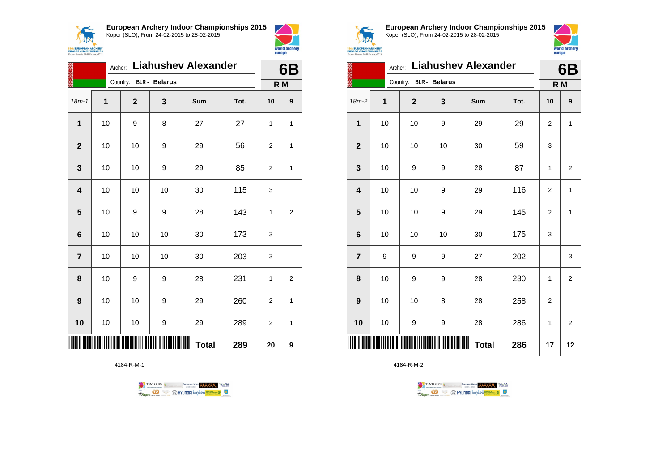



|                | Archer: |              |                      | <b>Liahushev Alexander</b> |      | 6Β             |                |
|----------------|---------|--------------|----------------------|----------------------------|------|----------------|----------------|
|                |         | Country:     | <b>BLR</b> - Belarus |                            |      | R M            |                |
| $18m - 1$      | 1       | $\mathbf{2}$ | 3                    | <b>Sum</b>                 | Tot. | 10             | 9              |
| 1              | 10      | 9            | 8                    | 27                         | 27   | 1              | 1              |
| $\mathbf{2}$   | 10      | 10           | 9                    | 29                         | 56   | 2              | 1              |
| 3              | 10      | 10           | 9                    | 29                         | 85   | $\overline{2}$ | $\mathbf{1}$   |
| 4              | 10      | 10           | 10                   | 30                         | 115  | 3              |                |
| 5              | 10      | 9            | 9                    | 28                         | 143  | 1              | $\overline{2}$ |
| 6              | 10      | 10           | 10                   | 30                         | 173  | 3              |                |
| $\overline{7}$ | 10      | 10           | 10                   | 30                         | 203  | 3              |                |
| 8              | 10      | 9            | 9                    | 28                         | 231  | 1              | 2              |
| 9              | 10      | 10           | 9                    | 29                         | 260  | 2              | $\mathbf{1}$   |
| 10             | 10      | 10           | 9                    | 29                         | 289  | 2              | $\mathbf{1}$   |
|                |         |              | 289                  | 20                         | 9    |                |                |

4184-R-M-1





**European Archery Indoor Championships 2015** Koper (SLO), From 24-02-2015 to 28-02-2015



| X                       | Archer:  | <b>Liahushev Alexander</b> |                      |                   | 6B   |                |                |
|-------------------------|----------|----------------------------|----------------------|-------------------|------|----------------|----------------|
|                         | Country: |                            | <b>BLR</b> - Belarus |                   |      | R M            |                |
| 18m-2                   | 1        | $\mathbf{2}$               | 3                    | Sum               | Tot. | 10             | 9              |
| $\mathbf{1}$            | 10       | 10                         | 9                    | 29                | 29   | 2              | 1              |
| $\boldsymbol{2}$        | 10       | 10                         | 10                   | 30                | 59   | 3              |                |
| $\mathbf{3}$            | 10       | 9                          | 9                    | 28                | 87   | 1              | $\overline{2}$ |
| $\overline{\mathbf{4}}$ | 10       | 10                         | 9                    | 29                | 116  | 2              | $\mathbf{1}$   |
| 5                       | 10       | 10                         | 9                    | 29                | 145  | 2              | $\mathbf{1}$   |
| $\bf 6$                 | 10       | 10                         | 10                   | 30                | 175  | 3              |                |
| $\overline{7}$          | 9        | 9                          | 9                    | 27                | 202  |                | 3              |
| 8                       | 10       | 9                          | 9                    | 28                | 230  | 1              | $\overline{2}$ |
| 9                       | 10       | 10                         | 8                    | 28                | 258  | $\overline{2}$ |                |
| 10                      | 10       | 9                          | 9                    | 28                | 286  | 1              | $\overline{2}$ |
| Ш                       |          |                            |                      | Ш<br><b>Total</b> | 286  | 17             | 12             |

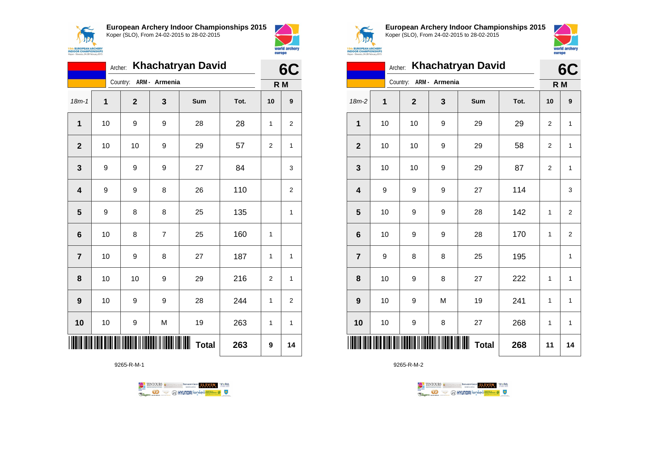



|                | <b>Khachatryan David</b><br>Archer: |                              |                |     |      |                |                  |  |  |  |
|----------------|-------------------------------------|------------------------------|----------------|-----|------|----------------|------------------|--|--|--|
|                |                                     | Country:                     | ARM - Armenia  |     |      |                | R M              |  |  |  |
| $18m - 1$      | 1                                   | $\mathbf{2}$                 | 3              | Sum | Tot. | 10             | $\boldsymbol{9}$ |  |  |  |
| 1              | 10                                  | 9                            | 9              | 28  | 28   | 1              | $\overline{2}$   |  |  |  |
| $\overline{2}$ | 10                                  | 10                           | 9              | 29  | 57   | 2              | 1                |  |  |  |
| 3              | 9                                   | 9                            | 9              | 27  | 84   |                | 3                |  |  |  |
| 4              | 9                                   | 9                            | 8              | 26  | 110  |                | $\overline{2}$   |  |  |  |
| 5              | 9                                   | 8                            | 8              | 25  | 135  |                | 1                |  |  |  |
| 6              | 10                                  | 8                            | $\overline{7}$ | 25  | 160  | 1              |                  |  |  |  |
| $\overline{7}$ | 10                                  | 9                            | 8              | 27  | 187  | 1              | 1                |  |  |  |
| 8              | 10                                  | 10                           | 9              | 29  | 216  | $\overline{2}$ | 1                |  |  |  |
| 9              | 10                                  | 9                            | 9              | 28  | 244  | $\mathbf{1}$   | $\overline{2}$   |  |  |  |
| 10             | 10                                  | 9                            | M              | 19  | 263  | 1              | 1                |  |  |  |
|                |                                     | <b>TITUN INI KATIKA KULI</b> | 263            | 9   | 14   |                |                  |  |  |  |

9265-R-M-1





**European Archery Indoor Championships 2015** Koper (SLO), From 24-02-2015 to 28-02-2015



|                         | Archer: |                        |     | <b>Khachatryan David</b> |      | 6C             |                |
|-------------------------|---------|------------------------|-----|--------------------------|------|----------------|----------------|
|                         |         | Country: ARM - Armenia |     |                          |      | R M            |                |
| 18m-2                   | 1       | $\overline{2}$         | 3   | Sum                      | Tot. | 10             | 9              |
| 1                       | 10      | 10                     | 9   | 29                       | 29   | $\overline{2}$ | $\mathbf{1}$   |
| $\overline{2}$          | 10      | 10                     | 9   | 29                       | 58   | $\overline{2}$ | $\mathbf{1}$   |
| 3                       | 10      | 10                     | 9   | 29                       | 87   | 2              | 1              |
| 4                       | 9       | 9                      | 9   | 27                       | 114  |                | 3              |
| $\overline{\mathbf{5}}$ | 10      | 9                      | 9   | 28                       | 142  | 1              | $\overline{2}$ |
| 6                       | 10      | 9                      | 9   | 28                       | 170  | 1              | $\overline{2}$ |
| $\overline{7}$          | 9       | 8                      | 8   | 25                       | 195  |                | $\mathbf{1}$   |
| 8                       | 10      | 9                      | 8   | 27                       | 222  | 1              | $\mathbf{1}$   |
| 9                       | 10      | 9                      | M   | 19                       | 241  | 1              | $\mathbf{1}$   |
| 10                      | 10      | 9                      | 8   | 27                       | 268  | 1              | $\mathbf{1}$   |
|                         |         |                        | 268 | 11                       | 14   |                |                |

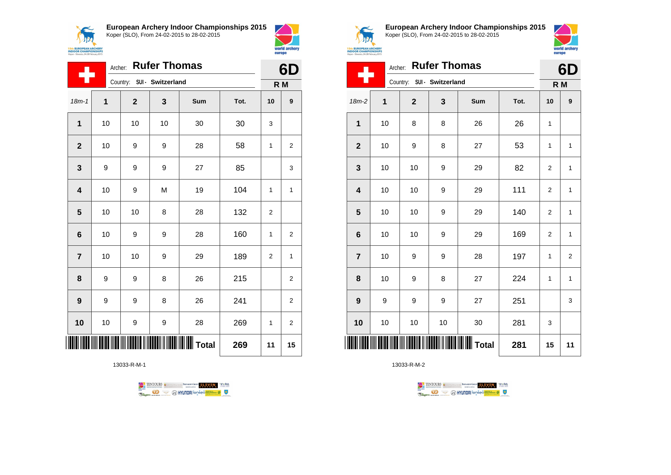



|                         | Archer:      |              | <b>Rufer Thomas</b>        |     |      | 6D             |                         |
|-------------------------|--------------|--------------|----------------------------|-----|------|----------------|-------------------------|
|                         |              |              | Country: SUI - Switzerland |     |      | R M            |                         |
| $18m - 1$               | $\mathbf{1}$ | $\mathbf{2}$ | 3                          | Sum | Tot. | 10             | $\boldsymbol{9}$        |
| $\mathbf{1}$            | 10           | 10           | 10                         | 30  | 30   | 3              |                         |
| $\overline{2}$          | 10           | 9            | 9                          | 28  | 58   | 1              | $\overline{\mathbf{c}}$ |
| $\mathbf{3}$            | 9            | 9            | 9                          | 27  | 85   |                | 3                       |
| $\overline{\mathbf{4}}$ | 10           | 9            | M                          | 19  | 104  | 1              | 1                       |
| 5                       | 10           | 10           | 8                          | 28  | 132  | $\overline{2}$ |                         |
| $6\phantom{1}$          | 10           | 9            | 9                          | 28  | 160  | 1              | $\overline{2}$          |
| $\overline{7}$          | 10           | 10           | 9                          | 29  | 189  | 2              | 1                       |
| 8                       | 9            | 9            | 8                          | 26  | 215  |                | $\overline{\mathbf{c}}$ |
| 9                       | 9            | 9            | 8                          | 26  | 241  |                | $\overline{\mathbf{c}}$ |
| 10                      | 10           | 9            | 9                          | 28  | 269  | 1              | $\overline{\mathbf{c}}$ |
|                         |              |              |                            |     | 269  | 11             | 15                      |

13033-R-M-1





**European Archery Indoor Championships 2015** Koper (SLO), From 24-02-2015 to 28-02-2015



|                | Archer: |             | <b>Rufer Thomas</b>        |     |      | 6D             |                |
|----------------|---------|-------------|----------------------------|-----|------|----------------|----------------|
|                |         |             | Country: SUI - Switzerland |     |      | R M            |                |
| 18m-2          | 1       | $\mathbf 2$ | 3                          | Sum | Tot. | 10             | 9              |
| 1              | 10      | 8           | 8                          | 26  | 26   | $\mathbf{1}$   |                |
| $\overline{2}$ | 10      | 9           | 8                          | 27  | 53   | $\mathbf{1}$   | $\mathbf{1}$   |
| 3              | 10      | 10          | 9                          | 29  | 82   | $\overline{2}$ | $\mathbf{1}$   |
| 4              | 10      | 10          | 9                          | 29  | 111  | $\overline{2}$ | $\mathbf{1}$   |
| 5              | 10      | 10          | 9                          | 29  | 140  | 2              | $\mathbf{1}$   |
| 6              | 10      | 10          | 9                          | 29  | 169  | 2              | $\mathbf{1}$   |
| $\overline{7}$ | 10      | 9           | 9                          | 28  | 197  | $\mathbf{1}$   | $\overline{2}$ |
| 8              | 10      | 9           | 8                          | 27  | 224  | 1              | $\mathbf{1}$   |
| 9              | 9       | 9           | 9                          | 27  | 251  |                | 3              |
| 10             | 10      | 10          | 10                         | 30  | 281  | 3              |                |
|                |         |             |                            |     | 281  | 15             | 11             |

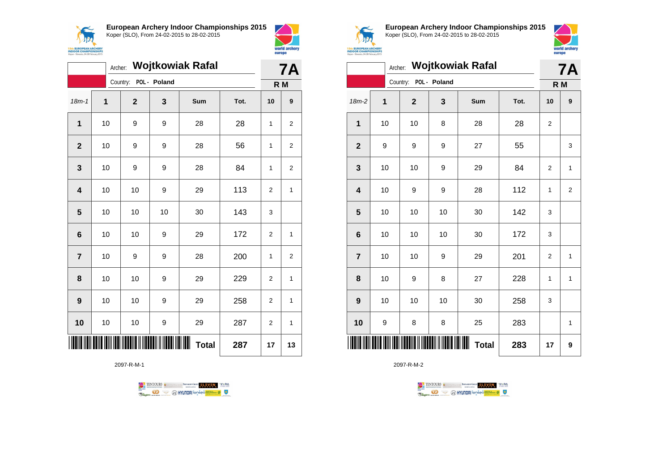

18m-1 **1 2 3 Sum Tot. 10 9**

**1** | 10 | 9 | 9 | 28 | 28 | 1 | 2

**2** | 10 | 9 | 9 | 28 | 56 | 1 | 2

**3** | 10 | 9 | 9 | 28 | 84 | 1 | 2

**4** | 10 | 10 | 9 | 29 | 113 | 2 | 1

**6** | 10 | 10 | 9 | 29 | 172 | 2 | 1

**7** | 10 | 9 | 9 | 28 | 200 | 1 | 2

**8** | 10 | 10 | 9 | 29 | 229 | 2 | 1

**9** | 10 | 10 | 9 | 29 | 258 | 2 | 1

**10** | 10 | 10 | 9 | 29 | 287 | 2 | 1

**Total 287 17 13**

**5** | 10 | 10 | 10 | 30 | 143 | 3

Archer: **Wojtkowiak Rafal**

Country: **POL - Poland**



**7A**

**R M**

| <b>EUROPEAN ARCHERY</b><br><b>INDOOR CHAMPIONSHIPS</b><br>Koper - Slovenia, 24-28 February 2015 |
|-------------------------------------------------------------------------------------------------|

**European Archery Indoor Championships 2015** Koper (SLO), From 24-02-2015 to 28-02-2015



|                         |    |                |              | Archer: Wojtkowiak Rafal |      | <b>7A</b>      |                |
|-------------------------|----|----------------|--------------|--------------------------|------|----------------|----------------|
|                         |    | Country:       | POL - Poland |                          |      | R M            |                |
| $18m-2$                 | 1  | $\overline{2}$ | 3            | Sum                      | Tot. | 10             | 9              |
| 1                       | 10 | 10             | 8            | 28                       | 28   | $\overline{2}$ |                |
| $\mathbf{2}$            | 9  | 9              | 9            | 27                       | 55   |                | 3              |
| $\mathbf 3$             | 10 | 10             | 9            | 29                       | 84   | $\overline{2}$ | 1              |
| $\overline{\mathbf{4}}$ | 10 | 9              | 9            | 28                       | 112  | 1              | $\overline{2}$ |
| $\overline{\mathbf{5}}$ | 10 | 10             | 10           | 30                       | 142  | 3              |                |
| $\bf 6$                 | 10 | 10             | 10           | 30                       | 172  | 3              |                |
| $\overline{7}$          | 10 | 10             | 9            | 29                       | 201  | $\overline{2}$ | 1              |
| 8                       | 10 | 9              | 8            | 27                       | 228  | 1              | 1              |
| 9                       | 10 | 10             | 10           | 30                       | 258  | 3              |                |
| 10                      | 9  | 8              | 8            | 25                       | 283  |                | 1              |
| ║║                      |    |                |              | <b>Total</b>             | 283  | 17             | 9              |

2097-R-M-2





\*2097-R-M-1\*

2097-R-M-1

**Example 3** @ HYUNDAI lansed **State 4 0**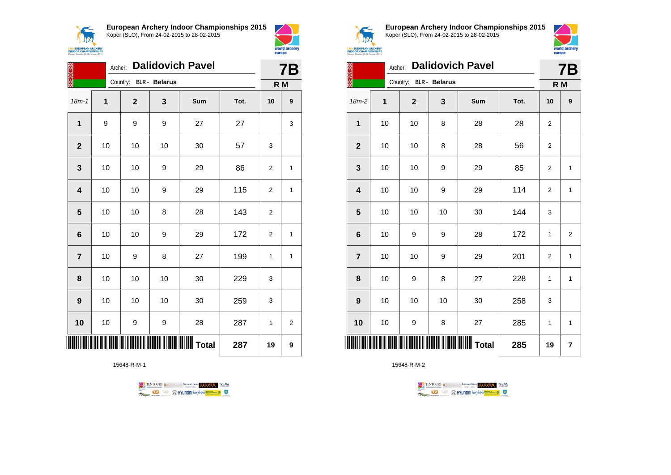



| 经家族                     | Archer: |              |                      | <b>Dalidovich Pavel</b> |      | <b>7B</b>      |                |
|-------------------------|---------|--------------|----------------------|-------------------------|------|----------------|----------------|
|                         |         | Country:     | <b>BLR</b> - Belarus |                         |      | R M            |                |
| $18m - 1$               | 1       | $\mathbf{2}$ | 3                    | Sum                     | Tot. | 10             | 9              |
| $\mathbf{1}$            | 9       | 9            | 9                    | 27                      | 27   |                | 3              |
| $\mathbf{2}$            | 10      | 10           | 10                   | 30                      | 57   | 3              |                |
| 3                       | 10      | 10           | 9                    | 29                      | 86   | 2              | 1              |
| $\overline{\mathbf{4}}$ | 10      | 10           | 9                    | 29                      | 115  | $\overline{2}$ | 1              |
| 5                       | 10      | 10           | 8                    | 28                      | 143  | $\overline{2}$ |                |
| $6\phantom{1}6$         | 10      | 10           | 9                    | 29                      | 172  | $\overline{2}$ | 1              |
| $\overline{7}$          | 10      | 9            | 8                    | 27                      | 199  | $\mathbf{1}$   | 1              |
| 8                       | 10      | 10           | 10                   | 30                      | 229  | 3              |                |
| $\boldsymbol{9}$        | 10      | 10           | 10                   | 30                      | 259  | 3              |                |
| 10                      | 10      | 9            | 9                    | 28                      | 287  | $\mathbf{1}$   | $\overline{2}$ |
|                         |         |              |                      |                         | 287  | 19             | 9              |

15648-R-M-1





**European Archery Indoor Championships 2015** Koper (SLO), From 24-02-2015 to 28-02-2015



| 经济关系                    | Archer: |                        |    | <b>Dalidovich Pavel</b> |      | <b>7B</b>      |                |
|-------------------------|---------|------------------------|----|-------------------------|------|----------------|----------------|
|                         |         | Country: BLR - Belarus |    |                         |      | R M            |                |
| $18m-2$                 | 1       | $\mathbf 2$            | 3  | Sum                     | Tot. | 10             | 9              |
| 1                       | 10      | 10                     | 8  | 28                      | 28   | $\overline{2}$ |                |
| $\mathbf{2}$            | 10      | 10                     | 8  | 28                      | 56   | 2              |                |
| 3                       | 10      | 10                     | 9  | 29                      | 85   | $\overline{2}$ | $\mathbf{1}$   |
| $\overline{\mathbf{4}}$ | 10      | 10                     | 9  | 29                      | 114  | 2              | $\mathbf{1}$   |
| 5                       | 10      | 10                     | 10 | 30                      | 144  | 3              |                |
| $6\phantom{1}6$         | 10      | 9                      | 9  | 28                      | 172  | $\mathbf{1}$   | $\overline{2}$ |
| $\overline{7}$          | 10      | 10                     | 9  | 29                      | 201  | $\overline{2}$ | 1              |
| 8                       | 10      | 9                      | 8  | 27                      | 228  | 1              | 1              |
| 9                       | 10      | 10                     | 10 | 30                      | 258  | 3              |                |
| 10                      | 10      | 9                      | 8  | 27                      | 285  | 1              | 1              |
| ║║║                     |         |                        |    | 285                     | 19   | $\overline{7}$ |                |

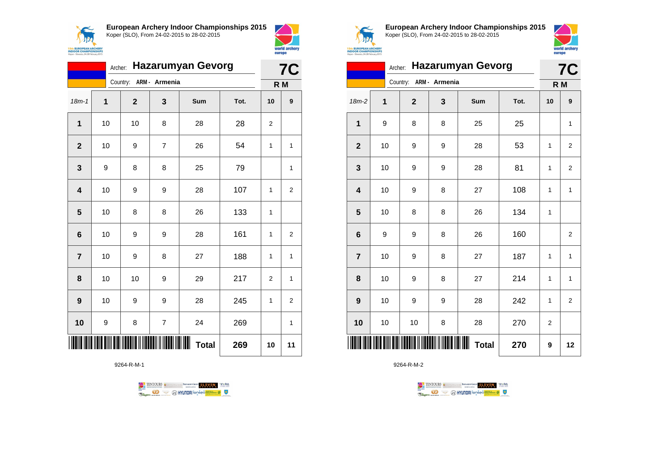



|                         | <b>Hazarumyan Gevorg</b><br>Archer: |                        |                |     |      |                |                  |  |
|-------------------------|-------------------------------------|------------------------|----------------|-----|------|----------------|------------------|--|
|                         |                                     | Country: ARM - Armenia |                |     |      | R <sub>M</sub> | <b>7C</b>        |  |
| $18m - 1$               | $\overline{1}$                      | $\mathbf{2}$           | 3              | Sum | Tot. | 10             | $\boldsymbol{9}$ |  |
| 1                       | 10                                  | 10                     | 8              | 28  | 28   | 2              |                  |  |
| $\overline{2}$          | 10                                  | 9                      | $\overline{7}$ | 26  | 54   | 1              | 1                |  |
| 3                       | 9                                   | 8                      | 8              | 25  | 79   |                | 1                |  |
| $\overline{\mathbf{4}}$ | 10                                  | 9                      | 9              | 28  | 107  | $\mathbf{1}$   | 2                |  |
| 5                       | 10                                  | 8                      | 8              | 26  | 133  | 1              |                  |  |
| 6                       | 10                                  | 9                      | 9              | 28  | 161  | $\mathbf{1}$   | $\overline{2}$   |  |
| $\overline{7}$          | 10                                  | 9                      | 8              | 27  | 188  | 1              | 1                |  |
| 8                       | 10                                  | 10                     | 9              | 29  | 217  | $\overline{2}$ | 1                |  |
| 9                       | 10                                  | 9                      | 9              | 28  | 245  | 1              | 2                |  |
| 10                      | 9                                   | 8                      | 7              | 24  | 269  |                | 1                |  |
|                         |                                     |                        | 269            | 10  | 11   |                |                  |  |

9264-R-M-1





**European Archery Indoor Championships 2015** Koper (SLO), From 24-02-2015 to 28-02-2015



|                         | <b>7C</b> |                        |   |                        |      |                |                         |
|-------------------------|-----------|------------------------|---|------------------------|------|----------------|-------------------------|
|                         |           | Country: ARM - Armenia |   |                        |      |                | R M                     |
| 18m-2                   | 1         | $\mathbf{2}$           | 3 | Sum                    | Tot. | 10             | 9                       |
| $\mathbf{1}$            | 9         | 8                      | 8 | 25                     | 25   |                | $\mathbf{1}$            |
| $\overline{\mathbf{2}}$ | 10        | 9                      | 9 | 28                     | 53   | $\mathbf{1}$   | $\overline{\mathbf{c}}$ |
| 3                       | 10        | 9                      | 9 | 28                     | 81   | 1              | $\overline{2}$          |
| $\overline{\mathbf{4}}$ | 10        | 9                      | 8 | 27                     | 108  | $\mathbf{1}$   | $\mathbf{1}$            |
| 5                       | 10        | 8                      | 8 | 26                     | 134  | $\mathbf{1}$   |                         |
| 6                       | 9         | 9                      | 8 | 26                     | 160  |                | $\overline{c}$          |
| $\overline{7}$          | 10        | 9                      | 8 | 27                     | 187  | $\mathbf{1}$   | $\mathbf{1}$            |
| 8                       | 10        | 9                      | 8 | 27                     | 214  | 1              | 1                       |
| $\boldsymbol{9}$        | 10        | 9                      | 9 | 28                     | 242  | $\mathbf{1}$   | $\overline{2}$          |
| 10                      | 10        | 10                     | 8 | 28                     | 270  | $\overline{2}$ |                         |
|                         |           |                        |   | IIIIII<br><b>Total</b> | 270  | 9              | 12                      |

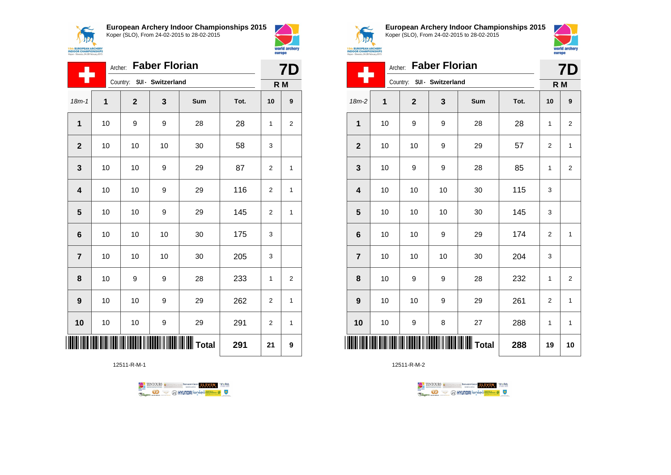$\epsilon$ **ANG Sth EUROPEAN ARCHERY**<br>INDOOR CHAMPIONSHIPS **European Archery Indoor Championships 2015** Koper (SLO), From 24-02-2015 to 28-02-2015



Archer: **Faber Florian**

|                         | <b>Faber Florian</b><br>Archer: |                            |    |       |      |                |                |  |
|-------------------------|---------------------------------|----------------------------|----|-------|------|----------------|----------------|--|
|                         |                                 | Country: SUI - Switzerland |    |       |      | R M            |                |  |
| $18m - 1$               | 1                               | $\mathbf 2$                | 3  | Sum   | Tot. | 10             | 9              |  |
| $\mathbf 1$             | 10                              | 9                          | 9  | 28    | 28   | 1              | 2              |  |
| $\mathbf 2$             | 10                              | 10                         | 10 | 30    | 58   | 3              |                |  |
| 3                       | 10                              | 10                         | 9  | 29    | 87   | $\overline{2}$ | 1              |  |
| $\overline{\mathbf{4}}$ | 10                              | 10                         | 9  | 29    | 116  | $\overline{2}$ | 1              |  |
| 5                       | 10                              | 10                         | 9  | 29    | 145  | $\overline{2}$ | 1              |  |
| $6\phantom{1}6$         | 10                              | 10                         | 10 | 30    | 175  | 3              |                |  |
| $\overline{7}$          | 10                              | 10                         | 10 | 30    | 205  | 3              |                |  |
| 8                       | 10                              | 9                          | 9  | 28    | 233  | 1              | $\overline{2}$ |  |
| 9                       | 10                              | 10                         | 9  | 29    | 262  | $\overline{2}$ | 1              |  |
| 10                      | 10                              | 10                         | 9  | 29    | 291  | $\overline{2}$ | 1              |  |
|                         |                                 |                            |    | Total | 291  | 21             | 9              |  |

12511-R-M-1





world archery<br>europe

**European Archery Indoor Championships 2015** Koper (SLO), From 24-02-2015 to 28-02-2015



| <b>ith EUROPEAN ARCHERY<br/>IDOOR CHAMPIONSHIPS</b><br>per - Slovenia, 24-28 February 2015 |                                                               |              |    |            |      | europe | world archery    |  |  |
|--------------------------------------------------------------------------------------------|---------------------------------------------------------------|--------------|----|------------|------|--------|------------------|--|--|
|                                                                                            | <b>Faber Florian</b><br>Archer:<br>Country: SUI - Switzerland |              |    |            |      |        | <b>7D</b><br>R M |  |  |
| $18m-2$                                                                                    | 1                                                             | $\mathbf{2}$ | 3  | <b>Sum</b> | Tot. | 10     | 9                |  |  |
| 1                                                                                          | 10                                                            | 9            | 9  | 28         | 28   | 1      | 2                |  |  |
| $\mathbf{2}$                                                                               | 10                                                            | 10           | 9  | 29         | 57   | 2      | 1                |  |  |
| $\mathbf 3$                                                                                | 10                                                            | 9            | 9  | 28         | 85   | 1      | 2                |  |  |
| 4                                                                                          | 10                                                            | 10           | 10 | 30         | 115  | 3      |                  |  |  |
| 5                                                                                          | 10                                                            | 10           | 10 | 30         | 145  | 3      |                  |  |  |
| 6                                                                                          | 10                                                            | 10           | 9  | 29         | 174  | 2      | 1                |  |  |
| $\overline{7}$                                                                             | 10                                                            | 10           | 10 | 30         | 204  | 3      |                  |  |  |
| 8                                                                                          | 10                                                            | 9            | 9  | 28         | 232  | 1      | $\overline{2}$   |  |  |
| 9                                                                                          | 10                                                            | 10           | 9  | 29         | 261  | 2      | 1                |  |  |
|                                                                                            |                                                               |              |    |            |      |        |                  |  |  |

12511-R-M-2



**10** | 10 | 9 | 8 | 27 | 288 | 1 | 1

**TOTAL TOTAL TELEVISION IN TOTAL 19** 10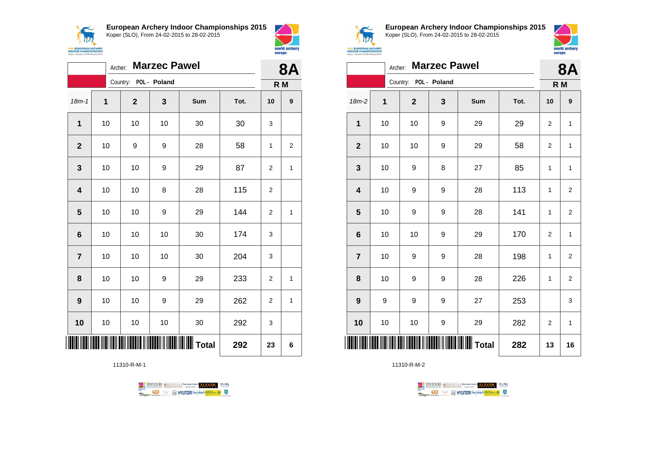



|                         | <b>Marzec Pawel</b><br>Archer: |                       |    |                                            |      |                |                |  |
|-------------------------|--------------------------------|-----------------------|----|--------------------------------------------|------|----------------|----------------|--|
|                         |                                | Country: POL - Poland |    |                                            |      |                | R M            |  |
| $18m - 1$               | $\mathbf 1$                    | $\mathbf 2$           | 3  | Sum                                        | Tot. | 10             | 9              |  |
| 1                       | 10                             | 10                    | 10 | 30                                         | 30   | 3              |                |  |
| $\mathbf{2}$            | 10                             | 9                     | 9  | 28                                         | 58   | 1              | $\overline{2}$ |  |
| 3                       | 10                             | 10                    | 9  | 29                                         | 87   | 2              | 1              |  |
| $\overline{\mathbf{4}}$ | 10                             | 10                    | 8  | 28                                         | 115  | 2              |                |  |
| $\overline{\mathbf{5}}$ | 10                             | 10                    | 9  | 29                                         | 144  | 2              | 1              |  |
| 6                       | 10                             | 10                    | 10 | 30                                         | 174  | 3              |                |  |
| $\overline{\mathbf{r}}$ | 10                             | 10                    | 10 | 30                                         | 204  | 3              |                |  |
| 8                       | 10                             | 10                    | 9  | 29                                         | 233  | $\overline{2}$ | 1              |  |
| 9                       | 10                             | 10                    | 9  | 29                                         | 262  | 2              | 1              |  |
| 10                      | 10                             | 10                    | 10 | 30                                         | 292  | 3              |                |  |
|                         |                                |                       |    | <b>                             </b> Total | 292  | 23             | 6              |  |

11310-R-M-1





**European Archery Indoor Championships 2015** Koper (SLO), From 24-02-2015 to 28-02-2015



|                         | <b>Marzec Pawel</b><br>Archer: |  |                       |              |                                               |      |                |                         |
|-------------------------|--------------------------------|--|-----------------------|--------------|-----------------------------------------------|------|----------------|-------------------------|
|                         |                                |  | Country: POL - Poland |              |                                               |      | R M            |                         |
| $18m-2$                 | 1                              |  | $\mathbf 2$           | $\mathbf{3}$ | Sum                                           | Tot. | 10             | 9                       |
| 1                       | 10                             |  | 10                    | 9            | 29                                            | 29   | 2              | 1                       |
| $\mathbf{2}$            | 10                             |  | 10                    | 9            | 29                                            | 58   | 2              | 1                       |
| 3                       | 10                             |  | 9                     | 8            | 27                                            | 85   | 1              | 1                       |
| $\overline{\mathbf{4}}$ | 10                             |  | 9                     | 9            | 28                                            | 113  | $\mathbf{1}$   | $\overline{\mathbf{c}}$ |
| 5                       | 10                             |  | 9                     | 9            | 28                                            | 141  | 1              | $\overline{2}$          |
| $\bf 6$                 | 10                             |  | 10                    | 9            | 29                                            | 170  | $\overline{2}$ | $\mathbf{1}$            |
| $\overline{7}$          | 10                             |  | 9                     | 9            | 28                                            | 198  | 1              | $\overline{2}$          |
| 8                       | 10                             |  | 9                     | 9            | 28                                            | 226  | 1              | $\mathbf 2$             |
| 9                       | 9                              |  | 9                     | 9            | 27                                            | 253  |                | 3                       |
| 10                      | $10$                           |  | 10                    | 9            | 29                                            | 282  | $\overline{2}$ | $\mathbf{1}$            |
|                         |                                |  |                       |              | <b>                                </b> Total | 282  | 13             | 16                      |

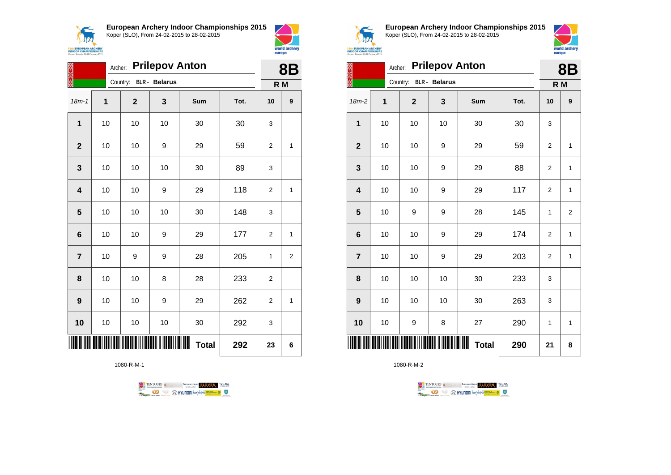



|                         | <b>Prilepov Anton</b><br>Archer: |                        |     |     |      |                |   |  |
|-------------------------|----------------------------------|------------------------|-----|-----|------|----------------|---|--|
|                         |                                  | Country: BLR - Belarus |     |     |      | R M            |   |  |
| $18m - 1$               | $\mathbf 1$                      | $\mathbf 2$            | 3   | Sum | Tot. | 10             | 9 |  |
| 1                       | 10                               | 10                     | 10  | 30  | 30   | 3              |   |  |
| $\overline{2}$          | 10                               | 10                     | 9   | 29  | 59   | $\overline{2}$ | 1 |  |
| 3                       | 10                               | 10                     | 10  | 30  | 89   | 3              |   |  |
| $\overline{\mathbf{4}}$ | 10                               | 10                     | 9   | 29  | 118  | $\overline{2}$ | 1 |  |
| 5                       | 10                               | 10                     | 10  | 30  | 148  | 3              |   |  |
| $6\phantom{1}$          | 10                               | 10                     | 9   | 29  | 177  | $\overline{2}$ | 1 |  |
| $\overline{7}$          | 10                               | 9                      | 9   | 28  | 205  | 1              | 2 |  |
| 8                       | 10                               | 10                     | 8   | 28  | 233  | 2              |   |  |
| 9                       | 10                               | 10                     | 9   | 29  | 262  | 2              | 1 |  |
| 10                      | 10                               | 10                     | 10  | 30  | 292  | 3              |   |  |
|                         |                                  |                        | 292 | 23  | 6    |                |   |  |

1080-R-M-1





**European Archery Indoor Championships 2015** Koper (SLO), From 24-02-2015 to 28-02-2015



| <b>BESTER</b>           | 8Β |                        |    |     |      |                |                |  |
|-------------------------|----|------------------------|----|-----|------|----------------|----------------|--|
|                         |    | Country: BLR - Belarus |    |     |      |                | R M            |  |
| 18m-2                   | 1  | $\mathbf{2}$           | 3  | Sum | Tot. | 10             | 9              |  |
| 1                       | 10 | 10                     | 10 | 30  | 30   | 3              |                |  |
| $\mathbf{2}$            | 10 | 10                     | 9  | 29  | 59   | $\overline{2}$ | $\mathbf{1}$   |  |
| 3                       | 10 | 10                     | 9  | 29  | 88   | 2              | 1              |  |
| $\overline{\mathbf{4}}$ | 10 | 10                     | 9  | 29  | 117  | $\overline{2}$ | $\mathbf{1}$   |  |
| 5                       | 10 | 9                      | 9  | 28  | 145  | 1              | $\overline{2}$ |  |
| 6                       | 10 | 10                     | 9  | 29  | 174  | $\overline{2}$ | 1              |  |
| $\overline{7}$          | 10 | 10                     | 9  | 29  | 203  | $\overline{2}$ | $\mathbf{1}$   |  |
| 8                       | 10 | 10                     | 10 | 30  | 233  | 3              |                |  |
| 9                       | 10 | 10                     | 10 | 30  | 263  | 3              |                |  |
| 10                      | 10 | 9                      | 8  | 27  | 290  | 1              | 1              |  |
|                         |    | 290                    | 21 | 8   |      |                |                |  |

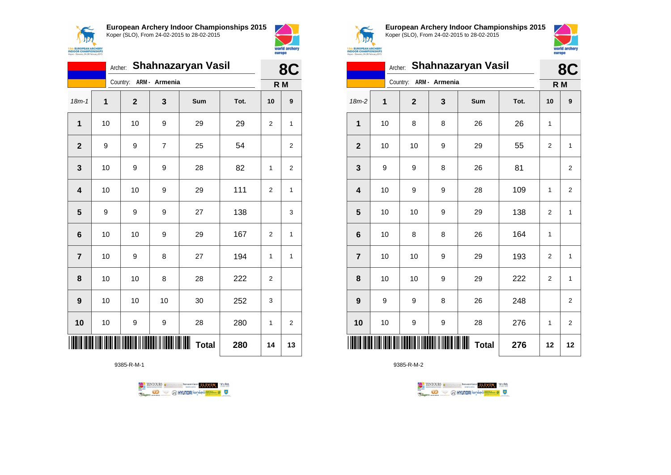



|                | Shahnazaryan Vasil<br>Archer: |                        |                |     |      |                |                  |  |
|----------------|-------------------------------|------------------------|----------------|-----|------|----------------|------------------|--|
|                |                               | Country: ARM - Armenia |                |     |      |                | R M              |  |
| $18m - 1$      | 1                             | $\mathbf{2}$           | 3              | Sum | Tot. | 10             | $\boldsymbol{9}$ |  |
| 1              | 10                            | 10                     | 9              | 29  | 29   | $\overline{2}$ | 1                |  |
| $\mathbf{2}$   | 9                             | 9                      | $\overline{7}$ | 25  | 54   |                | 2                |  |
| 3              | 10                            | 9                      | 9              | 28  | 82   | 1              | 2                |  |
| 4              | 10                            | 10                     | 9              | 29  | 111  | $\overline{2}$ | 1                |  |
| 5              | 9                             | 9                      | 9              | 27  | 138  |                | 3                |  |
| 6              | 10                            | 10                     | 9              | 29  | 167  | $\overline{2}$ | 1                |  |
| $\overline{7}$ | 10                            | 9                      | 8              | 27  | 194  | 1              | 1                |  |
| 8              | 10                            | 10                     | 8              | 28  | 222  | 2              |                  |  |
| 9              | 10                            | 10                     | 10             | 30  | 252  | 3              |                  |  |
| 10             | 10                            | 9                      | 9              | 28  | 280  | 1              | 2                |  |
|                |                               |                        | 280            | 14  | 13   |                |                  |  |

9385-R-M-1





**European Archery Indoor Championships 2015** Koper (SLO), From 24-02-2015 to 28-02-2015



|                         | Archer: Shahnazaryan Vasil |                        |   |                   |      |                |                |  |  |
|-------------------------|----------------------------|------------------------|---|-------------------|------|----------------|----------------|--|--|
|                         |                            | Country: ARM - Armenia |   |                   |      | R M            |                |  |  |
| $18m-2$                 | 1                          | $\mathbf{2}$           | 3 | Sum               | Tot. | 10             | 9              |  |  |
| $\mathbf 1$             | 10                         | 8                      | 8 | 26                | 26   | 1              |                |  |  |
| $\mathbf{2}$            | 10                         | 10                     | 9 | 29                | 55   | $\overline{2}$ | $\mathbf{1}$   |  |  |
| $\mathbf 3$             | 9                          | 9                      | 8 | 26                | 81   |                | 2              |  |  |
| $\overline{\mathbf{4}}$ | 10                         | 9                      | 9 | 28                | 109  | 1              | $\overline{2}$ |  |  |
| $\overline{\mathbf{5}}$ | 10                         | 10                     | 9 | 29                | 138  | $\overline{2}$ | $\mathbf{1}$   |  |  |
| $\bf 6$                 | 10                         | 8                      | 8 | 26                | 164  | 1              |                |  |  |
| $\overline{7}$          | 10                         | 10                     | 9 | 29                | 193  | $\overline{2}$ | 1              |  |  |
| 8                       | 10                         | 10                     | 9 | 29                | 222  | $\mathbf 2$    | $\mathbf{1}$   |  |  |
| $\boldsymbol{9}$        | 9                          | 9                      | 8 | 26                | 248  |                | $\overline{2}$ |  |  |
| 10                      | 10                         | 9                      | 9 | 28                | 276  | 1              | 2              |  |  |
|                         |                            |                        |   | Ш<br><b>Total</b> | 276  | 12             | 12             |  |  |

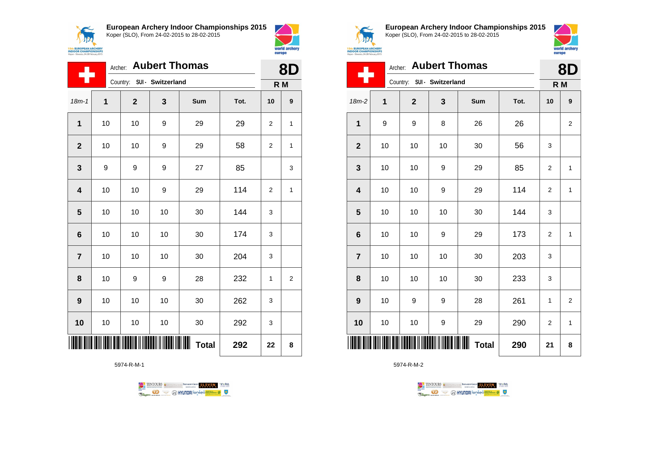



|                         | Archer: Aubert Thomas |              |                            |     |      |                |                         |  |
|-------------------------|-----------------------|--------------|----------------------------|-----|------|----------------|-------------------------|--|
|                         |                       |              | Country: SUI - Switzerland |     |      | R <sub>M</sub> |                         |  |
| $18m - 1$               | 1                     | $\mathbf{2}$ | 3                          | Sum | Tot. | 10             | 9                       |  |
| 1                       | 10                    | 10           | 9                          | 29  | 29   | $\overline{2}$ | 1                       |  |
| $\overline{2}$          | 10                    | 10           | 9                          | 29  | 58   | $\overline{2}$ | 1                       |  |
| 3                       | 9                     | 9            | 9                          | 27  | 85   |                | 3                       |  |
| $\overline{\mathbf{4}}$ | 10                    | 10           | 9                          | 29  | 114  | $\overline{2}$ | 1                       |  |
| 5                       | 10                    | 10           | 10                         | 30  | 144  | 3              |                         |  |
| $6\phantom{1}$          | 10                    | 10           | 10                         | 30  | 174  | 3              |                         |  |
| $\overline{7}$          | 10                    | 10           | 10                         | 30  | 204  | 3              |                         |  |
| 8                       | 10                    | 9            | 9                          | 28  | 232  | 1              | $\overline{\mathbf{c}}$ |  |
| 9                       | 10                    | 10           | 10                         | 30  | 262  | 3              |                         |  |
| 10                      | 10                    | 10           | 10                         | 30  | 292  | 3              |                         |  |
| <b>Total</b><br>292     |                       |              |                            |     |      |                | 8                       |  |

5974-R-M-1





world archery<br>europe

**European Archery Indoor Championships 2015** Koper (SLO), From 24-02-2015 to 28-02-2015



|                         |      | 8D                         |    |                   |      |                |                |
|-------------------------|------|----------------------------|----|-------------------|------|----------------|----------------|
|                         |      | Country: SUI - Switzerland |    |                   |      | R M            |                |
| $18m-2$                 | 1    | $\mathbf{2}$               | 3  | Sum               | Tot. | 10             | 9              |
| 1                       | 9    | 9                          | 8  | 26                | 26   |                | $\overline{2}$ |
| $\mathbf{2}$            | 10   | 10                         | 10 | 30                | 56   | 3              |                |
| $\mathbf{3}$            | 10   | 10                         | 9  | 29                | 85   | $\overline{2}$ | $\mathbf{1}$   |
| $\overline{\mathbf{4}}$ | 10   | 10                         | 9  | 29                | 114  | 2              | 1              |
| 5                       | 10   | 10                         | 10 | 30                | 144  | 3              |                |
| $6\phantom{1}6$         | 10   | 10                         | 9  | 29                | 173  | $\overline{2}$ | $\mathbf{1}$   |
| $\overline{7}$          | 10   | 10                         | 10 | 30                | 203  | 3              |                |
| 8                       | 10   | 10                         | 10 | 30                | 233  | 3              |                |
| 9                       | 10   | 9                          | 9  | 28                | 261  | 1              | $\overline{2}$ |
| 10                      | $10$ | 10                         | 9  | 29                | 290  | $\overline{2}$ | $\mathbf{1}$   |
| ║║                      |      |                            |    | ⊪<br><b>Total</b> | 290  | 21             | 8              |

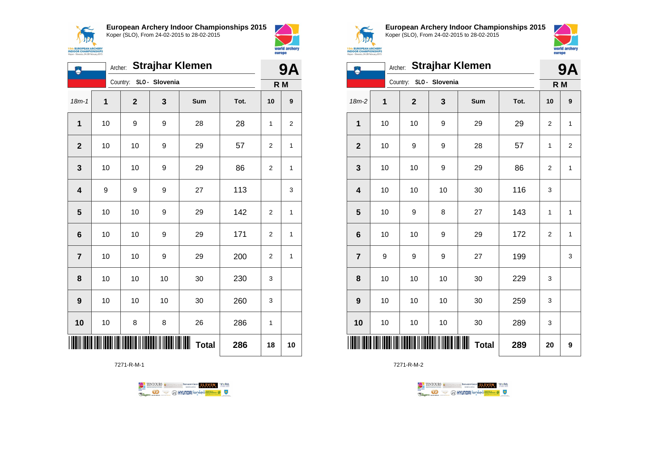



| <b>Strajhar Klemen</b><br>Archer:<br>9,<br>۸<br>SLO - Slovenia<br>Country:<br>R M<br>$18m - 1$<br>1<br>3<br>$\overline{2}$<br>Sum<br>Tot.<br>10<br>$\mathbf{1}$<br>10<br>9<br>9<br>28<br>28<br>1<br>$\overline{2}$<br>10<br>10<br>9<br>29<br>57<br>$\overline{2}$<br>3<br>10<br>86<br>10<br>9<br>29<br>2<br>$\overline{\mathbf{4}}$<br>9<br>9<br>9<br>27<br>113 |    |    |    |              |     |                |                  |  |  |  |
|-----------------------------------------------------------------------------------------------------------------------------------------------------------------------------------------------------------------------------------------------------------------------------------------------------------------------------------------------------------------|----|----|----|--------------|-----|----------------|------------------|--|--|--|
|                                                                                                                                                                                                                                                                                                                                                                 |    |    |    |              |     |                |                  |  |  |  |
|                                                                                                                                                                                                                                                                                                                                                                 |    |    |    |              |     |                | $\boldsymbol{9}$ |  |  |  |
|                                                                                                                                                                                                                                                                                                                                                                 |    |    |    |              |     |                | 2                |  |  |  |
|                                                                                                                                                                                                                                                                                                                                                                 |    |    |    |              |     |                | 1                |  |  |  |
|                                                                                                                                                                                                                                                                                                                                                                 |    |    |    |              |     |                | 1                |  |  |  |
|                                                                                                                                                                                                                                                                                                                                                                 |    |    |    |              |     |                | 3                |  |  |  |
| 5                                                                                                                                                                                                                                                                                                                                                               | 10 | 10 | 9  | 29           | 142 | $\overline{2}$ | 1                |  |  |  |
| 6                                                                                                                                                                                                                                                                                                                                                               | 10 | 10 | 9  | 29           | 171 | 2              | 1                |  |  |  |
| $\overline{7}$                                                                                                                                                                                                                                                                                                                                                  | 10 | 10 | 9  | 29           | 200 | $\overline{2}$ | 1                |  |  |  |
| 8                                                                                                                                                                                                                                                                                                                                                               | 10 | 10 | 10 | 30           | 230 | 3              |                  |  |  |  |
| 9                                                                                                                                                                                                                                                                                                                                                               | 10 | 10 | 10 | 30           | 260 | 3              |                  |  |  |  |
| 10                                                                                                                                                                                                                                                                                                                                                              | 10 | 8  | 8  | 26           | 286 | 1              |                  |  |  |  |
|                                                                                                                                                                                                                                                                                                                                                                 |    |    |    | <b>Total</b> | 286 | 18             | 10               |  |  |  |

7271-R-M-1

TENTOURS of BENJAMING COUP ELEVEN VEBA **OD SOUTHERRY SECTION AND STATE** Ragun



**European Archery Indoor Championships 2015** Koper (SLO), From 24-02-2015 to 28-02-2015



|                         |              |                         |      | Archer: Strajhar Klemen |      |                | <b>9A</b>               |
|-------------------------|--------------|-------------------------|------|-------------------------|------|----------------|-------------------------|
|                         |              | Country: SLO - Slovenia |      |                         |      | R <sub>M</sub> |                         |
| 18m-2                   | $\mathbf{1}$ | $\mathbf 2$             | 3    | Sum                     | Tot. | 10             | 9                       |
| 1                       | 10           | 10                      | 9    | 29                      | 29   | $\overline{2}$ | $\mathbf{1}$            |
| $\mathbf{2}$            | 10           | 9                       | 9    | 28                      | 57   | 1              | $\overline{\mathbf{c}}$ |
| 3                       | 10           | 10                      | 9    | 29                      | 86   | $\overline{2}$ | $\mathbf{1}$            |
| $\overline{\mathbf{4}}$ | 10           | 10                      | 10   | 30                      | 116  | 3              |                         |
| 5                       | 10           | 9                       | 8    | 27                      | 143  | 1              | $\mathbf{1}$            |
| $6\phantom{1}6$         | 10           | 10                      | 9    | 29                      | 172  | 2              | $\mathbf{1}$            |
| $\overline{7}$          | 9            | 9                       | 9    | 27                      | 199  |                | 3                       |
| 8                       | 10           | 10                      | 10   | 30                      | 229  | 3              |                         |
| 9                       | 10           | 10                      | 10   | 30                      | 259  | 3              |                         |
| 10                      | 10           | 10                      | $10$ | 30                      | 289  | 3              |                         |
|                         |              |                         |      | <b>Total</b>            | 289  | 20             | 9                       |

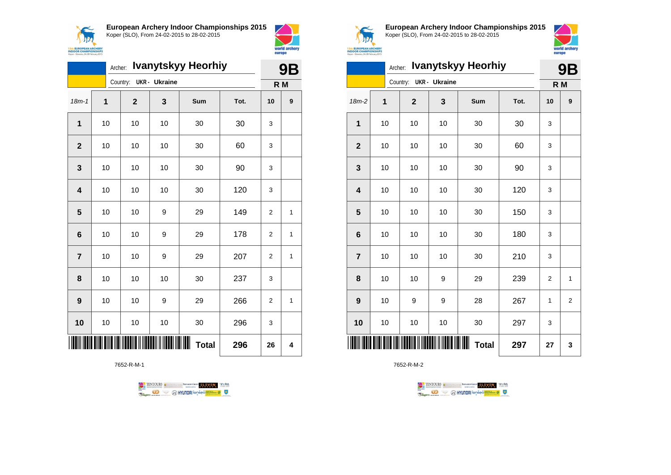



|                         |             | Archer: |                                                       |                      | <b>Ivanytskyy Heorhiy</b> |      |                | <b>9B</b>        |
|-------------------------|-------------|---------|-------------------------------------------------------|----------------------|---------------------------|------|----------------|------------------|
|                         |             |         | Country:                                              | <b>UKR</b> - Ukraine |                           |      | R M            |                  |
| $18m - 1$               | $\mathbf 1$ |         | $\mathbf{2}$                                          | 3                    | Sum                       | Tot. | 10             | $\boldsymbol{9}$ |
| 1                       | 10          |         | 10                                                    | 10                   | 30                        | 30   | 3              |                  |
| $\overline{2}$          | 10          |         | 10                                                    | 10                   | 30                        | 60   | 3              |                  |
| 3                       | 10          |         | 10                                                    | 10                   | 30                        | 90   | 3              |                  |
| $\overline{\mathbf{4}}$ | 10          |         | 10                                                    | 10                   | 30                        | 120  | 3              |                  |
| 5                       | 10          |         | 10                                                    | 9                    | 29                        | 149  | $\overline{2}$ | 1                |
| $6\phantom{1}$          | 10          |         | 10                                                    | 9                    | 29                        | 178  | $\overline{2}$ | 1                |
| $\overline{7}$          | 10          |         | 10                                                    | 9                    | 29                        | 207  | 2              | 1                |
| 8                       | 10          |         | 10                                                    | 10                   | 30                        | 237  | 3              |                  |
| 9                       | 10          |         | 10                                                    | 9                    | 29                        | 266  | $\overline{2}$ | 1                |
| 10                      | 10          |         | 10                                                    | 10                   | 30                        | 296  | 3              |                  |
|                         |             |         | <u>Dine nei Marine II Nederli II Nederlin III Ned</u> |                      | <b>Total</b>              | 296  | 26             | 4                |

7652-R-M-1





**European Archery Indoor Championships 2015** Koper (SLO), From 24-02-2015 to 28-02-2015



|                         |                                            | Archer: |                                  |    | <b>Ivanytskyy Heorhiy</b> |      | <b>9B</b>      |                |  |
|-------------------------|--------------------------------------------|---------|----------------------------------|----|---------------------------|------|----------------|----------------|--|
|                         |                                            |         | Country:<br><b>UKR</b> - Ukraine |    | R M                       |      |                |                |  |
| $18m-2$                 | 1                                          |         | $\mathbf{2}$                     | 3  | Sum                       | Tot. | 10             | 9              |  |
| $\mathbf 1$             | 10                                         |         | 10                               | 10 | 30                        | 30   | 3              |                |  |
| $\mathbf{2}$            | 10                                         |         | 10                               | 10 | 30                        | 60   | 3              |                |  |
| $\mathbf{3}$            | 10                                         |         | 10                               | 10 | 30                        | 90   | 3              |                |  |
| $\overline{\mathbf{4}}$ | 10                                         |         | 10                               | 10 | 30                        | 120  | 3              |                |  |
| 5                       | 10                                         |         | 10                               | 10 | 30                        | 150  | 3              |                |  |
| $\bf 6$                 | 10                                         |         | 10                               | 10 | 30                        | 180  | 3              |                |  |
| $\overline{7}$          | 10                                         |         | 10                               | 10 | 30                        | 210  | 3              |                |  |
| 8                       |                                            |         | 10                               | 9  | 29                        | 239  | $\overline{2}$ | $\mathbf{1}$   |  |
| 9                       |                                            |         | 9                                | 9  | 28                        | 267  | 1              | $\overline{2}$ |  |
| 10                      |                                            |         | 10                               | 10 | 30                        | 297  | 3              |                |  |
|                         | 10<br>10<br>10<br>┉<br><b>Total</b><br>297 |         |                                  |    |                           |      |                |                |  |

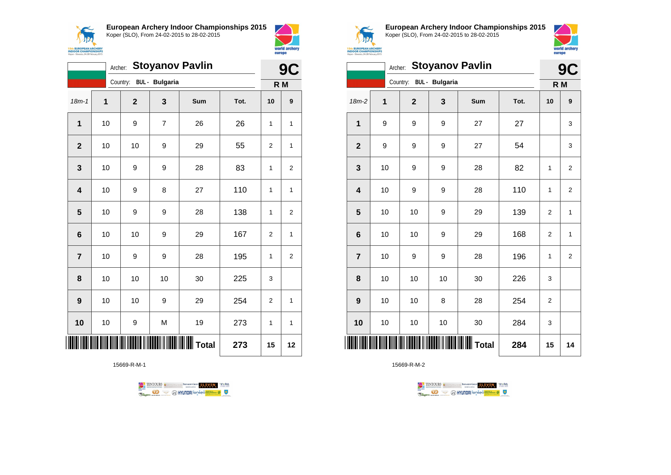



|                         | Archer: |                         |                | <b>Stoyanov Pavlin</b> |      |                | 9<br>C           |
|-------------------------|---------|-------------------------|----------------|------------------------|------|----------------|------------------|
|                         |         | Country: BUL - Bulgaria |                |                        |      | R M            |                  |
| $18m - 1$               | 1       | $\mathbf{2}$            | 3              | Sum                    | Tot. | 10             | $\boldsymbol{9}$ |
| 1                       | 10      | 9                       | $\overline{7}$ | 26                     | 26   | $\mathbf{1}$   | $\mathbf{1}$     |
| $\overline{2}$          | 10      | 10                      | 9              | 29                     | 55   | $\overline{2}$ | 1                |
| 3                       | 10      | 9                       | 9              | 28                     | 83   | 1              | 2                |
| $\overline{\mathbf{4}}$ | 10      | 9                       | 8              | 27                     | 110  | 1              | 1                |
| 5                       | 10      | 9                       | 9              | 28                     | 138  | $\mathbf{1}$   | $\overline{2}$   |
| 6                       | 10      | 10                      | 9              | 29                     | 167  | 2              | $\mathbf{1}$     |
| $\overline{\mathbf{r}}$ | 10      | 9                       | 9              | 28                     | 195  | $\mathbf{1}$   | $\overline{c}$   |
| 8                       | 10      | 10                      | 10             | 30                     | 225  | 3              |                  |
| 9                       | 10      | 10                      | 9              | 29                     | 254  | $\overline{2}$ | $\mathbf{1}$     |
| 10                      | 10      | 9                       | M              | 19                     | 273  | 1              | 1                |
|                         |         |                         |                | <b>II</b> Total        | 273  | 15             | 12               |

15669-R-M-1





**European Archery Indoor Championships 2015** Koper (SLO), From 24-02-2015 to 28-02-2015



|                         |    | Archer:                 |    | <b>Stoyanov Pavlin</b> |      |                | 9C           |
|-------------------------|----|-------------------------|----|------------------------|------|----------------|--------------|
|                         |    | Country: BUL - Bulgaria |    |                        |      |                | R M          |
| $18m-2$                 | 1  | $\mathbf 2$             | 3  | Sum                    | Tot. | 10             | 9            |
| 1                       | 9  | 9                       | 9  | 27                     | 27   |                | 3            |
| $\overline{2}$          | 9  | 9                       | 9  | 27                     | 54   |                | 3            |
| 3                       | 10 | 9                       | 9  | 28                     | 82   | 1              | 2            |
| $\overline{\mathbf{4}}$ | 10 | 9                       | 9  | 28                     | 110  | $\mathbf{1}$   | $\mathbf 2$  |
| 5                       | 10 | 10                      | 9  | 29                     | 139  | 2              | 1            |
| $6\phantom{1}6$         | 10 | 10                      | 9  | 29                     | 168  | $\overline{2}$ | $\mathbf{1}$ |
| $\overline{7}$          | 10 | 9                       | 9  | 28                     | 196  | 1              | 2            |
| 8                       | 10 | 10                      | 10 | 30                     | 226  | 3              |              |
| 9                       | 10 | 10                      | 8  | 28                     | 254  | 2              |              |
| 10                      | 10 | 10                      | 10 | 30                     | 284  | 3              |              |
| ║║                      |    |                         |    | Total                  | 284  | 15             | 14           |

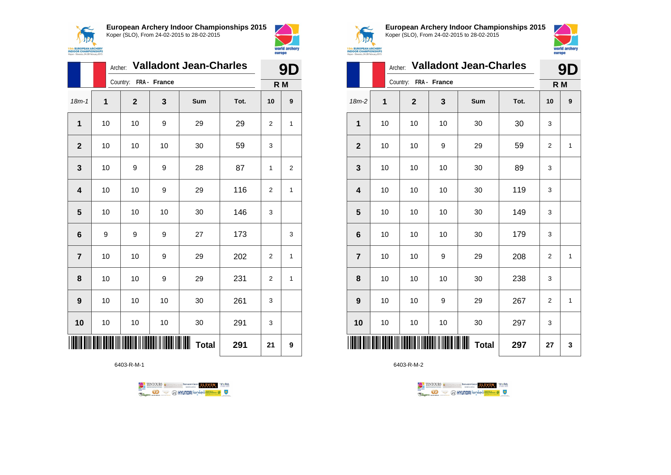



|                         | Archer:      |                       |    | <b>Valladont Jean-Charles</b> |      |                | 9            |
|-------------------------|--------------|-----------------------|----|-------------------------------|------|----------------|--------------|
|                         |              | Country: FRA - France |    |                               |      | R M            |              |
| $18m - 1$               | $\mathbf{1}$ | $\mathbf{2}$          | 3  | Sum                           | Tot. | 10             | 9            |
| 1                       | 10           | 10                    | 9  | 29                            | 29   | 2              | 1            |
| $\overline{2}$          | 10           | 10                    | 10 | 30                            | 59   | 3              |              |
| 3                       | 10           | 9                     | 9  | 28                            | 87   | 1              | 2            |
| $\overline{\mathbf{4}}$ | 10           | 10                    | 9  | 29                            | 116  | 2              | $\mathbf{1}$ |
| 5                       | 10           | 10                    | 10 | 30                            | 146  | 3              |              |
| 6                       | 9            | 9                     | 9  | 27                            | 173  |                | 3            |
| $\overline{7}$          | 10           | 10                    | 9  | 29                            | 202  | $\overline{2}$ | $\mathbf{1}$ |
| 8                       | 10           | 10                    | 9  | 29                            | 231  | 2              | 1            |
| $\boldsymbol{9}$        | 10           | 10                    | 10 | 30                            | 261  | 3              |              |
| 10                      | 10           | 10                    | 10 | 30                            | 291  | 3              |              |
|                         |              |                       |    | ┉<br><b>Total</b>             | 291  | 21             | 9            |

6403-R-M-1





**European Archery Indoor Championships 2015** Koper (SLO), From 24-02-2015 to 28-02-2015



world archer europe

|                         |    |                       |    | Archer: Valladont Jean-Charles |      |                | 9D  |
|-------------------------|----|-----------------------|----|--------------------------------|------|----------------|-----|
|                         |    | Country: FRA - France |    |                                |      |                | R M |
| 18m-2                   | 1  | $\mathbf{2}$          | 3  | Sum                            | Tot. | 10             | 9   |
| 1                       | 10 | 10                    | 10 | 30                             | 30   | 3              |     |
| $\mathbf{2}$            | 10 | 10                    | 9  | 29                             | 59   | $\overline{2}$ | 1   |
| $\mathbf{3}$            | 10 | 10                    | 10 | 30                             | 89   | 3              |     |
| $\overline{\mathbf{4}}$ | 10 | 10                    | 10 | 30                             | 119  | 3              |     |
| 5                       | 10 | 10                    | 10 | 30                             | 149  | 3              |     |
| $\bf 6$                 | 10 | 10                    | 10 | 30                             | 179  | 3              |     |
| $\overline{7}$          | 10 | 10                    | 9  | 29                             | 208  | $\overline{c}$ | 1   |
| 8                       | 10 | 10                    | 10 | 30                             | 238  | 3              |     |
| 9                       | 10 | 10                    | 9  | 29                             | 267  | 2              | 1   |
| 10                      | 10 | 10                    | 10 | 30                             | 297  | 3              |     |
| ║║║║                    |    |                       |    | Ш<br><b>Total</b>              | 297  | 27             | 3   |

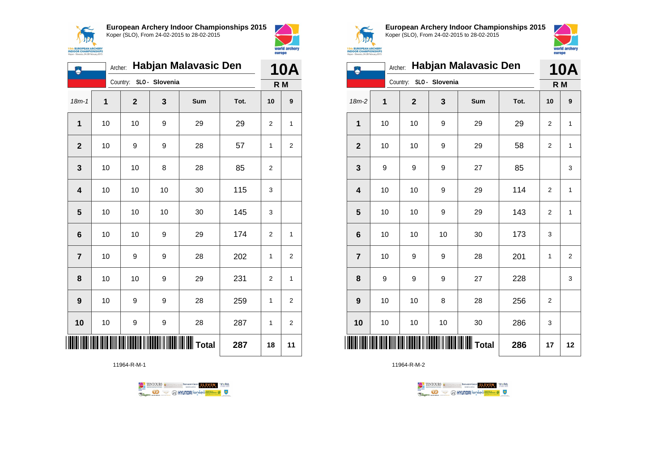



| ۿ                       | Archer:        |              |                | Habjan Malavasic Den   |      |                | <b>10A</b>       |
|-------------------------|----------------|--------------|----------------|------------------------|------|----------------|------------------|
|                         |                | Country:     | SLO - Slovenia |                        |      | R <sub>M</sub> |                  |
| $18m - 1$               | $\overline{1}$ | $\mathbf{2}$ | 3              | Sum                    | Tot. | 10             | $\boldsymbol{9}$ |
| 1                       | 10             | 10           | 9              | 29                     | 29   | $\overline{2}$ | 1                |
| $\overline{2}$          | 10             | 9            | 9              | 28                     | 57   | 1              | $\overline{c}$   |
| 3                       | 10             | 10           | 8              | 28                     | 85   | $\overline{2}$ |                  |
| $\overline{\mathbf{4}}$ | 10             | 10           | 10             | 30                     | 115  | 3              |                  |
| 5                       | 10             | 10           | 10             | 30                     | 145  | 3              |                  |
| $6\phantom{1}6$         | 10             | 10           | 9              | 29                     | 174  | $\overline{2}$ | 1                |
| $\overline{7}$          | 10             | 9            | 9              | 28                     | 202  | 1              | 2                |
| 8                       | 10             | 10           | 9              | 29                     | 231  | 2              | 1                |
| 9                       | 10             | 9            | 9              | 28                     | 259  | 1              | $\overline{2}$   |
| 10                      | 10             | 9            | 9              | 28                     | 287  | 1              | 2                |
|                         |                |              |                | <b>IIIIIIIII</b> Total | 287  | 18             | 11               |

11964-R-M-1





**European Archery Indoor Championships 2015** Koper (SLO), From 24-02-2015 to 28-02-2015



|                  |    |              |                | Archer: Habjan Malavasic Den |      |                | 10A            |
|------------------|----|--------------|----------------|------------------------------|------|----------------|----------------|
|                  |    | Country:     | SLO - Slovenia |                              |      | R <sub>M</sub> |                |
| 18m-2            | 1  | $\mathbf{2}$ | 3              | Sum                          | Tot. | 10             | 9              |
| 1                | 10 | 10           | 9              | 29                           | 29   | 2              | 1              |
| $\overline{2}$   | 10 | 10           | 9              | 29                           | 58   | $\overline{2}$ | $\mathbf{1}$   |
| 3                | 9  | 9            | 9              | 27                           | 85   |                | 3              |
| 4                | 10 | 10           | 9              | 29                           | 114  | 2              | 1              |
| 5                | 10 | 10           | 9              | 29                           | 143  | $\overline{2}$ | 1              |
| $6\phantom{1}6$  | 10 | 10           | 10             | 30                           | 173  | 3              |                |
| $\overline{7}$   | 10 | 9            | 9              | 28                           | 201  | 1              | $\overline{2}$ |
| 8                | 9  | 9            | 9              | 27                           | 228  |                | 3              |
| $\boldsymbol{9}$ | 10 | 10           | 8              | 28                           | 256  | $\overline{2}$ |                |
| 10               | 10 | 10           | 10             | 30                           | 286  | 3              |                |
|                  |    |              |                | IIIIIIIIIII Total            | 286  | 17             | 12             |

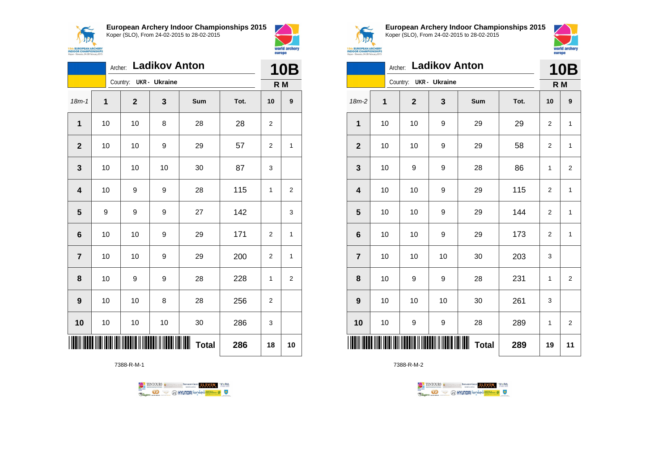



| <b>Ladikov Anton</b><br>Archer:<br><b>10B</b><br>Country: UKR - Ukraine<br>R M<br>$18m - 1$<br>$\overline{1}$<br>3<br>$\mathbf{2}$<br>Sum<br>Tot.<br>10<br>$\mathbf{1}$<br>10<br>28<br>10<br>28<br>8<br>2<br>$\mathbf{2}$<br>10<br>10<br>57<br>9<br>29<br>2<br>3<br>10<br>87<br>10<br>10<br>30<br>3<br>$\overline{\mathbf{4}}$<br>10<br>115<br>9<br>9<br>28<br>1<br>142<br>5<br>9<br>9<br>27<br>9<br>10<br>10<br>9<br>29<br>171<br>6<br>$\overline{2}$<br>10<br>10<br>29<br>200<br>$\overline{\mathbf{r}}$<br>9<br>2<br>10<br>9<br>9<br>8<br>28<br>228<br>1 |    |  |    |    |                    |     |    |                |  |
|-------------------------------------------------------------------------------------------------------------------------------------------------------------------------------------------------------------------------------------------------------------------------------------------------------------------------------------------------------------------------------------------------------------------------------------------------------------------------------------------------------------------------------------------------------------|----|--|----|----|--------------------|-----|----|----------------|--|
|                                                                                                                                                                                                                                                                                                                                                                                                                                                                                                                                                             |    |  |    |    |                    |     |    |                |  |
|                                                                                                                                                                                                                                                                                                                                                                                                                                                                                                                                                             |    |  |    |    |                    |     |    | 9              |  |
|                                                                                                                                                                                                                                                                                                                                                                                                                                                                                                                                                             |    |  |    |    |                    |     |    |                |  |
|                                                                                                                                                                                                                                                                                                                                                                                                                                                                                                                                                             |    |  |    |    |                    |     |    | 1              |  |
|                                                                                                                                                                                                                                                                                                                                                                                                                                                                                                                                                             |    |  |    |    |                    |     |    |                |  |
|                                                                                                                                                                                                                                                                                                                                                                                                                                                                                                                                                             |    |  |    |    |                    |     |    | 2              |  |
|                                                                                                                                                                                                                                                                                                                                                                                                                                                                                                                                                             |    |  |    |    |                    |     |    | 3              |  |
|                                                                                                                                                                                                                                                                                                                                                                                                                                                                                                                                                             |    |  |    |    |                    |     |    | 1              |  |
|                                                                                                                                                                                                                                                                                                                                                                                                                                                                                                                                                             |    |  |    |    |                    |     |    | $\mathbf{1}$   |  |
|                                                                                                                                                                                                                                                                                                                                                                                                                                                                                                                                                             |    |  |    |    |                    |     |    | $\overline{c}$ |  |
| 9                                                                                                                                                                                                                                                                                                                                                                                                                                                                                                                                                           | 10 |  | 10 | 8  | 28                 | 256 | 2  |                |  |
| 10                                                                                                                                                                                                                                                                                                                                                                                                                                                                                                                                                          | 10 |  | 10 | 10 | 30                 | 286 | 3  |                |  |
|                                                                                                                                                                                                                                                                                                                                                                                                                                                                                                                                                             |    |  |    |    | ∭∭<br><b>Total</b> | 286 | 18 | 10             |  |

7388-R-M-1

TENTOURS of BENJAMING COUP ELEVEN VEBA **Company OF CONTROLLS OF BEAM OF CARD OF CARD OF CARD OF CARD OF CARD OF CARD OF CARD OF CARD OF CARD OF CARD OF CARD OF CARD OF CARD OF CARD OF CARD OF CARD OF CARD OF CARD OF CARD OF CARD OF CARD OF CARD OF CARD OF CARD** 



**European Archery Indoor Championships 2015** Koper (SLO), From 24-02-2015 to 28-02-2015



| <b>Sth EUROPEAN ARCHERY<br/>INDOOR CHAMPIONSHIPS</b><br>Koper - Slovenia, 24-28 February 2015 |         |              |                      |            |      | europe         | world archery  |  |  |
|-----------------------------------------------------------------------------------------------|---------|--------------|----------------------|------------|------|----------------|----------------|--|--|
|                                                                                               | Archer: |              | <b>Ladikov Anton</b> |            |      |                | <b>10B</b>     |  |  |
|                                                                                               |         | Country:     | UKR - Ukraine        |            |      |                | R M            |  |  |
| $18m-2$                                                                                       | 1       | $\mathbf{2}$ | 3                    | <b>Sum</b> | Tot. | 10             | 9              |  |  |
| 1                                                                                             | 10      | 10           | 9                    | 29         | 29   | $\overline{2}$ | $\mathbf{1}$   |  |  |
| $\overline{2}$                                                                                | 10      | 10           | 9                    | 29         | 58   | $\overline{2}$ | $\mathbf{1}$   |  |  |
| 3                                                                                             | 10      | 9            | 9                    | 28         | 86   | 1              | $\overline{2}$ |  |  |
| 4                                                                                             | 10      | 10           | 9                    | 29         | 115  | $\overline{2}$ | $\mathbf{1}$   |  |  |
| 5                                                                                             | 10      | 10           | 9                    | 29         | 144  | $\overline{2}$ | $\mathbf{1}$   |  |  |
| 6                                                                                             | 10      | 10           | 9                    | 29         | 173  | 2              | 1              |  |  |
| $\overline{7}$                                                                                | 10      | 10           | 10                   | 30         | 203  | 3              |                |  |  |
| 8                                                                                             | 10      | 9            | 9                    | 28         | 231  | 1              | $\overline{2}$ |  |  |
| 9                                                                                             | 10      | 10           | 10                   | 30         | 261  | 3              |                |  |  |
| 10                                                                                            | 10      | 9            | 9                    | 28         | 289  | 1              | $\overline{2}$ |  |  |
| ║║<br>III III<br><b>Total</b><br>289<br>11<br>19                                              |         |              |                      |            |      |                |                |  |  |

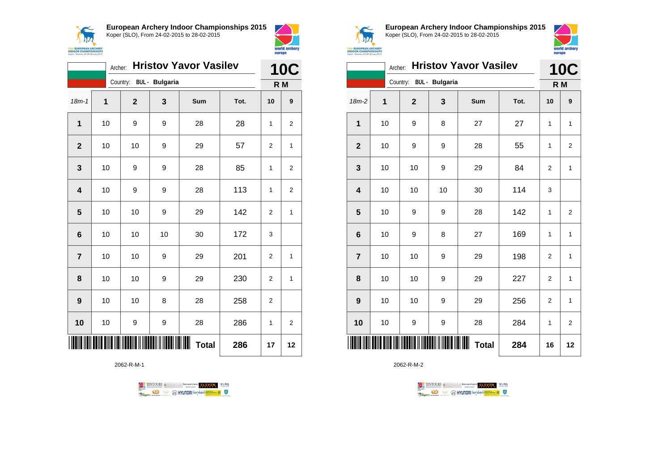



|                | Archer: |             |                         | <b>Hristov Yavor Vasilev</b> |      | <b>10C</b>     |                |
|----------------|---------|-------------|-------------------------|------------------------------|------|----------------|----------------|
|                |         |             | Country: BUL - Bulgaria |                              |      | R <sub>M</sub> |                |
| $18m-1$        | 1       | $\mathbf 2$ | 3                       | Sum                          | Tot. | 10             | 9              |
| 1              | 10      | 9           | 9                       | 28                           | 28   | 1              | 2              |
| $\mathbf{2}$   | 10      | 10          | 9                       | 29                           | 57   | $\overline{2}$ | 1              |
| 3              | 10      | 9           | 9                       | 28                           | 85   | 1              | 2              |
| 4              | 10      | 9           | 9                       | 28                           | 113  | $\mathbf{1}$   | 2              |
| 5              | 10      | 10          | 9                       | 29                           | 142  | $\overline{2}$ | 1              |
| 6              | 10      | 10          | 10                      | 30                           | 172  | 3              |                |
| $\overline{7}$ | 10      | 10          | 9                       | 29                           | 201  | $\overline{2}$ | $\overline{1}$ |
| 8              | 10      | 10          | 9                       | 29                           | 230  | $\overline{2}$ | 1              |
| 9              | 10      | 10          | 8                       | 28                           | 258  | $\overline{2}$ |                |
| 10             | 10      | 9           | 9                       | 28                           | 286  | 1              | $\overline{c}$ |
|                |         |             |                         | <b>Total</b>                 | 286  | 17             | 12             |

2062-R-M-1





**European Archery Indoor Championships 2015** Koper (SLO), From 24-02-2015 to 28-02-2015



|                         | <b>Hristov Yavor Vasilev</b><br>Archer: |  |                |                       |                   |      |                | <b>10C</b>     |
|-------------------------|-----------------------------------------|--|----------------|-----------------------|-------------------|------|----------------|----------------|
|                         |                                         |  | Country:       | <b>BUL</b> - Bulgaria |                   |      | R M            |                |
| 18m-2                   | 1                                       |  | $\overline{2}$ | 3                     | Sum               | Tot. | 10             | 9              |
| $\mathbf 1$             | 10                                      |  | 9              | 8                     | 27                | 27   | 1              | $\mathbf{1}$   |
| $\mathbf{2}$            | 10                                      |  | 9              | 9                     | 28                | 55   | 1              | $\overline{2}$ |
| 3                       | 10                                      |  | 10             | 9                     | 29                | 84   | $\overline{2}$ | $\mathbf{1}$   |
| $\overline{\mathbf{4}}$ | 10                                      |  | 10             | 10                    | 30                | 114  | 3              |                |
| 5                       | 10                                      |  | 9              | 9                     | 28                | 142  | 1              | $\overline{2}$ |
| 6                       | 10                                      |  | 9              | 8                     | 27                | 169  | 1              | $\mathbf{1}$   |
| $\overline{7}$          | 10                                      |  | 10             | 9                     | 29                | 198  | $\overline{2}$ | $\mathbf{1}$   |
| 8                       | 10                                      |  | 10             | 9                     | 29                | 227  | $\overline{c}$ | $\mathbf{1}$   |
| 9                       | 10                                      |  | 10             | 9                     | 29                | 256  | $\overline{2}$ | $\mathbf{1}$   |
| 10                      | 10                                      |  | 9              | 9                     | 28                | 284  | 1              | $\overline{2}$ |
|                         |                                         |  |                |                       | Ш<br><b>Total</b> | 284  | 16             | 12             |

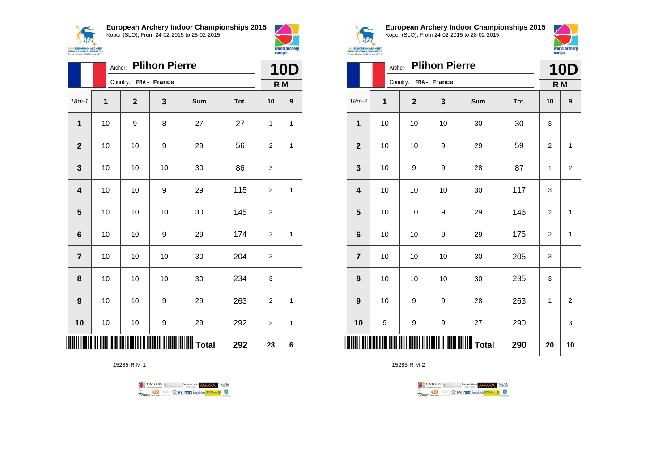



|                         | <b>Plihon Pierre</b><br>Archer: |  |                       |    |          |      |                | <b>10D</b>   |
|-------------------------|---------------------------------|--|-----------------------|----|----------|------|----------------|--------------|
|                         |                                 |  | Country: FRA - France |    |          |      | R M            |              |
| $18m - 1$               | 1                               |  | $\mathbf{2}$          | 3  | Sum      | Tot. | 10             | 9            |
| $\mathbf{1}$            | 10                              |  | 9                     | 8  | 27       | 27   | 1              | 1            |
| $\mathbf{2}$            | 10                              |  | 10                    | 9  | 29       | 56   | 2              | 1            |
| $\mathbf{3}$            | 10                              |  | 10                    | 10 | 30       | 86   | 3              |              |
| $\overline{\mathbf{4}}$ | 10                              |  | 10                    | 9  | 29       | 115  | $\overline{2}$ | $\mathbf{1}$ |
| 5                       | 10                              |  | 10                    | 10 | 30       | 145  | 3              |              |
| $6\phantom{1}6$         | 10                              |  | 10                    | 9  | 29       | 174  | $\overline{2}$ | $\mathbf{1}$ |
| $\overline{7}$          | 10                              |  | 10                    | 10 | 30       | 204  | 3              |              |
| 8                       | 10                              |  | 10                    | 10 | 30       | 234  | 3              |              |
| 9                       | 10                              |  | 10                    | 9  | 29       | 263  | 2              | 1            |
| 10                      | 10                              |  | 10                    | 9  | 29       | 292  | $\overline{2}$ | $\mathbf{1}$ |
|                         |                                 |  |                       |    | ∥∥ Total | 292  | 23             | 6            |

15285-R-M-1





**European Archery Indoor Championships 2015** Koper (SLO), From 24-02-2015 to 28-02-2015



|                 |    | Archer: Plihon Pierre |                  |                  |      | <b>10D</b> |                |
|-----------------|----|-----------------------|------------------|------------------|------|------------|----------------|
|                 |    | Country: FRA - France |                  |                  |      |            | R M            |
| $18m-2$         | 1  | $\mathbf{2}$          | 3                | Sum              | Tot. | 10         | 9              |
| 1               | 10 | 10                    | 10               | 30               | 30   | 3          |                |
| $\mathbf{2}$    | 10 | 10                    | 9                | 29               | 59   | 2          | 1              |
| 3               | 10 | 9                     | 9                | 28               | 87   | 1          | 2              |
| 4               | 10 | 10                    | 10               | 30               | 117  | 3          |                |
| 5               | 10 | 10                    | 9                | 29               | 146  | 2          | 1              |
| $6\phantom{1}6$ | 10 | 10                    | 9                | 29               | 175  | 2          | $\mathbf{1}$   |
| $\overline{7}$  | 10 | 10                    | 10               | 30               | 205  | 3          |                |
| 8               | 10 | 10                    | 10               | 30               | 235  | 3          |                |
| 9               | 10 | 9                     | 9                | 28               | 263  | 1          | $\overline{2}$ |
| 10              | 9  | 9                     | $\boldsymbol{9}$ | 27               | 290  |            | 3              |
| ║║║             |    |                       |                  | <b>WWW</b> Total | 290  | 20         | 10             |

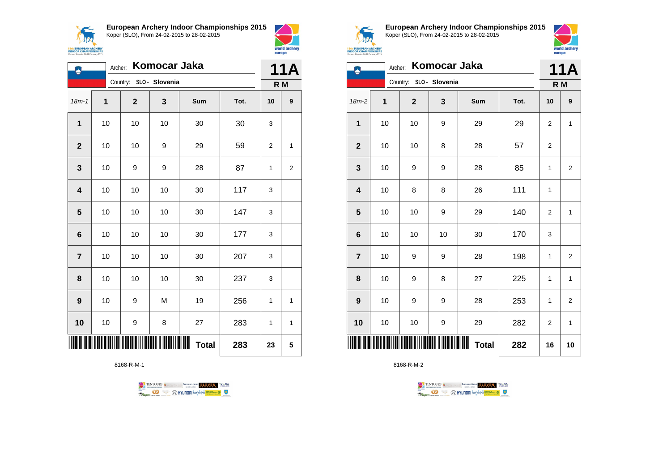

**European Archery Indoor Championships 2015**



| لم                      |    | Archer:                 | Komocar Jaka |                   |      | 11A |                |
|-------------------------|----|-------------------------|--------------|-------------------|------|-----|----------------|
|                         |    | Country: SLO - Slovenia |              |                   |      |     | R M            |
| $18m - 1$               | 1  | $\mathbf{2}$            | 3            | <b>Sum</b>        | Tot. | 10  | 9              |
| $\overline{1}$          | 10 | 10                      | 10           | 30                | 30   | 3   |                |
| $\mathbf{2}$            | 10 | 10                      | 9            | 29                | 59   | 2   | 1              |
| 3                       | 10 | 9                       | 9            | 28                | 87   | 1   | $\overline{c}$ |
| $\overline{\mathbf{4}}$ | 10 | 10                      | 10           | 30                | 117  | 3   |                |
| 5                       | 10 | 10                      | 10           | 30                | 147  | 3   |                |
| $6\phantom{1}$          | 10 | 10                      | 10           | 30                | 177  | 3   |                |
| $\overline{7}$          | 10 | 10                      | 10           | 30                | 207  | 3   |                |
| 8                       | 10 | 10                      | 10           | 30                | 237  | 3   |                |
| $\boldsymbol{9}$        | 10 | 9                       | M            | 19                | 256  | 1   | 1              |
| 10                      | 10 | 9                       | 8            | 27                | 283  | 1   | $\mathbf{1}$   |
|                         |    |                         |              | ∭<br><b>Total</b> | 283  | 23  | 5              |

8168-R-M-1





world archery europe

**European Archery Indoor Championships 2015** Koper (SLO), From 24-02-2015 to 28-02-2015

world archery





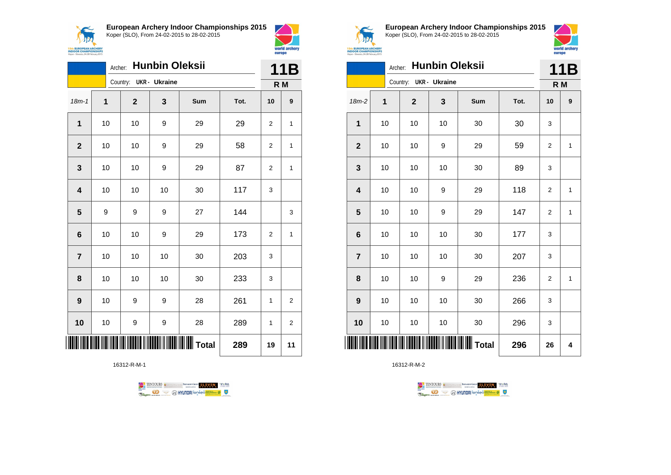



|                         |             | Archer: |                        | <b>Hunbin Oleksii</b> |     |      | 11B |                |
|-------------------------|-------------|---------|------------------------|-----------------------|-----|------|-----|----------------|
|                         |             |         | Country: UKR - Ukraine |                       |     |      | R M |                |
| $18m - 1$               | $\mathbf 1$ |         | $\mathbf{2}$           | 3                     | Sum | Tot. | 10  | 9              |
| $\overline{1}$          | 10          |         | 10                     | 9                     | 29  | 29   | 2   | 1              |
| $\mathbf{2}$            | 10          |         | 10                     | 9                     | 29  | 58   | 2   | 1              |
| 3                       |             | 10      | 10                     | 9                     | 29  | 87   | 2   | 1              |
| $\overline{\mathbf{4}}$ | 10          |         | 10                     | 10                    | 30  | 117  | 3   |                |
| 5                       | 9           |         | 9                      | 9                     | 27  | 144  |     | 3              |
| 6                       |             | 10      | 10                     | 9                     | 29  | 173  | 2   | 1              |
| $\overline{7}$          |             | 10      | 10                     | 10                    | 30  | 203  | 3   |                |
| 8                       |             | 10      | 10                     | 10                    | 30  | 233  | 3   |                |
| 9                       |             | 10      | 9                      | 9                     | 28  | 261  | 1   | $\overline{2}$ |
| 10                      | 10          |         | 9                      | 9                     | 28  | 289  | 1   | $\overline{2}$ |
|                         |             |         |                        |                       |     | 289  | 19  | 11             |

16312-R-M-1





**European Archery Indoor Championships 2015** Koper (SLO), From 24-02-2015 to 28-02-2015



|                | <b>INDOOR CHAMPIONSHIPS</b><br>Koper - Skyresia, 24-28 February 2015 |                |                       |            |      |                |              |  |  |
|----------------|----------------------------------------------------------------------|----------------|-----------------------|------------|------|----------------|--------------|--|--|
|                | Archer:                                                              |                | <b>Hunbin Oleksii</b> |            |      |                | 11B          |  |  |
|                |                                                                      | Country:       | <b>UKR- Ukraine</b>   |            |      |                | R M          |  |  |
| $18m-2$        | 1                                                                    | $\overline{2}$ | 3                     | <b>Sum</b> | Tot. | 10             | 9            |  |  |
| 1              | 10                                                                   | 10             | 10                    | 30         | 30   | 3              |              |  |  |
| $\overline{2}$ | 10                                                                   | 10             | 9                     | 29         | 59   | $\overline{2}$ | 1            |  |  |
| 3              | 10                                                                   | 10             | 10                    | 30         | 89   | 3              |              |  |  |
| 4              | 10                                                                   | 10             | 9                     | 29         | 118  | $\overline{2}$ | 1            |  |  |
| 5              | 10                                                                   | 10             | 9                     | 29         | 147  | $\overline{2}$ | $\mathbf{1}$ |  |  |
| 6              | 10                                                                   | 10             | 10                    | 30         | 177  | 3              |              |  |  |
| $\overline{7}$ | 10                                                                   | 10             | 10                    | 30         | 207  | 3              |              |  |  |
| 8              | 10                                                                   | 10             | 9                     | 29         | 236  | $\overline{2}$ | $\mathbf{1}$ |  |  |
| 9              | 10                                                                   | 10             | 10                    | 30         | 266  | 3              |              |  |  |
| 10             | 10                                                                   | 10             | 10                    | 30         | 296  | 3              |              |  |  |
|                |                                                                      |                |                       |            | 296  | 26             | 4            |  |  |

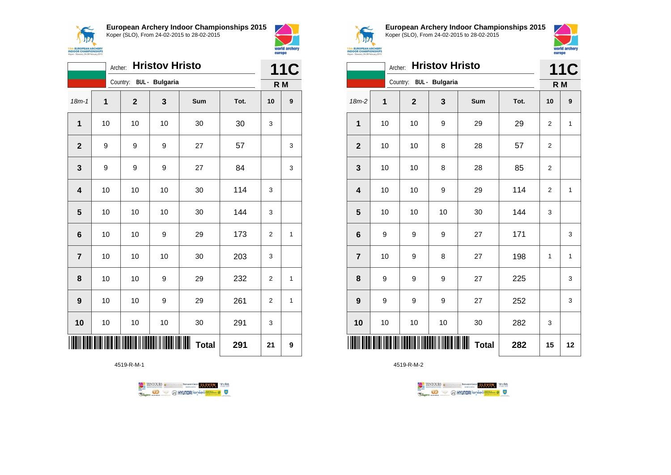



|                 | Archer: |                         | <b>Hristov Hristo</b> |              |      | <b>11C</b>     |                  |
|-----------------|---------|-------------------------|-----------------------|--------------|------|----------------|------------------|
|                 |         | Country: BUL - Bulgaria |                       |              |      |                | R M              |
| $18m - 1$       | 1       | $\mathbf{2}$            | 3                     | Sum          | Tot. | 10             | $\boldsymbol{9}$ |
| 1               | 10      | 10                      | 10                    | 30           | 30   | 3              |                  |
| $\overline{2}$  | 9       | 9                       | 9                     | 27           | 57   |                | 3                |
| 3               | 9       | 9                       | 9                     | 27           | 84   |                | 3                |
| 4               | 10      | 10                      | 10                    | 30           | 114  | 3              |                  |
| 5               | 10      | 10                      | 10                    | 30           | 144  | 3              |                  |
| $6\phantom{1}6$ | 10      | 10                      | 9                     | 29           | 173  | $\overline{2}$ | 1                |
| $\overline{7}$  | 10      | 10                      | 10                    | 30           | 203  | 3              |                  |
| 8               | 10      | 10                      | 9                     | 29           | 232  | $\overline{2}$ | 1                |
| 9               | 10      | 10                      | 9                     | 29           | 261  | 2              | 1                |
| 10              | 10      | 10                      | 10                    | 30           | 291  | 3              |                  |
|                 |         |                         |                       | <b>Total</b> | 291  | 21             | 9                |

4519-R-M-1





**European Archery Indoor Championships 2015** Koper (SLO), From 24-02-2015 to 28-02-2015



|                         |             | Archer:      | <b>Hristov Hristo</b>   |              |      | 11C            |              |
|-------------------------|-------------|--------------|-------------------------|--------------|------|----------------|--------------|
|                         |             |              | Country: BUL - Bulgaria |              |      | R M            |              |
| $18m-2$                 | $\mathbf 1$ | $\mathbf{2}$ | $\mathbf{3}$            | Sum          | Tot. | 10             | 9            |
| 1                       | 10          | 10           | 9                       | 29           | 29   | $\overline{2}$ | $\mathbf{1}$ |
| $\mathbf{2}$            | 10          | 10           | 8                       | 28           | 57   | $\overline{c}$ |              |
| $\mathbf{3}$            | 10          | 10           | 8                       | 28           | 85   | 2              |              |
| $\overline{\mathbf{4}}$ | 10          | 10           | 9                       | 29           | 114  | $\overline{2}$ | $\mathbf{1}$ |
| 5                       | 10          | 10           | 10                      | 30           | 144  | 3              |              |
| $6\phantom{1}6$         | 9           | 9            | 9                       | 27           | 171  |                | 3            |
| $\overline{7}$          | 10          | 9            | 8                       | 27           | 198  | 1              | $\mathbf{1}$ |
| 8                       | 9           | 9            | 9                       | 27           | 225  |                | 3            |
| $\boldsymbol{9}$        | 9           | 9            | 9                       | 27           | 252  |                | 3            |
| 10                      | 10          | 10           | 10                      | 30           | 282  | 3              |              |
|                         |             |              |                         | <b>Total</b> | 282  | 15             | 12           |

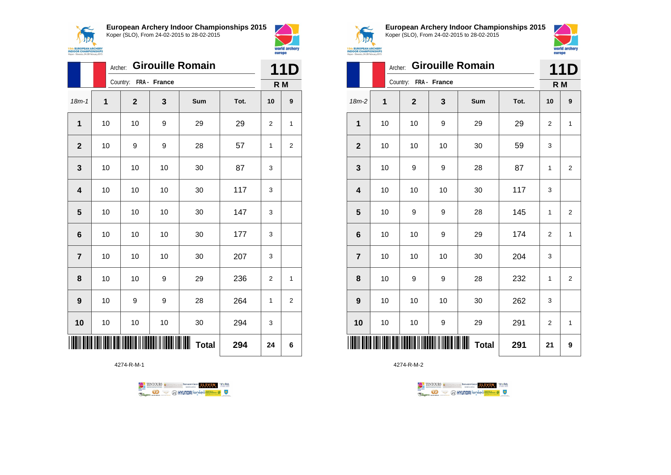



world archery<br>europe

|                | Archer: | <b>Girouille Romain</b> |                      |                        | 11D  |    |                |
|----------------|---------|-------------------------|----------------------|------------------------|------|----|----------------|
|                |         | Country: FRA - France   |                      |                        |      |    | R M            |
| $18m - 1$      | 1       | $\mathbf{2}$            | 3                    | Sum                    | Tot. | 10 | 9              |
| $\mathbf{1}$   | 10      | 10                      | 9                    | 29                     | 29   | 2  | 1              |
| $\mathbf{2}$   | $10$    | 9                       | 9                    | 28                     | 57   | 1  | $\overline{c}$ |
| 3              | 10      | 10                      | 10                   | 30                     | 87   | 3  |                |
| 4              | 10      | 10                      | 10                   | 30                     | 117  | 3  |                |
| 5              | 10      | 10                      | 10                   | 30                     | 147  | 3  |                |
| 6              | 10      | 10                      | 10                   | 30                     | 177  | 3  |                |
| $\overline{7}$ | 10      | 10                      | 10                   | 30                     | 207  | 3  |                |
| 8              | 10      | 10                      | 9                    | 29                     | 236  | 2  | $\mathbf{1}$   |
| 9              | 10      | 9                       | 9                    | 28                     | 264  | 1  | $\overline{2}$ |
| 10             | 10      | 10                      | 10                   | 30                     | 294  | 3  |                |
|                |         |                         | <b>TITIKI ILITTI</b> | IIIIII<br><b>Total</b> | 294  | 24 | 6              |

4274-R-M-1

TENTOURS of BENJAMING COUP ELEVEN VEBA **B** AHYUNDAI lonsed **Williams & Ragma** 



**European Archery Indoor Championships 2015** Koper (SLO), From 24-02-2015 to 28-02-2015



|                         | <b>Girouille Romain</b><br>Archer: |                                                     |    |              |      |                |                  |  |
|-------------------------|------------------------------------|-----------------------------------------------------|----|--------------|------|----------------|------------------|--|
|                         |                                    | Country: FRA - France                               |    |              |      | R M            |                  |  |
| $18m-2$                 | 1                                  | $\mathbf{2}$                                        | 3  | Sum          | Tot. | 10             | $\boldsymbol{9}$ |  |
| 1                       | 10                                 | 10                                                  | 9  | 29           | 29   | 2              | 1                |  |
| $\mathbf{2}$            | 10                                 | 10                                                  | 10 | 30           | 59   | 3              |                  |  |
| 3                       | 10                                 | 9                                                   | 9  | 28           | 87   | 1              | 2                |  |
| $\overline{\mathbf{4}}$ | 10                                 | 10                                                  | 10 | 30           | 117  | 3              |                  |  |
| 5                       | 10                                 | 9                                                   | 9  | 28           | 145  | 1              | $\overline{2}$   |  |
| $\bf 6$                 | 10                                 | 10                                                  | 9  | 29           | 174  | $\overline{c}$ | 1                |  |
| $\overline{7}$          | 10                                 | 10                                                  | 10 | 30           | 204  | 3              |                  |  |
| 8                       | 10                                 | 9                                                   | 9  | 28           | 232  | 1              | $\overline{2}$   |  |
| 9                       | 10                                 | 10                                                  | 10 | 30           | 262  | 3              |                  |  |
| 10                      | 10                                 | 10                                                  | 9  | 29           | 291  | $\overline{2}$ | 1                |  |
| Ш                       |                                    | <u>AIAI III DAINI II III DAINI II II DAINI II I</u> |    | <b>Total</b> | 291  | 21             | 9                |  |

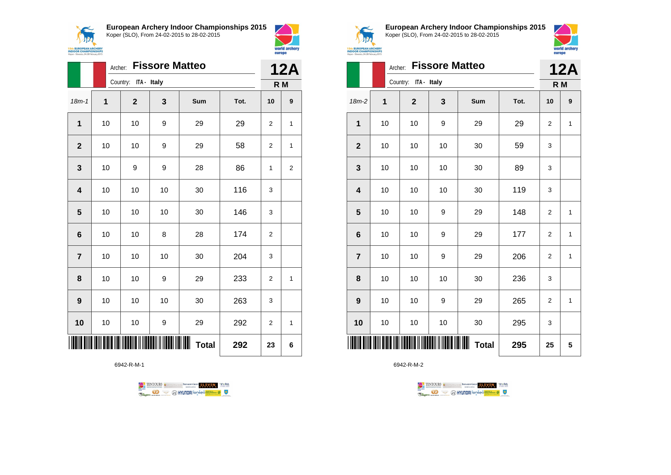

**European Archery Indoor Championships 2015**



|                         | Archer: |                      | <b>12A</b> |              |      |                |              |
|-------------------------|---------|----------------------|------------|--------------|------|----------------|--------------|
|                         |         | Country: ITA - Italy |            |              |      | R <sub>M</sub> |              |
| $18m - 1$               | 1       | $\mathbf{2}$         | 3          | Sum          | Tot. | 10             | 9            |
| $\mathbf{1}$            | 10      | 10                   | 9          | 29           | 29   | $\overline{2}$ | 1            |
| $\mathbf{2}$            | 10      | 10                   | 9          | 29           | 58   | $\overline{2}$ | $\mathbf{1}$ |
| 3                       | 10      | 9                    | 9          | 28           | 86   | 1              | 2            |
| $\overline{\mathbf{4}}$ | 10      | 10                   | 10         | 30           | 116  | 3              |              |
| 5                       | 10      | 10                   | 10         | 30           | 146  | 3              |              |
| $6\phantom{1}6$         | 10      | 10                   | 8          | 28           | 174  | $\overline{2}$ |              |
| $\overline{7}$          | 10      | 10                   | 10         | 30           | 204  | 3              |              |
| 8                       | 10      | 10                   | 9          | 29           | 233  | $\overline{2}$ | 1            |
| $\boldsymbol{9}$        | 10      | 10                   | 10         | 30           | 263  | 3              |              |
| 10                      | 10      | 10                   | 9          | 29           | 292  | $\overline{2}$ | 1            |
| ║║                      |         |                      |            | <b>Total</b> | 292  | 23             | 6            |

6942-R-M-1





world archery

europe

**European Archery Indoor Championships 2015** Koper (SLO), From 24-02-2015 to 28-02-2015



|                         | Archer: |                      |    | <b>12A</b>        |      |                |              |
|-------------------------|---------|----------------------|----|-------------------|------|----------------|--------------|
|                         |         | Country: ITA - Italy |    |                   |      | R M            |              |
| $18m-2$                 | 1       | $\overline{2}$       | 3  | Sum               | Tot. | 10             | 9            |
| 1                       | 10      | 10                   | 9  | 29                | 29   | 2              | $\mathbf{1}$ |
| $\overline{\mathbf{2}}$ | 10      | 10                   | 10 | 30                | 59   | 3              |              |
| 3                       | 10      | 10                   | 10 | 30                | 89   | 3              |              |
| $\overline{\mathbf{4}}$ | 10      | 10                   | 10 | 30                | 119  | 3              |              |
| 5                       | 10      | 10                   | 9  | 29                | 148  | $\overline{2}$ | 1            |
| $6\phantom{1}6$         | 10      | 10                   | 9  | 29                | 177  | $\overline{2}$ | 1            |
| $\overline{7}$          | 10      | 10                   | 9  | 29                | 206  | 2              | 1            |
| 8                       | 10      | 10                   | 10 | 30                | 236  | 3              |              |
| $\boldsymbol{9}$        | 10      | 10                   | 9  | 29                | 265  | 2              | $\mathbf{1}$ |
| 10                      | 10      | 10                   | 10 | 30                | 295  | 3              |              |
|                         |         |                      |    | Ⅲ<br><b>Total</b> | 295  | 25             | 5            |

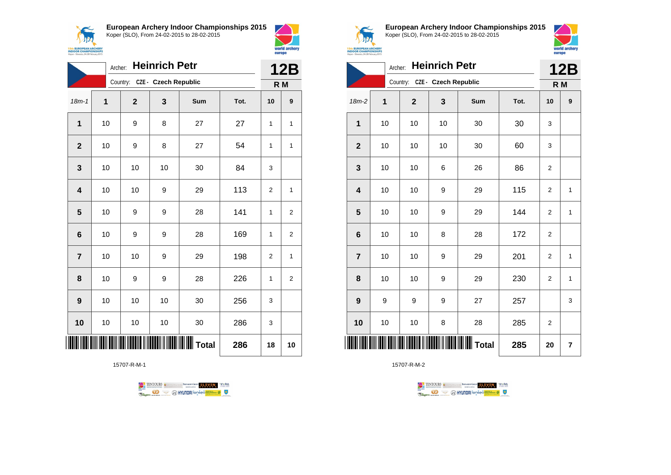



|                         | <b>Heinrich Petr</b><br>Archer: |                |                               |                 |      |     |                  |  |
|-------------------------|---------------------------------|----------------|-------------------------------|-----------------|------|-----|------------------|--|
|                         |                                 |                | Country: CZE - Czech Republic |                 |      | R M |                  |  |
| $18m - 1$               | $\overline{1}$                  | $\overline{2}$ | 3                             | Sum             | Tot. | 10  | 9                |  |
| $\mathbf{1}$            | 10                              | 9              | 8                             | 27              | 27   | 1   | 1                |  |
| $\overline{2}$          | 10                              | 9              | 8                             | 27              | 54   | 1   | 1                |  |
| 3                       | 10                              | 10             | 10                            | 30              | 84   | 3   |                  |  |
| $\overline{\mathbf{4}}$ | 10                              | 10             | 9                             | 29              | 113  | 2   | 1                |  |
| 5                       | 10                              | 9              | 9                             | 28              | 141  | 1   | 2                |  |
| 6                       | 10                              | 9              | 9                             | 28              | 169  | 1   | $\boldsymbol{2}$ |  |
| $\overline{7}$          | 10                              | 10             | 9                             | 29              | 198  | 2   | 1                |  |
| 8                       | 10                              | 9              | 9                             | 28              | 226  | 1   | 2                |  |
| $\boldsymbol{9}$        | 10                              | 10             | 10                            | 30              | 256  | 3   |                  |  |
| 10                      | 10                              | 10             | 10                            | 30              | 286  | 3   |                  |  |
|                         |                                 |                |                               | <b>II</b> Total | 286  | 18  | 10               |  |

15707-R-M-1





**European Archery Indoor Championships 2015** Koper (SLO), From 24-02-2015 to 28-02-2015



**15th EUROPEAN ARCHERY<br>INDOOR CHAMPIONSHIPS**<br>Koper - Slovenia, 24-28 February 2015

|                 | <b>Heinrich Petr</b><br>Archer: |                               |                  |                         |      |                |              |  |
|-----------------|---------------------------------|-------------------------------|------------------|-------------------------|------|----------------|--------------|--|
|                 |                                 | Country: CZE - Czech Republic |                  |                         |      | R <sub>M</sub> |              |  |
| 18m-2           | $\mathbf 1$                     | $\mathbf 2$                   | 3                | Sum                     | Tot. | 10             | 9            |  |
| 1               | 10                              | 10                            | 10               | 30                      | 30   | 3              |              |  |
| $\overline{2}$  | 10                              | 10                            | 10               | 30                      | 60   | 3              |              |  |
| 3               | 10                              | 10                            | 6                | 26                      | 86   | 2              |              |  |
| 4               | 10                              | 10                            | 9                | 29                      | 115  | 2              | 1            |  |
| 5               | 10                              | 10                            | $\boldsymbol{9}$ | 29                      | 144  | $\overline{2}$ | $\mathbf{1}$ |  |
| $6\phantom{1}6$ | 10                              | 10                            | 8                | 28                      | 172  | 2              |              |  |
| $\overline{7}$  | 10                              | 10                            | $\boldsymbol{9}$ | 29                      | 201  | $\overline{2}$ | $\mathbf{1}$ |  |
| 8               | 10                              | 10                            | 9                | 29                      | 230  | 2              | 1            |  |
| 9               | 9                               | 9                             | 9                | 27                      | 257  |                | 3            |  |
| 10              | 10                              | 10                            | 8                | 28                      | 285  | $\overline{2}$ |              |  |
| IIIII           |                                 |                               |                  | <b>WIIIIIIIII</b> Total | 285  | 20             | 7            |  |

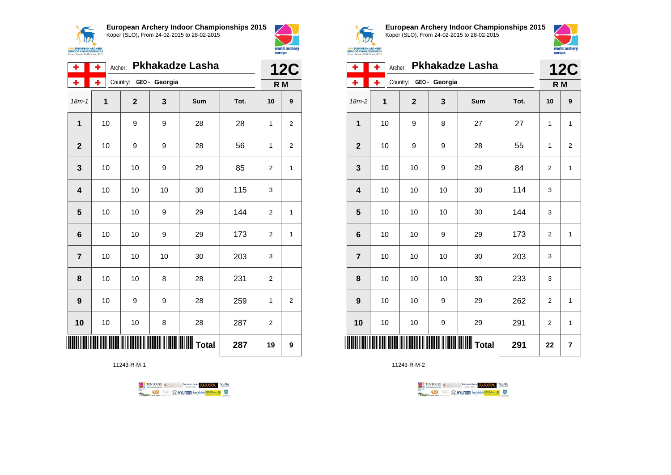



| ۰              | ٠  | <b>Pkhakadze Lasha</b><br>Archer: |    |         |      |                |   |  |
|----------------|----|-----------------------------------|----|---------|------|----------------|---|--|
| ۰              | ٠  | Country: GEO - Georgia            |    |         |      | R M            |   |  |
| $18m - 1$      | 1  | $\mathbf{2}$                      | 3  | Sum     | Tot. | 10             | 9 |  |
| $\mathbf{1}$   | 10 | 9                                 | 9  | 28      | 28   | 1              | 2 |  |
| $\overline{2}$ | 10 | 9                                 | 9  | 28      | 56   | 1              | 2 |  |
| 3              | 10 | 10                                | 9  | 29      | 85   | 2              | 1 |  |
| 4              | 10 | 10                                | 10 | 30      | 115  | 3              |   |  |
| 5              | 10 | 10                                | 9  | 29      | 144  | $\overline{2}$ | 1 |  |
| 6              | 10 | 10                                | 9  | 29      | 173  | $\overline{2}$ | 1 |  |
| $\overline{7}$ | 10 | 10                                | 10 | 30      | 203  | 3              |   |  |
| 8              | 10 | 10                                | 8  | 28      | 231  | 2              |   |  |
| 9              | 10 | 9                                 | 9  | 28      | 259  | 1              | 2 |  |
| 10             | 10 | 10                                | 8  | 28      | 287  | 2              |   |  |
|                |    |                                   |    | ∭ Total | 287  | 19             | 9 |  |

11243-R-M-1





**European Archery Indoor Championships 2015** Koper (SLO), From 24-02-2015 to 28-02-2015



| ۰                       | ÷<br>Archer: | <b>Pkhakadze Lasha</b> |                        | <b>12C</b>      |      |                |                         |
|-------------------------|--------------|------------------------|------------------------|-----------------|------|----------------|-------------------------|
| ۰                       | ÷            |                        | Country: GEO - Georgia |                 |      | R <sub>M</sub> |                         |
| $18m-2$                 | 1            | $\mathbf{2}$           | 3                      | Sum             | Tot. | 10             | 9                       |
| 1                       | 10           | 9                      | 8                      | 27              | 27   | 1              | $\mathbf{1}$            |
| $\overline{2}$          | 10           | 9                      | 9                      | 28              | 55   | 1              | $\overline{2}$          |
| $\mathbf{3}$            | 10           | 10                     | 9                      | 29              | 84   | $\overline{2}$ | 1                       |
| $\overline{\mathbf{4}}$ | 10           | 10                     | 10                     | 30              | 114  | 3              |                         |
| 5                       | 10           | 10                     | 10                     | 30              | 144  | 3              |                         |
| $6\phantom{1}6$         | 10           | 10                     | 9                      | 29              | 173  | $\overline{2}$ | 1                       |
| $\overline{7}$          | 10           | 10                     | 10                     | 30              | 203  | 3              |                         |
| 8                       | 10           | 10                     | 10                     | 30              | 233  | 3              |                         |
| 9                       | 10           | 10                     | 9                      | 29              | 262  | 2              | 1                       |
| 10                      | 10           | 10                     | 9                      | 29              | 291  | 2              | 1                       |
|                         |              |                        |                        | <b>II</b> Total | 291  | 22             | $\overline{\mathbf{r}}$ |

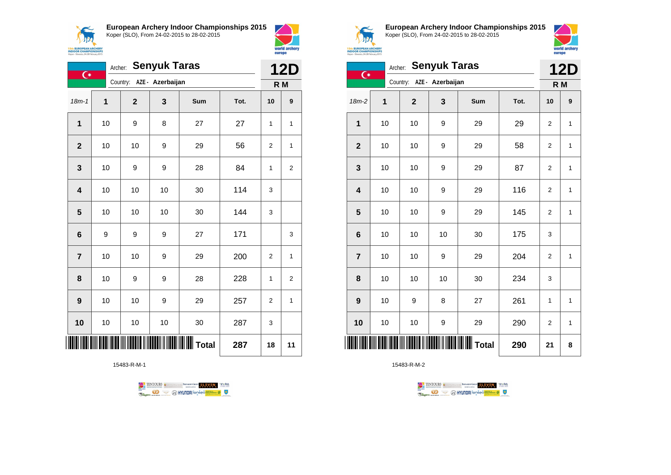**European Archery Indoor Championships 2015**



Koper (SLO), From 24-02-2015 to 28-02-2015



|                         | <b>Senyuk Taras</b><br>Archer:<br>$\overline{C}$ |                           |    |                 |      |                |                         |  |
|-------------------------|--------------------------------------------------|---------------------------|----|-----------------|------|----------------|-------------------------|--|
|                         |                                                  | Country: AZE - Azerbaijan |    |                 |      | R M            |                         |  |
| $18m - 1$               | 1                                                | $\mathbf 2$               | 3  | Sum             | Tot. | 10             | $\boldsymbol{9}$        |  |
| 1                       | 10                                               | 9                         | 8  | 27              | 27   | 1              | 1                       |  |
| $\mathbf{2}$            | 10                                               | 10                        | 9  | 29              | 56   | $\overline{2}$ | 1                       |  |
| $\mathbf{3}$            | 10                                               | 9                         | 9  | 28              | 84   | 1              | $\overline{2}$          |  |
| $\overline{\mathbf{4}}$ | 10                                               | 10                        | 10 | 30              | 114  | 3              |                         |  |
| $\overline{\mathbf{5}}$ | 10                                               | 10                        | 10 | 30              | 144  | 3              |                         |  |
| $\bf 6$                 | 9                                                | 9                         | 9  | 27              | 171  |                | 3                       |  |
| $\overline{7}$          | 10                                               | 10                        | 9  | 29              | 200  | $\overline{2}$ | 1                       |  |
| 8                       | 10                                               | 9                         | 9  | 28              | 228  | 1              | $\overline{\mathbf{c}}$ |  |
| $\boldsymbol{9}$        | 10                                               | 10                        | 9  | 29              | 257  | $\overline{2}$ | 1                       |  |
| 10                      | 10                                               | 10                        | 10 | 30              | 287  | 3              |                         |  |
|                         |                                                  |                           |    | <b>II</b> Total | 287  | 18             | 11                      |  |

15483-R-M-1





**European Archery Indoor Championships 2015** Koper (SLO), From 24-02-2015 to 28-02-2015



| <b>Senyuk Taras</b><br>Archer:<br>$\overline{C}$ |    |                           |    |       |      |                | <b>12D</b>   |  |
|--------------------------------------------------|----|---------------------------|----|-------|------|----------------|--------------|--|
|                                                  |    | Country: AZE - Azerbaijan |    |       |      | R M            |              |  |
| $18m-2$                                          | 1  | $\mathbf{2}$              | 3  | Sum   | Tot. | 10             | 9            |  |
| 1                                                | 10 | 10                        | 9  | 29    | 29   | $\overline{2}$ | $\mathbf{1}$ |  |
| $\overline{2}$                                   | 10 | 10                        | 9  | 29    | 58   | $\overline{2}$ | 1            |  |
| 3                                                | 10 | 10                        | 9  | 29    | 87   | $\overline{2}$ | 1            |  |
| $\overline{\mathbf{4}}$                          | 10 | 10                        | 9  | 29    | 116  | $\overline{2}$ | $\mathbf{1}$ |  |
| 5                                                | 10 | 10                        | 9  | 29    | 145  | $\overline{2}$ | $\mathbf{1}$ |  |
| $6\phantom{1}6$                                  | 10 | 10                        | 10 | 30    | 175  | 3              |              |  |
| $\overline{7}$                                   | 10 | 10                        | 9  | 29    | 204  | $\overline{2}$ | 1            |  |
| 8                                                | 10 | 10                        | 10 | 30    | 234  | 3              |              |  |
| 9                                                | 10 | 9                         | 8  | 27    | 261  | 1              | $\mathbf{1}$ |  |
| 10                                               | 10 | 10                        | 9  | 29    | 290  | $\overline{2}$ | 1            |  |
| ║║║                                              |    |                           |    | Total | 290  | 21             | 8            |  |

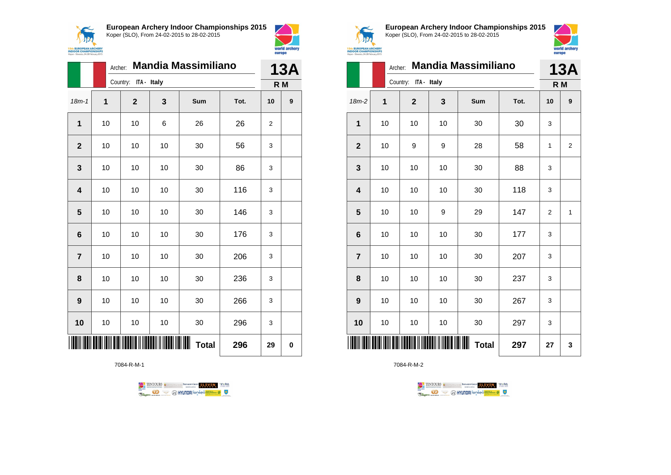



|                         |             | <b>Mandia Massimiliano</b><br>Archer: |    |                        |      |                |   |  |
|-------------------------|-------------|---------------------------------------|----|------------------------|------|----------------|---|--|
|                         |             | Country: ITA - Italy                  |    |                        |      | R M            |   |  |
| $18m - 1$               | $\mathbf 1$ | $\overline{2}$                        | 3  | Sum                    | Tot. | 10             | 9 |  |
| 1                       | 10          | 10                                    | 6  | 26                     | 26   | $\overline{2}$ |   |  |
| $\overline{2}$          | 10          | 10                                    | 10 | 30                     | 56   | 3              |   |  |
| 3                       | 10          | 10                                    | 10 | 30                     | 86   | 3              |   |  |
| $\overline{\mathbf{4}}$ | 10          | 10                                    | 10 | 30                     | 116  | 3              |   |  |
| 5                       | 10          | 10                                    | 10 | 30                     | 146  | 3              |   |  |
| 6                       | 10          | 10                                    | 10 | 30                     | 176  | 3              |   |  |
| $\overline{7}$          | 10          | 10                                    | 10 | 30                     | 206  | 3              |   |  |
| 8                       | 10          | 10                                    | 10 | 30                     | 236  | 3              |   |  |
| $\boldsymbol{9}$        | 10          | 10                                    | 10 | 30                     | 266  | 3              |   |  |
| 10                      | 10          | 10                                    | 10 | 30                     | 296  | 3              |   |  |
|                         |             |                                       |    | IIIIII<br><b>Total</b> | 296  | 29             | 0 |  |

7084-R-M-1





**European Archery Indoor Championships 2015** Koper (SLO), From 24-02-2015 to 28-02-2015



|                         |    | <b>Mandia Massimiliano</b><br>Archer:      |    |                       |      |                |                |  |  |
|-------------------------|----|--------------------------------------------|----|-----------------------|------|----------------|----------------|--|--|
|                         |    | Country: ITA - Italy                       |    |                       |      | R <sub>M</sub> |                |  |  |
| 18m-2                   | 1  | $\overline{2}$                             | 3  | Sum                   | Tot. | 10             | 9              |  |  |
| 1                       | 10 | 10                                         | 10 | 30                    | 30   | 3              |                |  |  |
| $\mathbf{2}$            | 10 | 9                                          | 9  | 28                    | 58   | 1              | $\overline{2}$ |  |  |
| 3                       | 10 | 10                                         | 10 | 30                    | 88   | 3              |                |  |  |
| $\overline{\mathbf{4}}$ | 10 | 10                                         | 10 | 30                    | 118  | 3              |                |  |  |
| $\overline{\mathbf{5}}$ | 10 | 10                                         | 9  | 29                    | 147  | $\mathbf 2$    | $\mathbf{1}$   |  |  |
| $\bf 6$                 | 10 | 10                                         | 10 | 30                    | 177  | 3              |                |  |  |
| $\overline{7}$          | 10 | 10                                         | 10 | 30                    | 207  | 3              |                |  |  |
| 8                       | 10 | 10                                         | 10 | 30                    | 237  | 3              |                |  |  |
| 9                       | 10 | 10                                         | 10 | 30                    | 267  | 3              |                |  |  |
| 10                      | 10 | 10                                         | 10 | 30                    | 297  | 3              |                |  |  |
| IIII                    |    | <u>WIN DIE HAARDIE IN HAARDEE IN HAARD</u> |    | IIIII<br><b>Total</b> | 297  | 27             | 3              |  |  |

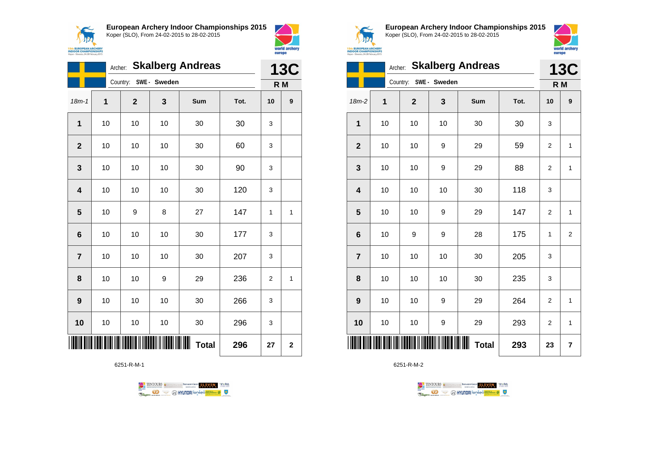



|                 | Archer: |                |                       | <b>Skalberg Andreas</b> |      | <b>13C</b>     |                  |
|-----------------|---------|----------------|-----------------------|-------------------------|------|----------------|------------------|
|                 |         |                | Country: SWE - Sweden |                         |      |                | R M              |
| $18m - 1$       | 1       | $\overline{2}$ | 3                     | Sum                     | Tot. | 10             | $\boldsymbol{9}$ |
| $\mathbf 1$     | 10      | 10             | 10                    | 30                      | 30   | 3              |                  |
| $\overline{2}$  | 10      | 10             | 10                    | 30                      | 60   | 3              |                  |
| 3               | 10      | 10             | 10                    | 30                      | 90   | 3              |                  |
| 4               | 10      | 10             | 10                    | 30                      | 120  | 3              |                  |
| 5               | 10      | 9              | 8                     | 27                      | 147  | 1              | 1                |
| $6\phantom{1}6$ | 10      | 10             | 10                    | 30                      | 177  | 3              |                  |
| $\overline{7}$  | 10      | 10             | 10                    | 30                      | 207  | 3              |                  |
| 8               | 10      | 10             | 9                     | 29                      | 236  | $\overline{2}$ | 1                |
| 9               | 10      | 10             | 10                    | 30                      | 266  | 3              |                  |
| 10              | 10      | 10             | 10                    | 30                      | 296  | 3              |                  |
|                 |         |                |                       | Ш<br><b>Total</b>       | 296  | 27             | $\mathbf{2}$     |

6251-R-M-1





**European Archery Indoor Championships 2015** Koper (SLO), From 24-02-2015 to 28-02-2015



|                         | <b>13C</b> |                       |    |                   |      |                |                |
|-------------------------|------------|-----------------------|----|-------------------|------|----------------|----------------|
|                         |            | Country: SWE - Sweden |    |                   |      | R <sub>M</sub> |                |
| $18m-2$                 | 1          | $\mathbf{2}$          | 3  | Sum               | Tot. | 10             | 9              |
| $\mathbf{1}$            | 10         | 10                    | 10 | 30                | 30   | 3              |                |
| $\overline{2}$          | 10         | 10                    | 9  | 29                | 59   | $\overline{2}$ | $\mathbf{1}$   |
| 3                       | 10         | 10                    | 9  | 29                | 88   | $\overline{2}$ | $\mathbf{1}$   |
| $\overline{\mathbf{4}}$ | 10         | 10                    | 10 | 30                | 118  | 3              |                |
| 5                       | 10         | 10                    | 9  | 29                | 147  | $\overline{2}$ | $\mathbf{1}$   |
| 6                       | 10         | 9                     | 9  | 28                | 175  | 1              | $\overline{2}$ |
| $\overline{7}$          | 10         | 10                    | 10 | 30                | 205  | 3              |                |
| 8                       | 10         | 10                    | 10 | 30                | 235  | 3              |                |
| 9                       | 10         | 10                    | 9  | 29                | 264  | $\overline{2}$ | $\mathbf{1}$   |
| 10                      | 10         | 10                    | 9  | 29                | 293  | $\overline{2}$ | $\mathbf{1}$   |
|                         |            |                       |    | ⊪<br><b>Total</b> | 293  | 23             | 7              |

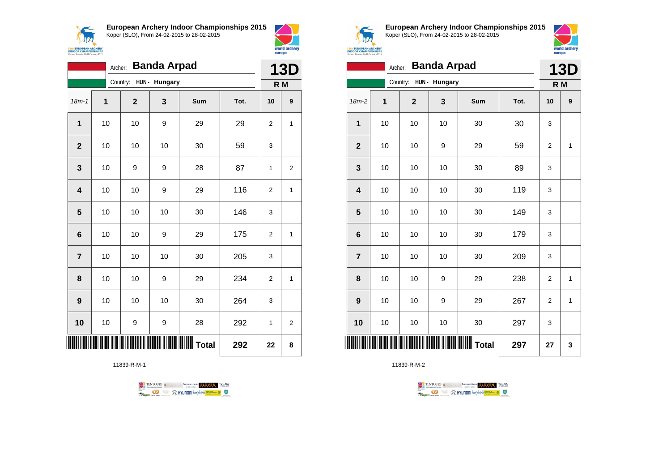

**European Archery Indoor Championships 2015**



|                | <b>Banda Arpad</b><br>Archer:<br>Country: HUN - Hungary |              |     |     |      |                |                |
|----------------|---------------------------------------------------------|--------------|-----|-----|------|----------------|----------------|
|                |                                                         |              |     |     |      |                | R M            |
| $18m - 1$      | $\mathbf 1$                                             | $\mathbf{2}$ | 3   | Sum | Tot. | 10             | 9              |
| $\mathbf{1}$   | 10                                                      | 10           | 9   | 29  | 29   | $\overline{2}$ | 1              |
| $\mathbf{2}$   | 10                                                      | 10           | 10  | 30  | 59   | 3              |                |
| 3              | 10                                                      | 9            | 9   | 28  | 87   | 1              | $\overline{2}$ |
| 4              | 10                                                      | 10           | 9   | 29  | 116  | $\overline{2}$ | 1              |
| 5              | 10                                                      | 10           | 10  | 30  | 146  | 3              |                |
| 6              | 10                                                      | 10           | 9   | 29  | 175  | $\overline{2}$ | 1              |
| $\overline{7}$ | 10                                                      | 10           | 10  | 30  | 205  | 3              |                |
| 8              | 10                                                      | 10           | 9   | 29  | 234  | $\overline{2}$ | 1              |
| 9              | 10                                                      | 10           | 10  | 30  | 264  | 3              |                |
| 10             | 10                                                      | 9            | 9   | 28  | 292  | 1              | $\overline{2}$ |
| ∭              |                                                         |              | 292 | 22  | 8    |                |                |

11839-R-M-1





world archery

europe

**European Archery Indoor Championships 2015** Koper (SLO), From 24-02-2015 to 28-02-2015



|                         | <b>Banda Arpad</b><br>Archer: |                        |    |     |      |                |              |  |
|-------------------------|-------------------------------|------------------------|----|-----|------|----------------|--------------|--|
|                         |                               | Country: HUN - Hungary |    |     |      | R M            |              |  |
| 18m-2                   | 1                             | $\mathbf 2$            | 3  | Sum | Tot. | 10             | 9            |  |
| $\mathbf 1$             | 10                            | 10                     | 10 | 30  | 30   | 3              |              |  |
| $\mathbf{2}$            | 10                            | 10                     | 9  | 29  | 59   | $\overline{2}$ | $\mathbf{1}$ |  |
| 3                       | 10                            | 10                     | 10 | 30  | 89   | 3              |              |  |
| $\overline{\mathbf{4}}$ | 10                            | 10                     | 10 | 30  | 119  | 3              |              |  |
| 5                       | 10                            | 10                     | 10 | 30  | 149  | 3              |              |  |
| $6\phantom{1}6$         | 10                            | 10                     | 10 | 30  | 179  | 3              |              |  |
| $\overline{7}$          | 10                            | 10                     | 10 | 30  | 209  | 3              |              |  |
| 8                       | 10                            | 10                     | 9  | 29  | 238  | $\overline{2}$ | 1            |  |
| 9                       | 10                            | 10                     | 9  | 29  | 267  | $\overline{2}$ | $\mathbf{1}$ |  |
| 10                      | 10                            | 10                     | 10 | 30  | 297  | 3              |              |  |
|                         |                               |                        |    |     | 297  | 27             | 3            |  |

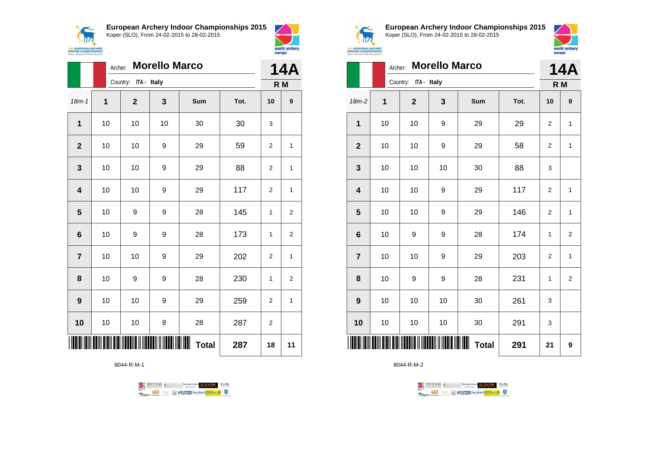$\sqrt{N}$ **15th EUROPEAN ARCHERY**<br>INDOOR CHAMPIONSHIPS<br>Koper - Slovenia, 24-28 February 2015 **European Archery Indoor Championships 2015** Koper (SLO), From 24-02-2015 to 28-02-2015



|                         |             | <b>Morello Marco</b><br>Archer: |    |                   |      |                |                |  |  |
|-------------------------|-------------|---------------------------------|----|-------------------|------|----------------|----------------|--|--|
|                         |             | ITA - Italy<br>Country:         |    |                   |      |                | R M            |  |  |
| $18m - 1$               | $\mathbf 1$ | $\overline{2}$                  | 3  | <b>Sum</b>        | Tot. | 10             | 9              |  |  |
| 1                       | 10          | 10                              | 10 | 30                | 30   | 3              |                |  |  |
| $\overline{2}$          | 10          | 10                              | 9  | 29                | 59   | $\overline{2}$ | 1              |  |  |
| 3                       | 10          | 10                              | 9  | 29                | 88   | $\overline{2}$ | 1              |  |  |
| $\overline{\mathbf{4}}$ | 10          | 10                              | 9  | 29                | 117  | $\overline{2}$ | 1              |  |  |
| 5                       | 10          | 9                               | 9  | 28                | 145  | 1              | $\overline{2}$ |  |  |
| $6\phantom{1}6$         | 10          | 9                               | 9  | 28                | 173  | 1              | 2              |  |  |
| $\overline{7}$          | 10          | 10                              | 9  | 29                | 202  | $\overline{2}$ | 1              |  |  |
| 8                       | 10          | 9                               | 9  | 28                | 230  | 1              | 2              |  |  |
| 9                       | 10          | 10                              | 9  | 29                | 259  | $\overline{2}$ | 1              |  |  |
| 10                      | 10          | 10                              | 8  | 28                | 287  | 2              |                |  |  |
|                         |             |                                 |    | Ш<br><b>Total</b> | 287  | 18             | 11             |  |  |

8044-R-M-1





**European Archery Indoor Championships 2015** Koper (SLO), From 24-02-2015 to 28-02-2015



|                         | Archer: |                | <b>14A</b>  |                        |      |                |                |
|-------------------------|---------|----------------|-------------|------------------------|------|----------------|----------------|
|                         |         | Country:       | ITA - Italy |                        |      | R M            |                |
| $18m-2$                 | 1       | $\overline{2}$ | 3           | Sum                    | Tot. | 10             | 9              |
| $\mathbf 1$             | 10      | 10             | 9           | 29                     | 29   | 2              | $\mathbf{1}$   |
| $\mathbf{2}$            | 10      | 10             | 9           | 29                     | 58   | $\overline{2}$ | $\mathbf{1}$   |
| $\mathbf{3}$            | 10      | 10             | 10          | 30                     | 88   | 3              |                |
| $\overline{\mathbf{4}}$ | 10      | 10             | 9           | 29                     | 117  | $\mathbf 2$    | $\mathbf{1}$   |
| $\overline{\mathbf{5}}$ | 10      | 10             | 9           | 29                     | 146  | $\overline{2}$ | $\mathbf{1}$   |
| $\bf 6$                 | 10      | 9              | 9           | 28                     | 174  | 1              | $\overline{2}$ |
| $\overline{7}$          | 10      | 10             | 9           | 29                     | 203  | $\overline{2}$ | $\mathbf{1}$   |
| 8                       | 10      | 9              | 9           | 28                     | 231  | 1              | 2              |
| $\boldsymbol{9}$        | 10      | 10             | 10          | 30                     | 261  | 3              |                |
| 10                      | 10      | 10             | 10          | 30                     | 291  | 3              |                |
|                         |         |                |             | IIIIII<br><b>Total</b> | 291  | 21             | 9              |

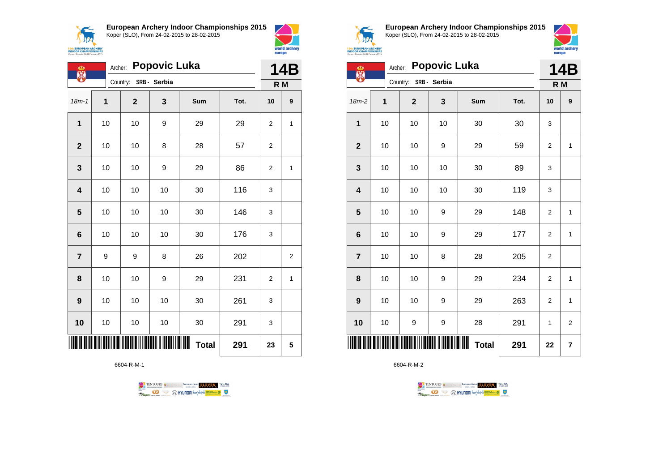



world archery

europe

| ക<br>麗                  |              | <b>Popovic Luka</b><br>Archer: |             |                                                                                                                      |              |      |     |                |  |
|-------------------------|--------------|--------------------------------|-------------|----------------------------------------------------------------------------------------------------------------------|--------------|------|-----|----------------|--|
|                         |              |                                | Country:    | SRB - Serbia                                                                                                         |              |      | R M |                |  |
| $18m - 1$               | $\mathbf{1}$ |                                | $\mathbf 2$ | 3                                                                                                                    | <b>Sum</b>   | Tot. | 10  | 9              |  |
| $\mathbf 1$             | 10           |                                | 10          | 9                                                                                                                    | 29           | 29   | 2   | 1              |  |
| $\mathbf{2}$            | 10           |                                | 10          | 8                                                                                                                    | 28           | 57   | 2   |                |  |
| $\mathbf{3}$            | 10           |                                | 10          | 9                                                                                                                    | 29           | 86   | 2   | 1              |  |
| $\overline{\mathbf{4}}$ | 10           |                                | 10          | 10                                                                                                                   | 30           | 116  | 3   |                |  |
| 5                       | 10           |                                | 10          | 10                                                                                                                   | 30           | 146  | 3   |                |  |
| $\bf 6$                 | 10           |                                | 10          | 10                                                                                                                   | 30           | 176  | 3   |                |  |
| $\overline{7}$          | 9            |                                | 9           | 8                                                                                                                    | 26           | 202  |     | $\overline{2}$ |  |
| 8                       | 10           |                                | 10          | 9                                                                                                                    | 29           | 231  | 2   | 1              |  |
| 9                       | 10           |                                | 10          | 10                                                                                                                   | 30           | 261  | 3   |                |  |
| 10                      | 10           |                                | $10$        | 10                                                                                                                   | 30           | 291  | 3   |                |  |
|                         |              |                                |             | <u>MAN MATAMATIK MATAMATIK MATAMATIK MATAMATIK MATAMATIK MATAMATIK MATAMATIK MATAMATIK MATAMATIK MATAMATIK MATAM</u> | <b>Total</b> | 291  | 23  | 5              |  |

6604-R-M-1





**European Archery Indoor Championships 2015** Koper (SLO), From 24-02-2015 to 28-02-2015



**14B**

| <b>EUROPEAN ARCHERY</b><br><b>DOOR CHAMPIONSHIPS</b><br>per - Slovenia, 24-28 February 2015 |    |                       |                      | europe | world arch |     |   |
|---------------------------------------------------------------------------------------------|----|-----------------------|----------------------|--------|------------|-----|---|
| сÞ<br>鶮                                                                                     |    |                       | Archer: Popovic Luka |        |            |     |   |
|                                                                                             |    | Country: SRB - Serbia |                      |        |            | R M |   |
| $18m-2$                                                                                     | 1  | $\mathbf{2}$          | 3                    | Sum    | Tot.       | 10  | 9 |
| 1                                                                                           | 10 | 10                    | 10                   | 30     | 30         | 3   |   |
| $\mathbf{2}$                                                                                | 10 | 10                    | 9                    | 29     | 59         | 2   | 1 |
| $\mathbf{3}$                                                                                | 10 | 10                    | 10                   | 30     | 89         | 3   |   |
| $\overline{\mathbf{4}}$                                                                     | 10 | 10                    | 10                   | 30     | 119        | 3   |   |
| 5                                                                                           | 10 | 10                    | 9                    | 29     | 148        | 2   | 1 |
| $6\phantom{1}6$                                                                             | 10 | 10                    | 9                    | 29     | 177        | 2   | 1 |
|                                                                                             |    |                       |                      |        |            |     |   |

| III                     |    |    |                  | <b>Total</b> | 291 | 22             | 7              |
|-------------------------|----|----|------------------|--------------|-----|----------------|----------------|
| 10                      | 10 | 9  | $\boldsymbol{9}$ | 28           | 291 | $\mathbf{1}$   | $\overline{2}$ |
| $\mathbf{9}$            | 10 | 10 | $\boldsymbol{9}$ | 29           | 263 | $\overline{2}$ | 1              |
| 8                       | 10 | 10 | 9                | 29           | 234 | $\overline{2}$ | 1              |
| $\overline{7}$          | 10 | 10 | 8                | 28           | 205 | $\overline{2}$ |                |
| $6\phantom{1}$          | 10 | 10 | $\boldsymbol{9}$ | 29           | 177 | 2              | 1              |
| $\overline{\mathbf{5}}$ | 10 | 10 | 9                | 29           | 148 | $\overline{2}$ | 1              |

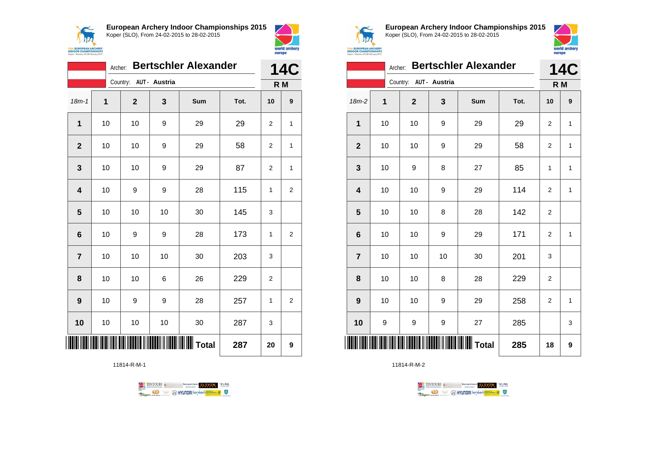



|                | <b>Bertschler Alexander</b><br>Archer: |                        |    |     |      |                |                  |  |
|----------------|----------------------------------------|------------------------|----|-----|------|----------------|------------------|--|
|                |                                        | Country: AUT - Austria |    |     |      | R M            |                  |  |
| $18m - 1$      | 1                                      | $\mathbf{2}$           | 3  | Sum | Tot. | 10             | $\boldsymbol{9}$ |  |
| 1              | 10                                     | 10                     | 9  | 29  | 29   | $\overline{2}$ | 1                |  |
| $\overline{2}$ | 10                                     | 10                     | 9  | 29  | 58   | $\overline{2}$ | 1                |  |
| 3              | 10                                     | 10                     | 9  | 29  | 87   | $\overline{2}$ | $\mathbf{1}$     |  |
| 4              | 10                                     | 9                      | 9  | 28  | 115  | 1              | $\overline{c}$   |  |
| 5              | 10                                     | 10                     | 10 | 30  | 145  | 3              |                  |  |
| 6              | 10                                     | 9                      | 9  | 28  | 173  | $\mathbf{1}$   | $\overline{2}$   |  |
| $\overline{7}$ | 10                                     | 10                     | 10 | 30  | 203  | 3              |                  |  |
| 8              | 10                                     | 10                     | 6  | 26  | 229  | 2              |                  |  |
| 9              | 10                                     | 9                      | 9  | 28  | 257  | 1              | $\overline{2}$   |  |
| 10             | 10                                     | 10                     | 10 | 30  | 287  | 3              |                  |  |
|                |                                        |                        |    |     | 287  | 20             | 9                |  |

11814-R-M-1





**European Archery Indoor Championships 2015** Koper (SLO), From 24-02-2015 to 28-02-2015



|                 | <b>Bertschler Alexander</b><br>Archer: |                        |    |                                                     |      |                |              |
|-----------------|----------------------------------------|------------------------|----|-----------------------------------------------------|------|----------------|--------------|
|                 |                                        | Country: AUT - Austria |    |                                                     |      | R M            |              |
| 18m-2           | 1                                      | $\mathbf{2}$           | 3  | Sum                                                 | Tot. | 10             | 9            |
| 1               | 10                                     | 10                     | 9  | 29                                                  | 29   | 2              | $\mathbf{1}$ |
| $\overline{2}$  | 10                                     | 10                     | 9  | 29                                                  | 58   | $\overline{2}$ | $\mathbf{1}$ |
| 3               | 10                                     | 9                      | 8  | 27                                                  | 85   | 1              | 1            |
| 4               | 10                                     | 10                     | 9  | 29                                                  | 114  | $\overline{2}$ | $\mathbf{1}$ |
| 5               | 10                                     | 10                     | 8  | 28                                                  | 142  | $\mathbf 2$    |              |
| $6\phantom{1}6$ | 10                                     | 10                     | 9  | 29                                                  | 171  | $\overline{2}$ | $\mathbf{1}$ |
| $\overline{7}$  | 10                                     | 10                     | 10 | 30                                                  | 201  | 3              |              |
| 8               | 10                                     | 10                     | 8  | 28                                                  | 229  | 2              |              |
| 9               | 10                                     | 10                     | 9  | 29                                                  | 258  | $\overline{2}$ | $\mathbf{1}$ |
| 10              | 9                                      | 9                      | 9  | 27                                                  | 285  |                | 3            |
| ║║║             |                                        |                        |    | <b>                                      </b> Total | 285  | 18             | 9            |

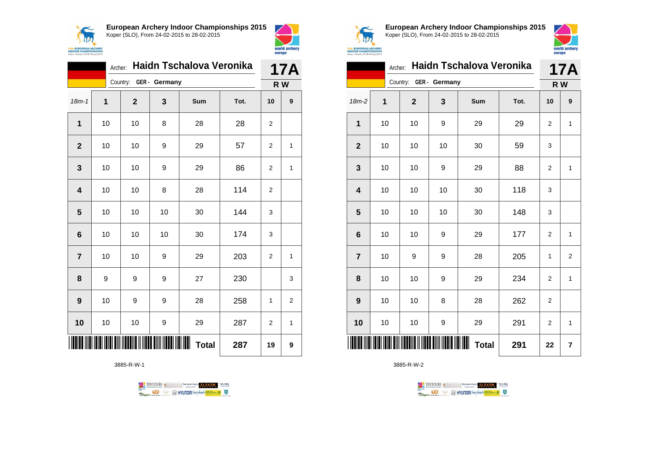



|                 | 17A |                        |                            |              |      |                |     |
|-----------------|-----|------------------------|----------------------------|--------------|------|----------------|-----|
|                 |     | Country: GER - Germany |                            |              |      |                | R W |
| $18m - 1$       | 1   | $\mathbf{2}$           | 3                          | Sum          | Tot. | 10             | 9   |
| 1               | 10  | 10                     | 8                          | 28           | 28   | 2              |     |
| $\overline{2}$  | 10  | 10                     | 9                          | 29           | 57   | 2              | 1   |
| 3               | 10  | 10                     | 9                          | 29           | 86   | $\overline{2}$ | 1   |
| 4               | 10  | 10                     | 8                          | 28           | 114  | $\overline{2}$ |     |
| 5               | 10  | 10                     | 10                         | 30           | 144  | 3              |     |
| $6\phantom{1}6$ | 10  | 10                     | 10                         | 30           | 174  | 3              |     |
| $\overline{7}$  | 10  | 10                     | 9                          | 29           | 203  | $\overline{2}$ | 1   |
| 8               | 9   | 9                      | 9                          | 27           | 230  |                | 3   |
| 9               | 10  | 9                      | 9                          | 28           | 258  | 1              | 2   |
| 10              | 10  | 10                     | 9                          | 29           | 287  | $\overline{2}$ | 1   |
|                 |     |                        | <b>TITANI INDIANA ARAB</b> | <b>Total</b> | 287  | 19             | 9   |

3885-R-W-1





**European Archery Indoor Championships 2015** Koper (SLO), From 24-02-2015 to 28-02-2015



|                         | <b>17A</b>   |                        |    |                   |      |                |                |
|-------------------------|--------------|------------------------|----|-------------------|------|----------------|----------------|
|                         |              | Country: GER - Germany |    |                   |      | R W            |                |
| 18m-2                   | $\mathbf{1}$ | $\mathbf{2}$           | 3  | Sum               | Tot. | 10             | 9              |
| 1                       | 10           | 10                     | 9  | 29                | 29   | $\overline{2}$ | $\mathbf{1}$   |
| $\mathbf{2}$            | 10           | 10                     | 10 | 30                | 59   | 3              |                |
| $\mathbf{3}$            | 10           | 10                     | 9  | 29                | 88   | $\overline{2}$ | $\mathbf{1}$   |
| $\overline{\mathbf{4}}$ | 10           | 10                     | 10 | 30                | 118  | 3              |                |
| 5                       | 10           | 10                     | 10 | 30                | 148  | 3              |                |
| $6\phantom{1}6$         | 10           | 10                     | 9  | 29                | 177  | $\overline{2}$ | $\mathbf{1}$   |
| $\overline{7}$          | 10           | 9                      | 9  | 28                | 205  | 1              | $\overline{2}$ |
| 8                       | 10           | 10                     | 9  | 29                | 234  | $\overline{2}$ | $\mathbf{1}$   |
| $\boldsymbol{9}$        | 10           | 10                     | 8  | 28                | 262  | $\overline{2}$ |                |
| 10                      | 10           | 10                     | 9  | 29                | 291  | $\overline{2}$ | $\mathbf{1}$   |
|                         |              |                        |    | Ш<br><b>Total</b> | 291  | 22             | 7              |

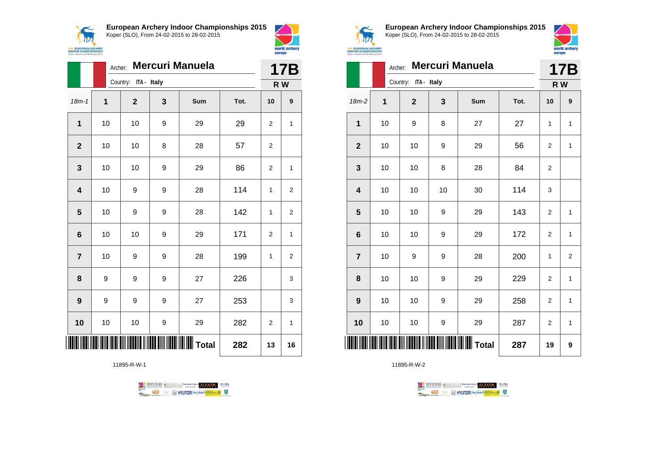



|                         | Archer:     |                      | <b>17B</b> |                 |      |                |                |  |  |
|-------------------------|-------------|----------------------|------------|-----------------|------|----------------|----------------|--|--|
|                         |             | Country: ITA - Italy |            |                 |      |                |                |  |  |
| $18m - 1$               | $\mathbf 1$ | $\mathbf{2}$         | 3          | <b>Sum</b>      | Tot. | 10             | 9              |  |  |
| 1                       | 10          | 10                   | 9          | 29              | 29   | $\overline{2}$ | 1              |  |  |
| $\mathbf{2}$            | 10          | 10                   | 8          | 28              | 57   | 2              |                |  |  |
| 3                       | 10          | 10                   | 9          | 29              | 86   | 2              | $\mathbf{1}$   |  |  |
| 4                       | 10          | 9                    | 9          | 28              | 114  | 1              | 2              |  |  |
| $\overline{\mathbf{5}}$ | 10          | 9                    | 9          | 28              | 142  | 1              | $\overline{c}$ |  |  |
| 6                       | 10          | 10                   | 9          | 29              | 171  | $\overline{2}$ | $\mathbf{1}$   |  |  |
| $\overline{7}$          | 10          | 9                    | 9          | 28              | 199  | 1              | $\overline{2}$ |  |  |
| 8                       | 9           | 9                    | 9          | 27              | 226  |                | 3              |  |  |
| $\boldsymbol{9}$        | 9           | 9                    | 9          | 27              | 253  |                | 3              |  |  |
| 10                      | 10          | 10                   | 9          | 29              | 282  | 2              | 1              |  |  |
|                         |             |                      |            | <b>II</b> Total | 282  | 13             | 16             |  |  |

11895-R-W-1





**European Archery Indoor Championships 2015** Koper (SLO), From 24-02-2015 to 28-02-2015



|                         | Archer: |                      |    | <b>17B</b>      |      |                |                |
|-------------------------|---------|----------------------|----|-----------------|------|----------------|----------------|
|                         |         | Country: ITA - Italy |    |                 |      | R W            |                |
| $18m-2$                 | 1       | $\mathbf 2$          | 3  | Sum             | Tot. | 10             | 9              |
| 1                       | 10      | 9                    | 8  | 27              | 27   | 1              | 1              |
| $\mathbf{2}$            | 10      | 10                   | 9  | 29              | 56   | 2              | 1              |
| 3                       | 10      | 10                   | 8  | 28              | 84   | $\overline{2}$ |                |
| $\overline{\mathbf{4}}$ | 10      | 10                   | 10 | 30              | 114  | 3              |                |
| 5                       | 10      | 10                   | 9  | 29              | 143  | $\overline{2}$ | $\mathbf{1}$   |
| 6                       | 10      | 10                   | 9  | 29              | 172  | $\overline{2}$ | $\mathbf{1}$   |
| $\overline{7}$          | 10      | 9                    | 9  | 28              | 200  | 1              | $\overline{2}$ |
| 8                       | 10      | 10                   | 9  | 29              | 229  | $\overline{2}$ | $\mathbf{1}$   |
| 9                       | 10      | 10                   | 9  | 29              | 258  | $\overline{2}$ | 1              |
| 10                      | 10      | 10                   | 9  | 29              | 287  | 2              | $\mathbf{1}$   |
| ║║║                     |         |                      |    | $\  \ \ $ Total | 287  | 19             | 9              |

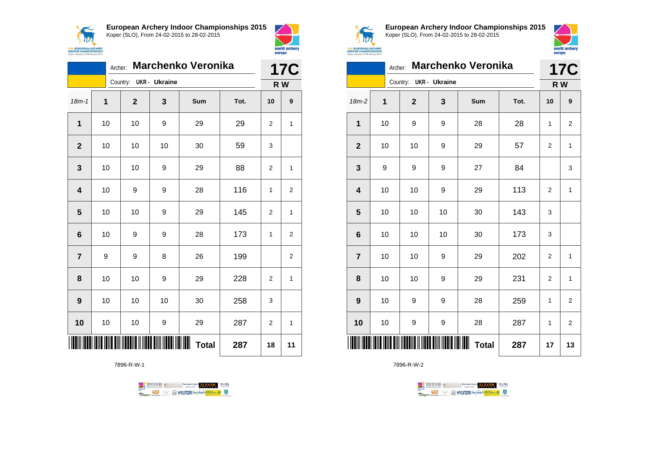



|                 | <b>Marchenko Veronika</b><br>Archer: |  |              |                        |                   |      |                | <b>17C</b>     |  |
|-----------------|--------------------------------------|--|--------------|------------------------|-------------------|------|----------------|----------------|--|
|                 |                                      |  |              | Country: UKR - Ukraine |                   |      |                | R W            |  |
| $18m - 1$       | 1                                    |  | $\mathbf{2}$ | 3                      | Sum               | Tot. | 10             | 9              |  |
| 1               | 10                                   |  | 10           | 9                      | 29                | 29   | 2              | 1              |  |
| $\overline{2}$  | 10                                   |  | 10           | 10                     | 30                | 59   | 3              |                |  |
| 3               | 10                                   |  | 10           | 9                      | 29                | 88   | 2              | 1              |  |
| 4               | 10                                   |  | 9            | 9                      | 28                | 116  | $\mathbf{1}$   | $\overline{2}$ |  |
| 5               | 10                                   |  | 10           | 9                      | 29                | 145  | $\overline{2}$ | $\mathbf{1}$   |  |
| $6\phantom{1}6$ | 10                                   |  | 9            | 9                      | 28                | 173  | $\mathbf{1}$   | $\overline{2}$ |  |
| $\overline{7}$  | 9                                    |  | 9            | 8                      | 26                | 199  |                | 2              |  |
| 8               | 10                                   |  | 10           | 9                      | 29                | 228  | 2              | 1              |  |
| 9               | 10                                   |  | 10           | 10                     | 30                | 258  | 3              |                |  |
| 10              | 10                                   |  | 10           | 9                      | 29                | 287  | 2              | 1              |  |
|                 |                                      |  |              |                        | Ш<br><b>Total</b> | 287  | 18             | 11             |  |

7896-R-W-1





**European Archery Indoor Championships 2015** Koper (SLO), From 24-02-2015 to 28-02-2015



|                         | <b>Marchenko Veronika</b><br>Archer: |                |                      |                   |      |                |                   |  |
|-------------------------|--------------------------------------|----------------|----------------------|-------------------|------|----------------|-------------------|--|
|                         | Country:                             |                | <b>UKR</b> - Ukraine |                   |      |                | <b>17C</b><br>R W |  |
| $18m-2$                 | 1                                    | $\overline{2}$ | 3                    | Sum               | Tot. | 10             | 9                 |  |
| $\mathbf{1}$            | 10                                   | 9              | 9                    | 28                | 28   | 1              | $\overline{2}$    |  |
| $\overline{2}$          | 10                                   | 10             | 9                    | 29                | 57   | $\overline{2}$ | $\mathbf{1}$      |  |
| 3                       | 9                                    | 9              | 9                    | 27                | 84   |                | 3                 |  |
| $\overline{\mathbf{4}}$ | 10                                   | 10             | 9                    | 29                | 113  | 2              | $\mathbf{1}$      |  |
| 5                       | 10                                   | 10             | 10                   | 30                | 143  | 3              |                   |  |
| $6\phantom{1}6$         | 10                                   | 10             | 10                   | 30                | 173  | 3              |                   |  |
| $\overline{7}$          | 10                                   | 10             | 9                    | 29                | 202  | 2              | $\mathbf{1}$      |  |
| 8                       | 10                                   | 10             | 9                    | 29                | 231  | $\mathbf 2$    | $\mathbf{1}$      |  |
| 9                       | 10                                   | 9              | 9                    | 28                | 259  | 1              | $\overline{2}$    |  |
| 10                      | 10                                   | 9              | 9                    | 28                | 287  | 1              | $\overline{2}$    |  |
| Ш                       |                                      |                |                      | Ш<br><b>Total</b> | 287  | 17             | 13                |  |

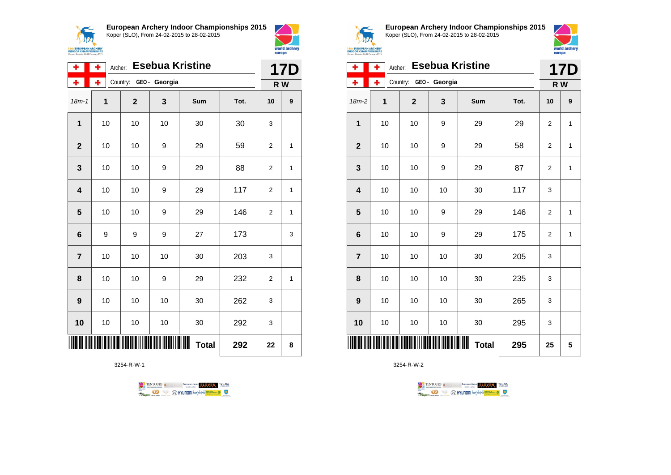



| ٠               | ÷  | <b>Esebua Kristine</b><br>Archer: |    |              |      |                |   |  |  |
|-----------------|----|-----------------------------------|----|--------------|------|----------------|---|--|--|
| ٠               | ÷  | Country: GEO - Georgia            |    |              |      | R W            |   |  |  |
| $18m - 1$       | 1  | $\mathbf{2}$                      | 3  | Sum          | Tot. | 10             | 9 |  |  |
| $\mathbf 1$     | 10 | 10                                | 10 | 30           | 30   | 3              |   |  |  |
| $\mathbf{2}$    | 10 | 10                                | 9  | 29           | 59   | 2              | 1 |  |  |
| 3               | 10 | 10                                | 9  | 29           | 88   | $\overline{2}$ | 1 |  |  |
| 4               | 10 | 10                                | 9  | 29           | 117  | $\overline{2}$ | 1 |  |  |
| 5               | 10 | 10                                | 9  | 29           | 146  | 2              | 1 |  |  |
| $6\phantom{1}6$ | 9  | 9                                 | 9  | 27           | 173  |                | 3 |  |  |
| $\overline{7}$  | 10 | 10                                | 10 | 30           | 203  | 3              |   |  |  |
| 8               | 10 | 10                                | 9  | 29           | 232  | 2              | 1 |  |  |
| 9               | 10 | 10                                | 10 | 30           | 262  | 3              |   |  |  |
| 10              | 10 | 10                                | 10 | 30           | 292  | 3              |   |  |  |
|                 |    |                                   |    | <b>Total</b> | 292  | 22             | 8 |  |  |

3254-R-W-1





**European Archery Indoor Championships 2015** Koper (SLO), From 24-02-2015 to 28-02-2015



| ٠                       | ۰  | <b>Esebua Kristine</b><br>Archer: |              |              |      |                |              |  |  |
|-------------------------|----|-----------------------------------|--------------|--------------|------|----------------|--------------|--|--|
| ۰                       | ÷  | Country:                          | GEO- Georgia |              |      | R W            |              |  |  |
| $18m-2$                 | 1  | $\mathbf{2}$                      | 3            | Sum          | Tot. | 10             | 9            |  |  |
| 1                       | 10 | 10                                | 9            | 29           | 29   | $\overline{2}$ | $\mathbf{1}$ |  |  |
| $\overline{2}$          | 10 | 10                                | 9            | 29           | 58   | $\overline{2}$ | 1            |  |  |
| 3                       | 10 | 10                                | 9            | 29           | 87   | $\overline{2}$ | 1            |  |  |
| $\overline{\mathbf{4}}$ | 10 | 10                                | 10           | 30           | 117  | 3              |              |  |  |
| 5                       | 10 | 10                                | 9            | 29           | 146  | $\overline{2}$ | 1            |  |  |
| 6                       | 10 | 10                                | 9            | 29           | 175  | $\overline{2}$ | 1            |  |  |
| $\overline{7}$          | 10 | 10                                | 10           | 30           | 205  | 3              |              |  |  |
| 8                       | 10 | 10                                | 10           | 30           | 235  | 3              |              |  |  |
| 9                       | 10 | 10                                | 10           | 30           | 265  | 3              |              |  |  |
| 10                      | 10 | 10                                | 10           | 30           | 295  | 3              |              |  |  |
|                         |    |                                   |              | <b>Total</b> | 295  | 25             | 5            |  |  |

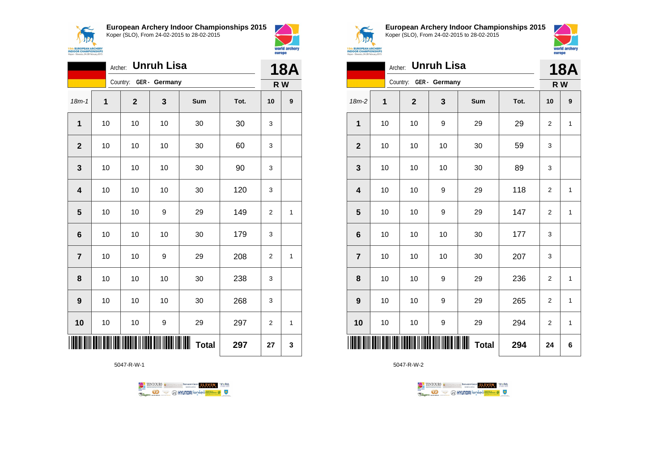



|                         | Unruh Lisa<br>Archer: |                        |    |              |      |                |                  |
|-------------------------|-----------------------|------------------------|----|--------------|------|----------------|------------------|
|                         |                       | Country: GER - Germany |    |              |      |                | R W              |
| $18m - 1$               | 1                     | $\mathbf{2}$           | 3  | Sum          | Tot. | 10             | $\boldsymbol{9}$ |
| 1                       | 10                    | 10                     | 10 | 30           | 30   | 3              |                  |
| $\mathbf{2}$            | 10                    | 10                     | 10 | 30           | 60   | 3              |                  |
| 3                       | 10                    | 10                     | 10 | 30           | 90   | 3              |                  |
| $\overline{\mathbf{4}}$ | 10                    | 10                     | 10 | 30           | 120  | 3              |                  |
| 5                       | 10                    | 10                     | 9  | 29           | 149  | $\overline{2}$ | 1                |
| $6\phantom{1}$          | 10                    | 10                     | 10 | 30           | 179  | 3              |                  |
| $\overline{7}$          | 10                    | 10                     | 9  | 29           | 208  | 2              | 1                |
| 8                       | 10                    | 10                     | 10 | 30           | 238  | 3              |                  |
| 9                       | 10                    | 10                     | 10 | 30           | 268  | 3              |                  |
| 10                      | 10                    | 10                     | 9  | 29           | 297  | $\overline{2}$ | 1                |
|                         |                       |                        |    | <b>Total</b> | 297  | 27             | 3                |

5047-R-W-1





**European Archery Indoor Championships 2015** Koper (SLO), From 24-02-2015 to 28-02-2015



|                         | <b>Unruh Lisa</b><br>Archer: |                        |    |              |      |    |              |
|-------------------------|------------------------------|------------------------|----|--------------|------|----|--------------|
|                         |                              | Country: GER - Germany |    |              |      |    | R W          |
| $18m-2$                 | 1                            | $\mathbf{2}$           | 3  | Sum          | Tot. | 10 | 9            |
| 1                       | 10                           | $10\,$                 | 9  | 29           | 29   | 2  | $\mathbf{1}$ |
| $\boldsymbol{2}$        | 10                           | 10                     | 10 | 30           | 59   | 3  |              |
| 3                       | 10                           | $10\,$                 | 10 | 30           | 89   | 3  |              |
| $\overline{\mathbf{4}}$ | 10                           | 10                     | 9  | 29           | 118  | 2  | 1            |
| $\overline{\mathbf{5}}$ | 10                           | 10                     | 9  | 29           | 147  | 2  | $\mathbf 1$  |
| $\boldsymbol{6}$        | 10                           | 10                     | 10 | 30           | 177  | 3  |              |
| $\overline{7}$          | 10                           | 10                     | 10 | 30           | 207  | 3  |              |
| 8                       | 10                           | 10                     | 9  | 29           | 236  | 2  | 1            |
| $\boldsymbol{9}$        | 10                           | 10                     | 9  | 29           | 265  | 2  | $\mathbf 1$  |
| 10                      | $10$                         | $10$                   | 9  | 29           | 294  | 2  | $\mathbf 1$  |
| ║║║║                    |                              |                        |    | <b>Total</b> | 294  | 24 | 6            |

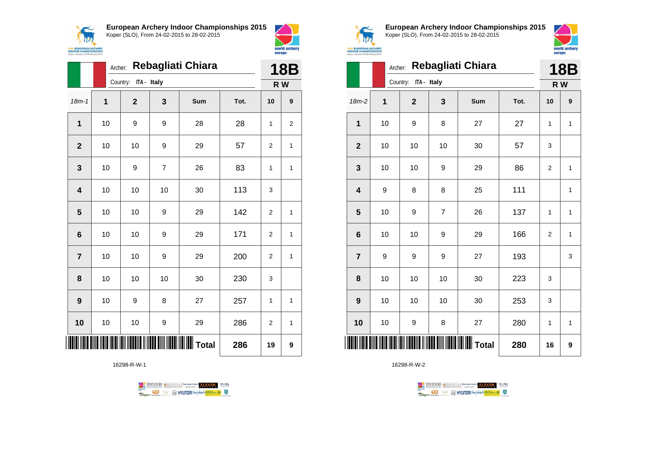



world archery

europe

|                         |    | Rebagliati Chiara<br>Archer: |    |     |      |                |                |  |
|-------------------------|----|------------------------------|----|-----|------|----------------|----------------|--|
|                         |    | Country: ITA - Italy         |    |     |      | R W            |                |  |
| $18m - 1$               | 1  | $\mathbf{2}$                 | 3  | Sum | Tot. | 10             | 9              |  |
| $\mathbf 1$             | 10 | 9                            | 9  | 28  | 28   | 1              | $\overline{2}$ |  |
| $\overline{2}$          | 10 | 10                           | 9  | 29  | 57   | $\overline{2}$ | 1              |  |
| 3                       | 10 | 9                            | 7  | 26  | 83   | $\mathbf{1}$   | 1              |  |
| $\overline{\mathbf{4}}$ | 10 | 10                           | 10 | 30  | 113  | 3              |                |  |
| 5                       | 10 | 10                           | 9  | 29  | 142  | $\overline{2}$ | 1              |  |
| $6\phantom{1}6$         | 10 | 10                           | 9  | 29  | 171  | 2              | 1              |  |
| $\overline{7}$          | 10 | 10                           | 9  | 29  | 200  | 2              | 1              |  |
| 8                       | 10 | 10                           | 10 | 30  | 230  | 3              |                |  |
| $\boldsymbol{9}$        | 10 | 9                            | 8  | 27  | 257  | 1              | 1              |  |
| 10                      | 10 | 10                           | 9  | 29  | 286  | $\overline{2}$ | 1              |  |
|                         |    |                              |    |     | 286  | 19             | 9              |  |

16298-R-W-1





**European Archery Indoor Championships 2015** Koper (SLO), From 24-02-2015 to 28-02-2015



|                 | Archer: |                      |                | <b>18B</b> |      |                |              |
|-----------------|---------|----------------------|----------------|------------|------|----------------|--------------|
|                 |         | Country: ITA - Italy |                |            |      | R W            |              |
| $18m-2$         | 1       | $\mathbf 2$          | 3              | Sum        | Tot. | 10             | 9            |
| 1               | 10      | 9                    | 8              | 27         | 27   | 1              | 1            |
| $\mathbf 2$     | 10      | 10                   | 10             | 30         | 57   | 3              |              |
| 3               | 10      | 10                   | 9              | 29         | 86   | 2              | 1            |
| 4               | 9       | 8                    | 8              | 25         | 111  |                | 1            |
| 5               | 10      | 9                    | $\overline{7}$ | 26         | 137  | 1              | $\mathbf{1}$ |
| $6\phantom{1}6$ | 10      | 10                   | 9              | 29         | 166  | $\overline{2}$ | $\mathbf{1}$ |
| $\overline{7}$  | 9       | 9                    | 9              | 27         | 193  |                | 3            |
| 8               | 10      | 10                   | 10             | 30         | 223  | 3              |              |
| 9               | 10      | 10                   | 10             | 30         | 253  | 3              |              |
| 10              | 10      | 9                    | 8              | 27         | 280  | 1              | 1            |
| IIIII           |         |                      |                |            | 280  | 16             | 9            |

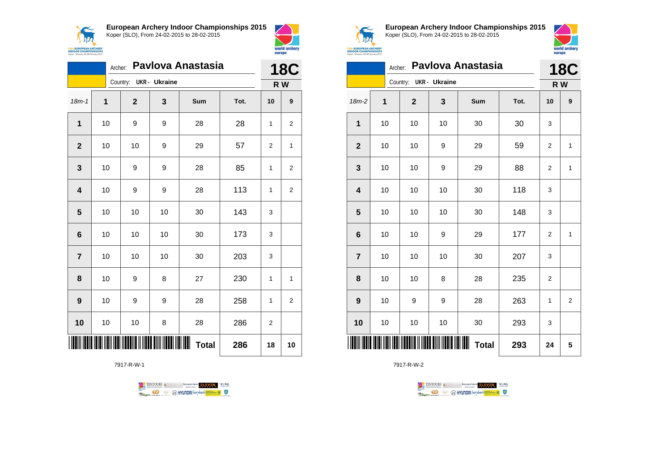



|                | Pavlova Anastasia<br>Archer: |                        |    |              |      |                | <b>18C</b>     |  |
|----------------|------------------------------|------------------------|----|--------------|------|----------------|----------------|--|
|                |                              | Country: UKR - Ukraine |    |              |      |                | R W            |  |
| $18m - 1$      | 1                            | $\mathbf{2}$           | 3  | Sum          | Tot. | 10             | 9              |  |
| 1              | 10                           | 9                      | 9  | 28           | 28   | 1              | $\overline{2}$ |  |
| $\mathbf{2}$   | 10                           | 10                     | 9  | 29           | 57   | $\overline{2}$ | 1              |  |
| 3              | 10                           | 9                      | 9  | 28           | 85   | 1              | $\overline{2}$ |  |
| 4              | 10                           | 9                      | 9  | 28           | 113  | 1              | $\overline{2}$ |  |
| 5              | 10                           | 10                     | 10 | 30           | 143  | 3              |                |  |
| 6              | 10                           | 10                     | 10 | 30           | 173  | 3              |                |  |
| $\overline{7}$ | 10                           | 10                     | 10 | 30           | 203  | 3              |                |  |
| 8              | 10                           | 9                      | 8  | 27           | 230  | 1              | 1              |  |
| 9              | 10                           | 9                      | 9  | 28           | 258  | 1              | $\overline{2}$ |  |
| 10             | 10                           | 10                     | 8  | 28           | 286  | 2              |                |  |
|                |                              |                        |    | <b>Total</b> | 286  | 18             | 10             |  |

7917-R-W-1





**European Archery Indoor Championships 2015** Koper (SLO), From 24-02-2015 to 28-02-2015



|                         | Pavlova Anastasia<br>Archer: |          |                |    |                       |      |                | <b>18C</b>     |  |
|-------------------------|------------------------------|----------|----------------|----|-----------------------|------|----------------|----------------|--|
|                         |                              | Country: | UKR - Ukraine  |    | R W                   |      |                |                |  |
| $18m-2$                 | 1                            |          | $\overline{2}$ | 3  | Sum                   | Tot. | 10             | 9              |  |
| $\mathbf{1}$            | 10                           |          | 10             | 10 | 30                    | 30   | 3              |                |  |
| $\boldsymbol{2}$        | 10                           |          | 10             | 9  | 29                    | 59   | $\overline{2}$ | 1              |  |
| $\mathbf{3}$            | 10                           |          | 10             | 9  | 29                    | 88   | $\overline{2}$ | $\mathbf{1}$   |  |
| $\overline{\mathbf{4}}$ | 10                           |          | 10             | 10 | 30                    | 118  | 3              |                |  |
| $\overline{\mathbf{5}}$ | 10                           |          | 10             | 10 | 30                    | 148  | 3              |                |  |
| $\bf 6$                 | 10                           |          | 10             | 9  | 29                    | 177  | 2              | 1              |  |
| $\overline{7}$          | 10                           |          | 10             | 10 | 30                    | 207  | 3              |                |  |
| 8                       | 10                           |          | 10             | 8  | 28                    | 235  | 2              |                |  |
| 9                       | 10                           |          | 9              | 9  | 28                    | 263  | 1              | $\overline{2}$ |  |
| 10                      | 10                           |          | 10             | 10 | 30                    | 293  | 3              |                |  |
| IIII                    |                              |          |                |    | IIIII<br><b>Total</b> | 293  | 24             | 5              |  |

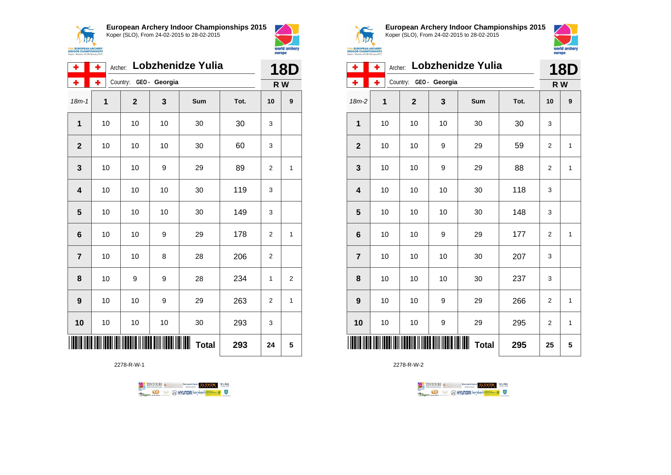



| ۰               | ٠<br>Archer: | Lobzhenidze Yulia      | <b>18D</b> |                   |      |                |                |
|-----------------|--------------|------------------------|------------|-------------------|------|----------------|----------------|
| ۰               | ÷            | Country: GEO - Georgia |            |                   |      | R W            |                |
| $18m - 1$       | 1            | $\overline{2}$         | 3          | Sum               | Tot. | 10             | 9              |
| 1               | 10           | 10                     | 10         | 30                | 30   | 3              |                |
| $\overline{2}$  | 10           | 10                     | 10         | 30                | 60   | 3              |                |
| 3               | 10           | 10                     | 9          | 29                | 89   | $\overline{2}$ | 1              |
| 4               | 10           | 10                     | 10         | 30                | 119  | 3              |                |
| 5               | 10           | 10                     | 10         | 30                | 149  | 3              |                |
| $6\phantom{1}6$ | 10           | 10                     | 9          | 29                | 178  | $\overline{2}$ | 1              |
| $\overline{7}$  | 10           | 10                     | 8          | 28                | 206  | $\overline{2}$ |                |
| 8               | 10           | 9                      | 9          | 28                | 234  | 1              | $\overline{2}$ |
| 9               | 10           | 10                     | 9          | 29                | 263  | $\overline{2}$ | 1              |
| 10              | 10           | 10                     | 10         | 30                | 293  | 3              |                |
|                 |              |                        |            | Ш<br><b>Total</b> | 293  | 24             | 5              |

2278-R-W-1





**European Archery Indoor Championships 2015** Koper (SLO), From 24-02-2015 to 28-02-2015



| ۰                       | ÷            | Archer: |              |                        | <b>Lobzhenidze Yulia</b> |      |                | 18D          |
|-------------------------|--------------|---------|--------------|------------------------|--------------------------|------|----------------|--------------|
| ٠                       | ÷            |         |              | Country: GEO - Georgia |                          |      | R W            |              |
| $18m-2$                 | $\mathbf{1}$ |         | $\mathbf{2}$ | 3                      | Sum                      | Tot. | 10             | 9            |
| 1                       | 10           |         | 10           | 10                     | 30                       | 30   | 3              |              |
| $\overline{\mathbf{2}}$ | 10           |         | 10           | 9                      | 29                       | 59   | $\overline{2}$ | $\mathbf{1}$ |
| 3                       | 10           |         | 10           | 9                      | 29                       | 88   | $\overline{2}$ | 1            |
| 4                       | 10           |         | 10           | 10                     | 30                       | 118  | 3              |              |
| 5                       | 10           |         | 10           | 10                     | 30                       | 148  | 3              |              |
| 6                       | 10           |         | 10           | 9                      | 29                       | 177  | 2              | 1            |
| $\overline{7}$          | 10           |         | 10           | 10                     | 30                       | 207  | 3              |              |
| 8                       | 10           |         | 10           | 10                     | 30                       | 237  | 3              |              |
| 9                       | 10           |         | 10           | 9                      | 29                       | 266  | $\overline{2}$ | 1            |
| 10                      | 10           |         | 10           | 9                      | 29                       | 295  | $\overline{2}$ | 1            |
|                         |              |         |              |                        | <b>Total</b>             | 295  | 25             | 5            |

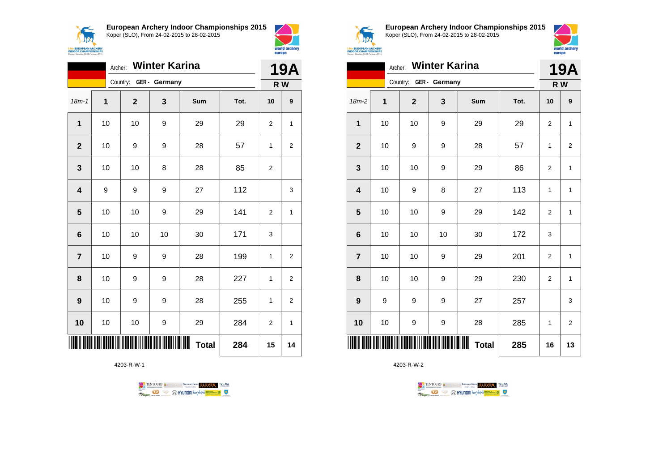



world archery

europe

|                | Archer:          |                        | <b>Winter Karina</b> |                   |      | <b>19A</b> |                  |
|----------------|------------------|------------------------|----------------------|-------------------|------|------------|------------------|
|                |                  | Country: GER - Germany |                      |                   |      | R W        |                  |
| $18m - 1$      | 1                | $\mathbf 2$            | 3                    | Sum               | Tot. | 10         | $\boldsymbol{9}$ |
| 1              | 10               | 10                     | 9                    | 29                | 29   | 2          | 1                |
| $\mathbf{2}$   | 10               | 9                      | 9                    | 28                | 57   | 1          | $\mathbf{2}$     |
| 3              | 10               | 10                     | 8                    | 28                | 85   | 2          |                  |
| 4              | $\boldsymbol{9}$ | 9                      | 9                    | 27                | 112  |            | 3                |
| 5              | 10               | 10                     | 9                    | 29                | 141  | 2          | 1                |
| 6              | $10$             | 10                     | 10                   | 30                | 171  | 3          |                  |
| $\overline{7}$ | 10               | 9                      | 9                    | 28                | 199  | 1          | 2                |
| 8              | 10               | 9                      | 9                    | 28                | 227  | 1          | 2                |
| 9              | 10               | 9                      | 9                    | 28                | 255  | 1          | $\overline{c}$   |
| 10             | 10               | 10                     | 9                    | 29                | 284  | 2          | 1                |
|                |                  |                        |                      | Ш<br><b>Total</b> | 284  | 15         | 14               |

4203-R-W-1





**European Archery Indoor Championships 2015** Koper (SLO), From 24-02-2015 to 28-02-2015



| <b>UROPEAN ARCHERY</b><br><b>OR CHAMPIONSHIPS</b> |  |
|---------------------------------------------------|--|
| Slovenia, 24-28 February 2015                     |  |

|                         |             | Archer: Winter Karina  |    |                     |      | <b>19A</b>     |                |
|-------------------------|-------------|------------------------|----|---------------------|------|----------------|----------------|
|                         |             | Country: GER - Germany |    |                     |      | R W            |                |
| $18m-2$                 | $\mathbf 1$ | $\mathbf{2}$           | 3  | Sum                 | Tot. | 10             | 9              |
| $\mathbf{1}$            | 10          | 10                     | 9  | 29                  | 29   | $\overline{2}$ | $\mathbf{1}$   |
| $\mathbf{2}$            | 10          | 9                      | 9  | 28                  | 57   | 1              | 2              |
| $\mathbf{3}$            | 10          | 10                     | 9  | 29                  | 86   | 2              | 1              |
| $\overline{\mathbf{4}}$ | 10          | 9                      | 8  | 27                  | 113  | 1              | 1              |
| 5                       | 10          | 10                     | 9  | 29                  | 142  | $\overline{2}$ | $\mathbf{1}$   |
| $\bf 6$                 | 10          | 10                     | 10 | 30                  | 172  | 3              |                |
| $\overline{7}$          | 10          | 10                     | 9  | 29                  | 201  | $\overline{2}$ | $\mathbf{1}$   |
| 8                       | 10          | 10                     | 9  | 29                  | 230  | $\overline{2}$ | $\mathbf{1}$   |
| 9                       | 9           | 9                      | 9  | 27                  | 257  |                | 3              |
| 10                      | 10          | 9                      | 9  | 28                  | 285  | 1              | $\overline{2}$ |
| ║║║                     |             |                        |    | ║║║<br><b>Total</b> | 285  | 16             | 13             |

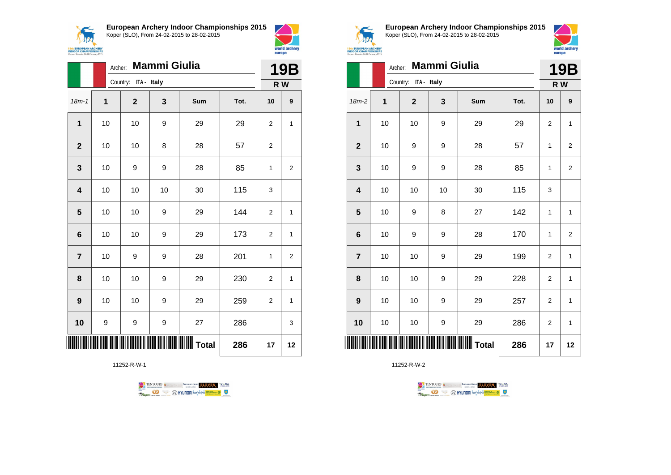$\epsilon$ 1120 **15th EUROPEAN ARCHERY**<br>INDOOR CHAMPIONSHIPS<br>Koper - Slovenia, 24-28 February 2015 **European Archery Indoor Championships 2015** Koper (SLO), From 24-02-2015 to 28-02-2015



|                         |    | Mammi Giulia<br>Archer: |    |                 |      |                  |                |  |
|-------------------------|----|-------------------------|----|-----------------|------|------------------|----------------|--|
|                         |    | Country: ITA - Italy    |    |                 |      |                  | R W            |  |
| $18m - 1$               | 1  | $\boldsymbol{2}$        | 3  | Sum             | Tot. | 10               | 9              |  |
| 1                       | 10 | 10                      | 9  | 29              | 29   | 2                | 1              |  |
| $\mathbf{2}$            | 10 | 10                      | 8  | 28              | 57   | $\mathbf{2}$     |                |  |
| $\mathbf{3}$            | 10 | 9                       | 9  | 28              | 85   | 1                | 2              |  |
| $\overline{\mathbf{4}}$ | 10 | 10                      | 10 | 30              | 115  | 3                |                |  |
| $\overline{\mathbf{5}}$ | 10 | 10                      | 9  | 29              | 144  | 2                | 1              |  |
| $\bf 6$                 | 10 | 10                      | 9  | 29              | 173  | $\overline{c}$   | $\mathbf{1}$   |  |
| $\overline{\mathbf{7}}$ | 10 | 9                       | 9  | 28              | 201  | 1                | $\overline{2}$ |  |
| 8                       | 10 | 10                      | 9  | 29              | 230  | $\overline{c}$   | 1              |  |
| $\boldsymbol{9}$        | 10 | 10                      | 9  | 29              | 259  | $\boldsymbol{2}$ | $\mathbf{1}$   |  |
| 10                      | 9  | 9                       | 9  | 27              | 286  |                  | 3              |  |
|                         |    |                         |    | <b>II</b> Total | 286  | 17               | 12             |  |

11252-R-W-1





**European Archery Indoor Championships 2015** Koper (SLO), From 24-02-2015 to 28-02-2015



|                |      | <b>Mammi Giulia</b><br>Archer: |              |              |      |              |                         |  |  |
|----------------|------|--------------------------------|--------------|--------------|------|--------------|-------------------------|--|--|
|                |      | Country: ITA - Italy           |              |              |      |              | R W                     |  |  |
| 18m-2          | 1    | $\mathbf{2}$                   | $\mathbf{3}$ | Sum          | Tot. | 10           | 9                       |  |  |
| 1              | 10   | 10                             | 9            | 29           | 29   | 2            | $\mathbf{1}$            |  |  |
| $\mathbf{2}$   | 10   | 9                              | 9            | 28           | 57   | $\mathbf{1}$ | $\overline{\mathbf{c}}$ |  |  |
| 3              | 10   | 9                              | 9            | 28           | 85   | $\mathbf{1}$ | $\overline{2}$          |  |  |
| 4              | 10   | 10                             | 10           | 30           | 115  | 3            |                         |  |  |
| 5              | 10   | 9                              | 8            | 27           | 142  | 1            | 1                       |  |  |
| 6              | 10   | 9                              | 9            | 28           | 170  | 1            | $\overline{2}$          |  |  |
| $\overline{7}$ | 10   | 10                             | 9            | 29           | 199  | 2            | 1                       |  |  |
| 8              | 10   | 10                             | 9            | 29           | 228  | 2            | 1                       |  |  |
| 9              | 10   | 10                             | 9            | 29           | 257  | 2            | 1                       |  |  |
| 10             | $10$ | 10                             | 9            | 29           | 286  | 2            | 1                       |  |  |
|                |      |                                |              | <b>Total</b> | 286  | 17           | 12                      |  |  |

11252-R-W-2



 $\perp$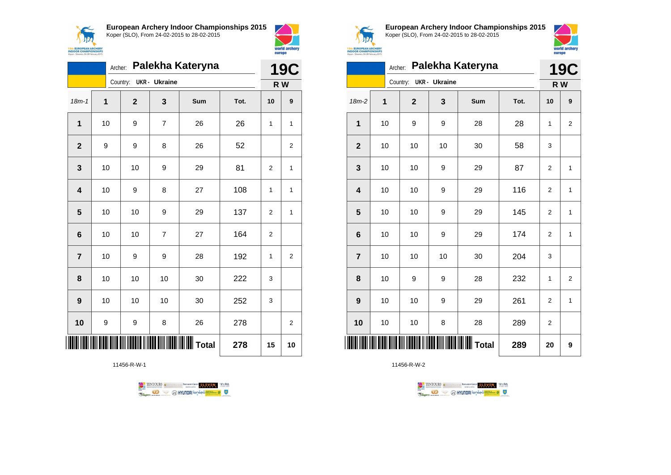



world archery

europe

|                         | Archer: |                |                      | Palekha Kateryna |      | <b>19C</b>     |                |
|-------------------------|---------|----------------|----------------------|------------------|------|----------------|----------------|
|                         |         | Country:       | <b>UKR</b> - Ukraine |                  |      |                | R W            |
| $18m - 1$               | 1       | $\overline{2}$ | 3                    | Sum              | Tot. | 10             | 9              |
| 1                       | 10      | 9              | 7                    | 26               | 26   | 1              | 1              |
| $\overline{2}$          | 9       | 9              | 8                    | 26               | 52   |                | $\overline{2}$ |
| 3                       | 10      | 10             | 9                    | 29               | 81   | 2              | 1              |
| $\overline{\mathbf{4}}$ | 10      | 9              | 8                    | 27               | 108  | 1              | 1              |
| 5                       | 10      | 10             | 9                    | 29               | 137  | 2              | 1              |
| 6                       | 10      | 10             | $\overline{7}$       | 27               | 164  | $\overline{2}$ |                |
| $\overline{7}$          | 10      | 9              | 9                    | 28               | 192  | 1              | 2              |
| 8                       | 10      | 10             | 10                   | 30               | 222  | 3              |                |
| 9                       | 10      | 10             | 10                   | 30               | 252  | 3              |                |
| 10                      | 9       | 9              | 8                    | 26               | 278  |                | 2              |
|                         |         |                | 278                  | 15               | 10   |                |                |

11456-R-W-1





**European Archery Indoor Championships 2015** Koper (SLO), From 24-02-2015 to 28-02-2015



|                | Archer: |                           |               | Palekha Kateryna                           |      | <b>19C</b>     |                |
|----------------|---------|---------------------------|---------------|--------------------------------------------|------|----------------|----------------|
|                |         | Country:                  | UKR - Ukraine |                                            |      | R W            |                |
| 18m-2          | 1       | $\mathbf{2}$              | 3             | Sum                                        | Tot. | 10             | 9              |
| 1              | 10      | 9                         | 9             | 28                                         | 28   | 1              | $\overline{2}$ |
| $\overline{2}$ | 10      | 10                        | 10            | 30                                         | 58   | 3              |                |
| 3              | 10      | 10                        | 9             | 29                                         | 87   | 2              | 1              |
| 4              | 10      | 10                        | 9             | 29                                         | 116  | $\overline{2}$ | 1              |
| 5              | 10      | 10                        | 9             | 29                                         | 145  | $\overline{2}$ | $\mathbf{1}$   |
| 6              | 10      | 10                        | 9             | 29                                         | 174  | $\overline{2}$ | 1              |
| $\overline{7}$ | 10      | 10                        | 10            | 30                                         | 204  | 3              |                |
| 8              | 10      | 9                         | 9             | 28                                         | 232  | 1              | $\overline{2}$ |
| 9              | 10      | 10                        | 9             | 29                                         | 261  | $\overline{2}$ | 1              |
| 10             | 10      | 10                        | 8             | 28                                         | 289  | $\overline{2}$ |                |
| IIII           |         | <u> Hilli Hilli Hilli</u> |               | <b>                             </b> Total | 289  | 20             | 9              |

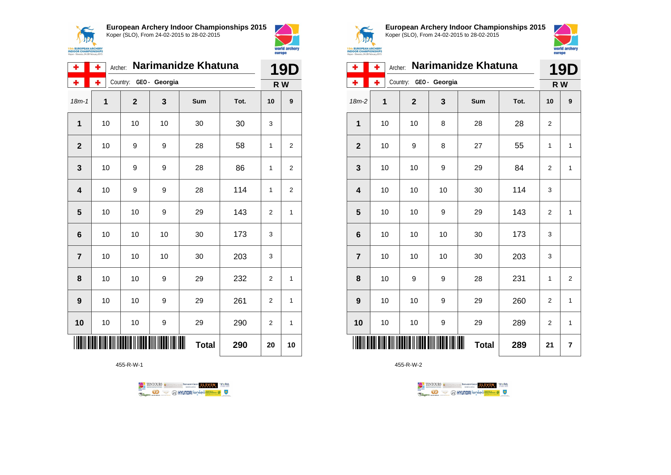



| ۰              | Narimanidze Khatuna<br>۰<br>Archer: |              |                        |     |      |                |                   |
|----------------|-------------------------------------|--------------|------------------------|-----|------|----------------|-------------------|
| ÷              | ۰                                   |              | Country: GEO - Georgia |     |      |                | <b>19D</b><br>R W |
| $18m - 1$      | 1                                   | $\mathbf{2}$ | 3                      | Sum | Tot. | 10             | 9                 |
| $\mathbf 1$    | 10                                  | 10           | 10                     | 30  | 30   | 3              |                   |
| $\mathbf{2}$   | 10                                  | 9            | 9                      | 28  | 58   | $\mathbf{1}$   | $\overline{2}$    |
| 3              | 10                                  | 9            | 9                      | 28  | 86   | 1              | 2                 |
| 4              | 10                                  | 9            | 9                      | 28  | 114  | 1              | $\overline{2}$    |
| 5              | 10                                  | 10           | 9                      | 29  | 143  | $\overline{2}$ | 1                 |
| 6              | 10                                  | 10           | 10                     | 30  | 173  | 3              |                   |
| $\overline{7}$ | 10                                  | 10           | 10                     | 30  | 203  | 3              |                   |
| 8              | 10                                  | 10           | 9                      | 29  | 232  | $\overline{2}$ | 1                 |
| 9              | 10                                  | 10           | 9                      | 29  | 261  | $\overline{2}$ | 1                 |
| 10             | 10                                  | 10           | 9                      | 29  | 290  | 2              | 1                 |
|                | <b>Total</b><br>290                 |              |                        |     |      |                |                   |

455-R-W-1

TENTOURS of BENJAMING COUP ELEVEN VEBA **OD SOUTHERRY SECTION AND STATE** Ragun



**European Archery Indoor Championships 2015** Koper (SLO), From 24-02-2015 to 28-02-2015



| ۰              | ٠  | Archer:        | Narimanidze Khatuna |              | <b>19D</b> |                |                |
|----------------|----|----------------|---------------------|--------------|------------|----------------|----------------|
| ۰              | ÷  | Country:       | GEO - Georgia       |              |            |                | R W            |
| $18m-2$        | 1  | $\overline{2}$ | 3                   | Sum          | Tot.       | 10             | 9              |
| 1              | 10 | 10             | 8                   | 28           | 28         | $\overline{2}$ |                |
| $\overline{2}$ | 10 | 9              | 8                   | 27           | 55         | 1              | $\mathbf{1}$   |
| 3              | 10 | 10             | 9                   | 29           | 84         | $\overline{2}$ | 1              |
| 4              | 10 | 10             | 10                  | 30           | 114        | 3              |                |
| 5              | 10 | 10             | 9                   | 29           | 143        | 2              | $\mathbf{1}$   |
| 6              | 10 | 10             | 10                  | 30           | 173        | 3              |                |
| $\overline{7}$ | 10 | 10             | 10                  | 30           | 203        | 3              |                |
| 8              | 10 | 9              | 9                   | 28           | 231        | 1              | $\overline{2}$ |
| 9              | 10 | 10             | 9                   | 29           | 260        | $\overline{2}$ | $\mathbf{1}$   |
| 10             | 10 | 10             | 9                   | 29           | 289        | $\overline{2}$ | 1              |
|                |    |                |                     | <b>Total</b> | 289        | 21             | 7              |

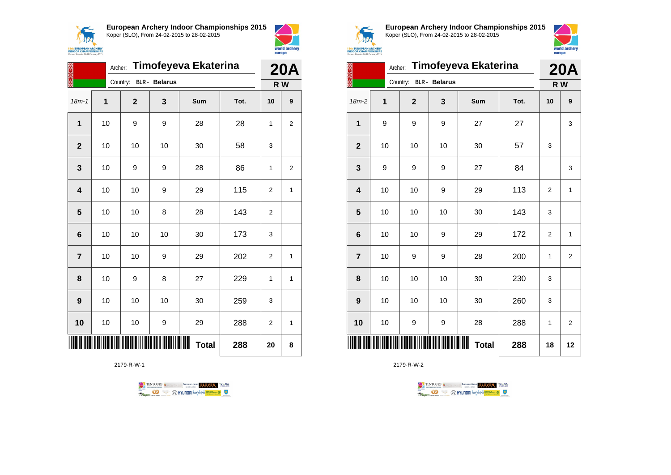



| 经济经                     | Timofeyeva Ekaterina<br>Archer: |                |                      |              |      |                |                |
|-------------------------|---------------------------------|----------------|----------------------|--------------|------|----------------|----------------|
|                         |                                 | Country:       | <b>BLR</b> - Belarus |              |      | R W            | <b>20A</b>     |
| $18m - 1$               | 1                               | $\overline{2}$ | 3                    | Sum          | Tot. | 10             | 9              |
| 1                       | 10                              | 9              | 9                    | 28           | 28   | 1              | $\overline{2}$ |
| $\overline{\mathbf{2}}$ | 10                              | 10             | 10                   | 30           | 58   | 3              |                |
| 3                       | 10                              | 9              | 9                    | 28           | 86   | 1              | 2              |
| $\overline{\mathbf{4}}$ | 10                              | 10             | 9                    | 29           | 115  | 2              | 1              |
| 5                       | 10                              | 10             | 8                    | 28           | 143  | 2              |                |
| 6                       | 10                              | 10             | 10                   | 30           | 173  | 3              |                |
| $\overline{7}$          | 10                              | 10             | 9                    | 29           | 202  | $\overline{2}$ | 1              |
| 8                       | 10                              | 9              | 8                    | 27           | 229  | 1              | 1              |
| 9                       | 10                              | 10             | 10                   | 30           | 259  | 3              |                |
| 10                      | 10                              | 10             | 9                    | 29           | 288  | 2              | 1              |
|                         |                                 |                |                      | <b>Total</b> | 288  | 20             | 8              |

2179-R-W-1





**European Archery Indoor Championships 2015** Koper (SLO), From 24-02-2015 to 28-02-2015



| 23,323                  |    | Timofeyeva Ekaterina<br>Archer: |                      |                    |      |                |                |  |
|-------------------------|----|---------------------------------|----------------------|--------------------|------|----------------|----------------|--|
|                         |    | Country:                        | <b>BLR</b> - Belarus |                    |      |                | R W            |  |
| $18m-2$                 | 1  | $\overline{2}$                  | 3                    | Sum                | Tot. | 10             | 9              |  |
| $\mathbf{1}$            | 9  | 9                               | 9                    | 27                 | 27   |                | 3              |  |
| $\mathbf{2}$            | 10 | 10                              | 10                   | 30                 | 57   | 3              |                |  |
| 3                       | 9  | 9                               | 9                    | 27                 | 84   |                | 3              |  |
| $\overline{\mathbf{4}}$ | 10 | 10                              | 9                    | 29                 | 113  | $\overline{2}$ | $\mathbf{1}$   |  |
| 5                       | 10 | 10                              | 10                   | 30                 | 143  | 3              |                |  |
| 6                       | 10 | 10                              | 9                    | 29                 | 172  | $\overline{2}$ | 1              |  |
| $\overline{7}$          | 10 | 9                               | 9                    | 28                 | 200  | 1              | $\overline{2}$ |  |
| 8                       | 10 | 10                              | 10                   | 30                 | 230  | 3              |                |  |
| 9                       | 10 | 10                              | 10                   | 30                 | 260  | 3              |                |  |
| 10                      | 10 | 9                               | 9                    | 28                 | 288  | 1              | $\overline{2}$ |  |
|                         |    |                                 |                      | ∭∭<br><b>Total</b> | 288  | 18             | 12             |  |

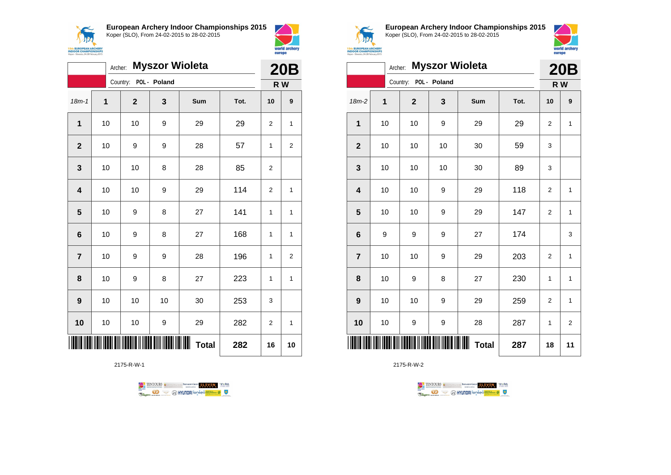



|                | Archer:     |                |              | <b>Myszor Wioleta</b> |      | <b>20B</b>     |                |
|----------------|-------------|----------------|--------------|-----------------------|------|----------------|----------------|
|                |             | Country:       | POL - Poland |                       |      |                | R W            |
| $18m - 1$      | $\mathbf 1$ | $\overline{2}$ | 3            | Sum                   | Tot. | 10             | 9              |
| $\mathbf 1$    | 10          | 10             | 9            | 29                    | 29   | $\overline{2}$ | 1              |
| $\mathbf{2}$   | 10          | 9              | 9            | 28                    | 57   | 1              | $\overline{2}$ |
| 3              | 10          | 10             | 8            | 28                    | 85   | $\overline{2}$ |                |
| 4              | 10          | 10             | 9            | 29                    | 114  | $\overline{2}$ | 1              |
| 5              | 10          | 9              | 8            | 27                    | 141  | 1              | $\overline{1}$ |
| 6              | 10          | 9              | 8            | 27                    | 168  | 1              | 1              |
| $\overline{7}$ | 10          | 9              | 9            | 28                    | 196  | 1              | $\overline{2}$ |
| 8              | 10          | 9              | 8            | 27                    | 223  | 1              | 1              |
| 9              | 10          | 10             | 10           | 30                    | 253  | 3              |                |
| 10             | 10          | 10             | 9            | 29                    | 282  | 2              | 1              |
|                |             |                |              | ┉<br><b>Total</b>     | 282  | 16             | 10             |

2175-R-W-1





**European Archery Indoor Championships 2015** Koper (SLO), From 24-02-2015 to 28-02-2015



|                         | <b>Myszor Wioleta</b><br>Archer: |  |              |              |                   |      |                |              |
|-------------------------|----------------------------------|--|--------------|--------------|-------------------|------|----------------|--------------|
|                         |                                  |  | Country:     | POL - Poland |                   |      |                | R W          |
| 18m-2                   | 1                                |  | $\mathbf{2}$ | 3            | Sum               | Tot. | 10             | 9            |
| 1                       | 10                               |  | 10           | 9            | 29                | 29   | $\overline{2}$ | 1            |
| $\mathbf{2}$            | 10                               |  | 10           | 10           | 30                | 59   | 3              |              |
| $\mathbf{3}$            | 10                               |  | 10           | 10           | 30                | 89   | 3              |              |
| $\overline{\mathbf{4}}$ | 10                               |  | 10           | 9            | 29                | 118  | $\overline{2}$ | 1            |
| 5                       | 10                               |  | 10           | 9            | 29                | 147  | $\overline{2}$ | $\mathbf{1}$ |
| $\bf 6$                 | 9                                |  | 9            | 9            | 27                | 174  |                | 3            |
| $\overline{7}$          | 10                               |  | 10           | 9            | 29                | 203  | $\overline{2}$ | 1            |
| 8                       | 10                               |  | 9            | 8            | 27                | 230  | 1              | 1            |
| 9                       | 10                               |  | 10           | 9            | 29                | 259  | $\overline{2}$ | 1            |
| 10                      | 10                               |  | 9            | 9            | 28                | 287  | 1              | 2            |
| IIII                    |                                  |  |              |              | ┉<br><b>Total</b> | 287  | 18             | 11           |

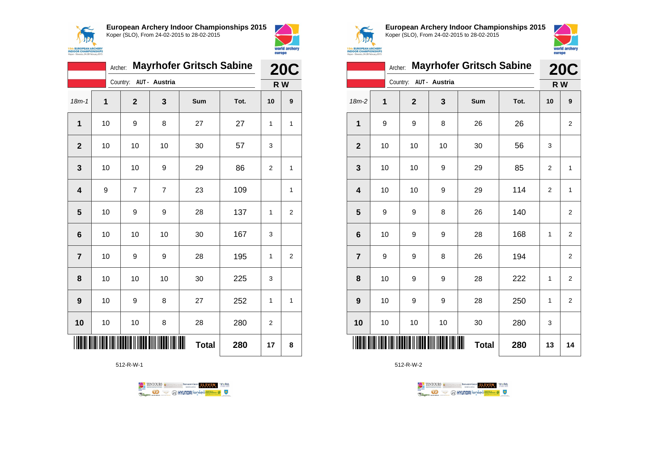



|                | Archer:             |                        |    | <b>Mayrhofer Gritsch Sabine</b> |      | <b>20C</b>     |                |  |
|----------------|---------------------|------------------------|----|---------------------------------|------|----------------|----------------|--|
|                |                     | Country: AUT - Austria |    |                                 |      |                | R W            |  |
| $18m - 1$      | 1                   | $\mathbf{2}$           | 3  | Sum                             | Tot. | 10             | 9              |  |
| 1              | 10                  | 9                      | 8  | 27                              | 27   | 1              | 1              |  |
| $\overline{2}$ | 10                  | 10                     | 10 | 30                              | 57   | 3              |                |  |
| 3              | 10                  | 10                     | 9  | 29                              | 86   | $\overline{2}$ | 1              |  |
| 4              | 9                   | 7                      | 7  | 23                              | 109  |                | 1              |  |
| 5              | 10                  | 9                      | 9  | 28                              | 137  | 1              | $\overline{2}$ |  |
| 6              | 10                  | 10                     | 10 | 30                              | 167  | 3              |                |  |
| $\overline{7}$ | 10                  | 9                      | 9  | 28                              | 195  | 1              | $\overline{2}$ |  |
| 8              | 10                  | 10                     | 10 | 30                              | 225  | 3              |                |  |
| 9              | 10                  | 9                      | 8  | 27                              | 252  | 1              | 1              |  |
| 10             | 10                  | 10                     | 8  | 28                              | 280  | 2              |                |  |
|                | <b>Total</b><br>280 |                        |    |                                 |      |                |                |  |

512-R-W-1

TENTOURS of BENJAMING COUP ELEVEN VEBA **OD SOUTHERRY SECTION AND STATE Ragma** 



**European Archery Indoor Championships 2015** Koper (SLO), From 24-02-2015 to 28-02-2015



|                         | Archer: | <b>Mayrhofer Gritsch Sabine</b> |     | <b>20C</b> |      |                |                         |
|-------------------------|---------|---------------------------------|-----|------------|------|----------------|-------------------------|
|                         |         | Country: AUT - Austria          |     |            |      |                | R W                     |
| $18m-2$                 | 1       | $\mathbf{2}$                    | 3   | Sum        | Tot. | 10             | 9                       |
| $\mathbf 1$             | 9       | 9                               | 8   | 26         | 26   |                | $\overline{\mathbf{c}}$ |
| $\mathbf{2}$            | 10      | 10                              | 10  | 30         | 56   | 3              |                         |
| 3                       | 10      | 10                              | 9   | 29         | 85   | $\overline{c}$ | 1                       |
| $\overline{\mathbf{4}}$ | 10      | 10                              | 9   | 29         | 114  | $\overline{2}$ | $\mathbf{1}$            |
| 5                       | 9       | 9                               | 8   | 26         | 140  |                | 2                       |
| $\bf 6$                 | 10      | 9                               | 9   | 28         | 168  | 1              | $\overline{2}$          |
| $\overline{7}$          | 9       | 9                               | 8   | 26         | 194  |                | $\overline{\mathbf{c}}$ |
| 8                       | 10      | 9                               | 9   | 28         | 222  | 1              | $\overline{2}$          |
| 9                       | 10      | 9                               | 9   | 28         | 250  | 1              | $\overline{\mathbf{c}}$ |
| 10                      | 10      | 10                              | 10  | 30         | 280  | 3              |                         |
|                         |         |                                 | 280 | 13         | 14   |                |                         |

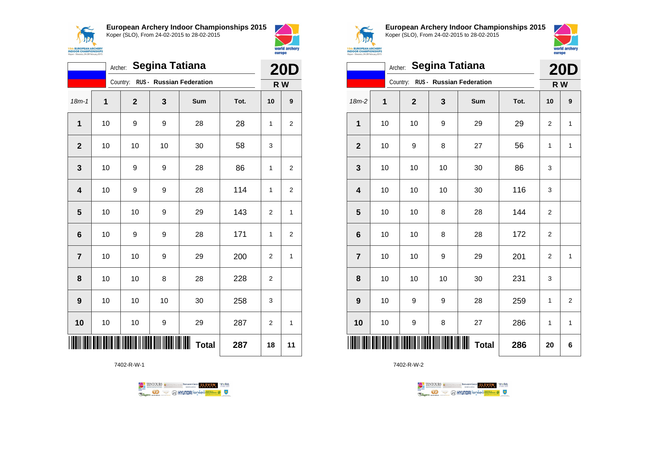



|                |    | Archer:      | <b>Segina Tatiana</b> |                                   |      | <b>20D</b>     |                |
|----------------|----|--------------|-----------------------|-----------------------------------|------|----------------|----------------|
|                |    |              |                       | Country: RUS - Russian Federation |      | R W            |                |
| $18m - 1$      | 1  | $\mathbf{2}$ | 3                     | Sum                               | Tot. | 10             | 9              |
| 1              | 10 | 9            | 9                     | 28                                | 28   | 1              | $\overline{c}$ |
| $\overline{2}$ | 10 | 10           | 10                    | 30                                | 58   | 3              |                |
| 3              | 10 | 9            | 9                     | 28                                | 86   | 1              | 2              |
| 4              | 10 | 9            | 9                     | 28                                | 114  | 1              | 2              |
| 5              | 10 | 10           | 9                     | 29                                | 143  | $\overline{2}$ | 1              |
| 6              | 10 | 9            | 9                     | 28                                | 171  | 1              | $\overline{2}$ |
| $\overline{7}$ | 10 | 10           | 9                     | 29                                | 200  | 2              | 1              |
| 8              | 10 | 10           | 8                     | 28                                | 228  | $\overline{2}$ |                |
| 9              | 10 | 10           | 10                    | 30                                | 258  | 3              |                |
| 10             | 10 | 10           | 9                     | 29                                | 287  | 2              | 1              |
|                |    |              |                       | <b>Total</b>                      | 287  | 18             | 11             |

7402-R-W-1





**European Archery Indoor Championships 2015** Koper (SLO), From 24-02-2015 to 28-02-2015



|                | Archer: Segina Tatiana |              |    |                                        |      |                |     |  |
|----------------|------------------------|--------------|----|----------------------------------------|------|----------------|-----|--|
|                |                        |              |    | Country: RUS - Russian Federation      |      |                | R W |  |
| $18m-2$        | 1                      | $\mathbf{2}$ | 3  | Sum                                    | Tot. | 10             | 9   |  |
| 1              | 10                     | 10           | 9  | 29                                     | 29   | $\overline{2}$ | 1   |  |
| $\mathbf{2}$   | 10                     | 9            | 8  | 27                                     | 56   | 1              | 1   |  |
| 3              | 10                     | 10           | 10 | 30                                     | 86   | 3              |     |  |
| 4              | 10                     | 10           | 10 | 30                                     | 116  | 3              |     |  |
| 5              | 10                     | 10           | 8  | 28                                     | 144  | $\overline{2}$ |     |  |
| $6\phantom{1}$ | 10                     | 10           | 8  | 28                                     | 172  | $\overline{2}$ |     |  |
| $\overline{7}$ | 10                     | 10           | 9  | 29                                     | 201  | $\overline{2}$ | 1   |  |
| 8              | 10                     | 10           | 10 | 30                                     | 231  | 3              |     |  |
| 9              | 10                     | 9            | 9  | 28                                     | 259  | 1              | 2   |  |
| 10             | 10                     | 9            | 8  | 27                                     | 286  | 1              | 1   |  |
| IIII           |                        |              |    | <b>111            </b><br><b>Total</b> | 286  | 20             | 6   |  |

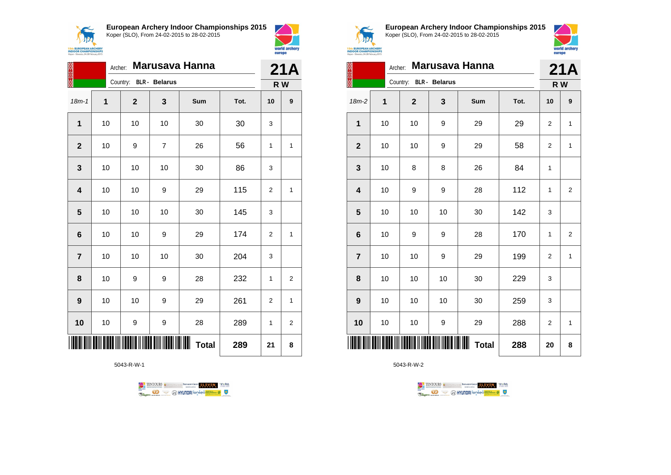

**European Archery Indoor Championships 2015**

18m-1 **1 2 3 Sum Tot. 10 9**

**2** | 10 | 9 | 7 | 26 | 56 | 1 | 1

**4** | 10 | 10 | 9 | 29 | 115 | 2 | 1

**6** | 10 | 10 | 9 | 29 | 174 | 2 | 1

**8** | 10 | 9 | 9 | 28 | 232 | 1 | 2

**9** | 10 | 10 | 9 | 29 | 261 | 2 | 1

**10** | 10 | 9 | 9 | 28 | 289 | 1 | 2

**Total 289 21 8**

<u> TITANI AMI ANIT ANA MI MATAMA MWAKA MATAMI MATI</u>

5043-R-W-1

**1** | 10 | 10 | 10 | 30 | 30 | 3

**3** | 10 | 10 | 10 | 30 | 86 | 3

**5** | 10 | 10 | 10 | 30 | 145 | 3

**7** | 10 | 10 | 10 | 30 | 204 | 3

Koper (SLO), From 24-02-2015 to 28-02-2015

Archer: **Marusava Hanna**

Country: **BLR - Belarus**



1174

**15th EUROPEAN ARCHERY**<br>**INDOOR CHAMPIONSHIPS**<br>Koper - Slovenia, 24-28 February 2015

**21A R W**

**European Archery Indoor Championships 2015** Koper (SLO), From 24-02-2015 to 28-02-2015



| ES AS ES        |    | Archer:                |    | <b>Marusava Hanna</b> |      | 21A            |                |
|-----------------|----|------------------------|----|-----------------------|------|----------------|----------------|
|                 |    | Country: BLR - Belarus |    |                       |      | R W            |                |
| $18m-2$         | 1  | $\mathbf{2}$           | 3  | Sum                   | Tot. | 10             | 9              |
| 1               | 10 | 10                     | 9  | 29                    | 29   | $\overline{2}$ | 1              |
| $\overline{2}$  | 10 | 10                     | 9  | 29                    | 58   | 2              | 1              |
| 3               | 10 | 8                      | 8  | 26                    | 84   | 1              |                |
| 4               | 10 | 9                      | 9  | 28                    | 112  | 1              | $\overline{2}$ |
| 5               | 10 | 10                     | 10 | 30                    | 142  | 3              |                |
| $6\phantom{1}6$ | 10 | 9                      | 9  | 28                    | 170  | 1              | $\overline{2}$ |
| $\overline{7}$  | 10 | 10                     | 9  | 29                    | 199  | $\overline{2}$ | 1              |
| 8               | 10 | 10                     | 10 | 30                    | 229  | 3              |                |
| 9               | 10 | 10                     | 10 | 30                    | 259  | 3              |                |
| 10              | 10 | 10                     | 9  | 29                    | 288  | 2              | 1              |
|                 |    |                        |    | <b>Total</b>          | 288  | 20             | 8              |



| TENTOURS ( <i>i</i> ) contraction of the Bernard Security Case of Tental Division of Tental Division of Tental Division of Tental Division of Tental Division of Tental Division of Tental Division of Tental Division of Tental Divi |  |                                        |
|---------------------------------------------------------------------------------------------------------------------------------------------------------------------------------------------------------------------------------------|--|----------------------------------------|
|                                                                                                                                                                                                                                       |  | <b>WHYUNDAI</b> ionsed <b>Williams</b> |

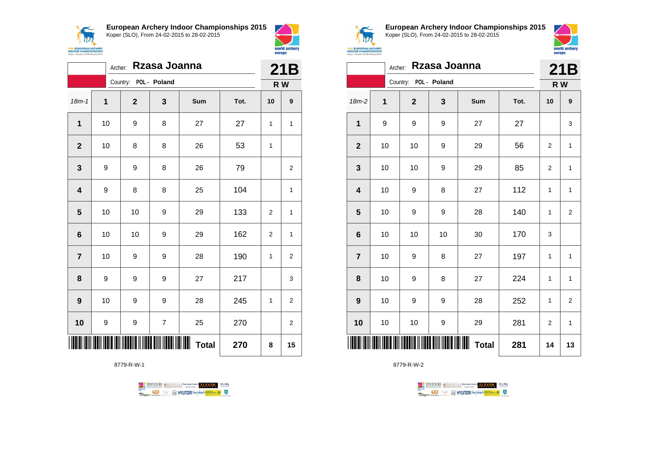

**European Archery Indoor Championships 2015**



|                         | Archer: |                       | Rzasa Joanna            |                           |      | 21B            |                  |
|-------------------------|---------|-----------------------|-------------------------|---------------------------|------|----------------|------------------|
|                         |         | Country: POL - Poland |                         |                           |      |                | R W              |
| $18m - 1$               | 1       | $\mathbf{2}$          | 3                       | Sum                       | Tot. | 10             | 9                |
| $\mathbf{1}$            | 10      | 9                     | 8                       | 27                        | 27   | 1              | 1                |
| $\mathbf{2}$            | 10      | 8                     | 8                       | 26                        | 53   | 1              |                  |
| 3                       | 9       | 9                     | 8                       | 26                        | 79   |                | $\overline{2}$   |
| $\overline{\mathbf{4}}$ | 9       | 8                     | 8                       | 25                        | 104  |                | 1                |
| 5                       | 10      | 10                    | 9                       | 29                        | 133  | $\overline{2}$ | 1                |
| 6                       | 10      | 10                    | 9                       | 29                        | 162  | $\overline{2}$ | 1                |
| $\overline{7}$          | 10      | 9                     | 9                       | 28                        | 190  | 1              | $\boldsymbol{2}$ |
| 8                       | 9       | 9                     | 9                       | 27                        | 217  |                | 3                |
| 9                       | 10      | 9                     | 9                       | 28                        | 245  | 1              | $\overline{2}$   |
| 10                      | 9       | 9                     | $\overline{\mathbf{7}}$ | 25                        | 270  |                | $\boldsymbol{2}$ |
|                         |         |                       |                         | IIIIIIIII<br><b>Total</b> | 270  | 8              | 15               |

8779-R-W-1





world archery

europe

**European Archery Indoor Championships 2015** Koper (SLO), From 24-02-2015 to 28-02-2015



|                         | Rzasa Joanna<br>Archer: |                       |    |                   |      |     |                |  |
|-------------------------|-------------------------|-----------------------|----|-------------------|------|-----|----------------|--|
|                         |                         | Country: POL - Poland |    |                   |      | R W | 21B            |  |
| $18m-2$                 | 1                       | $\mathbf{2}$          | 3  | Sum               | Tot. | 10  | 9              |  |
| 1                       | 9                       | 9                     | 9  | 27                | 27   |     | 3              |  |
| $\boldsymbol{2}$        | 10                      | 10                    | 9  | 29                | 56   | 2   | 1              |  |
| $\mathbf{3}$            | 10                      | 10                    | 9  | 29                | 85   | 2   | 1              |  |
| $\overline{\mathbf{4}}$ | 10                      | 9                     | 8  | 27                | 112  | 1   | 1              |  |
| 5                       | 10                      | 9                     | 9  | 28                | 140  | 1   | $\overline{2}$ |  |
| $\bf 6$                 | 10                      | 10                    | 10 | 30                | 170  | 3   |                |  |
| $\overline{7}$          | 10                      | 9                     | 8  | 27                | 197  | 1   | 1              |  |
| 8                       | 10                      | 9                     | 8  | 27                | 224  | 1   | 1              |  |
| 9                       | 10                      | 9                     | 9  | 28                | 252  | 1   | $\overline{2}$ |  |
| 10                      | 10                      | 10                    | 9  | 29                | 281  | 2   | 1              |  |
| IIII                    |                         |                       |    | Ш<br><b>Total</b> | 281  | 14  | 13             |  |

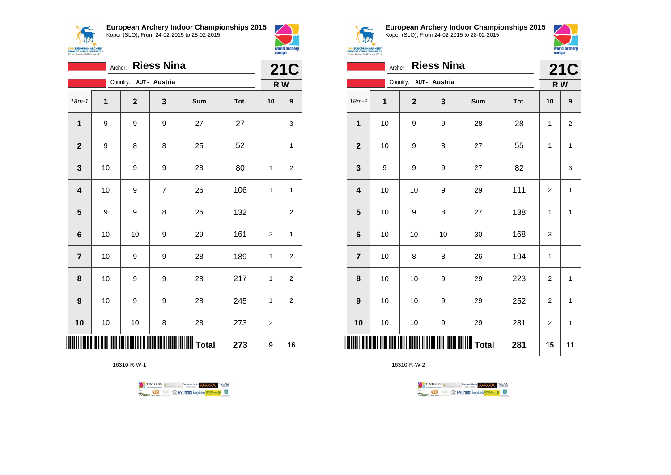$\sqrt{N}$ **15th EUROPEAN ARCHERY**<br>INDOOR CHAMPIONSHIPS<br>Koper - Slovenia, 24-28 February 2015 **European Archery Indoor Championships 2015** Koper (SLO), From 24-02-2015 to 28-02-2015



|                         | <b>Riess Nina</b><br>Archer: |  |                        |                |     |      |                |                         |
|-------------------------|------------------------------|--|------------------------|----------------|-----|------|----------------|-------------------------|
|                         |                              |  | Country: AUT - Austria |                |     |      |                | R W                     |
| $18m - 1$               | $\mathbf 1$                  |  | $\mathbf{2}$           | 3              | Sum | Tot. | 10             | 9                       |
| 1                       | 9                            |  | 9                      | 9              | 27  | 27   |                | 3                       |
| $\overline{\mathbf{2}}$ | 9                            |  | 8                      | 8              | 25  | 52   |                | 1                       |
| 3                       | 10                           |  | 9                      | 9              | 28  | 80   | 1              | $\overline{2}$          |
| $\overline{\mathbf{4}}$ | 10                           |  | 9                      | $\overline{7}$ | 26  | 106  | 1              | $\mathbf{1}$            |
| $\overline{\mathbf{5}}$ | 9                            |  | 9                      | 8              | 26  | 132  |                | $\overline{2}$          |
| $6\phantom{1}6$         | 10                           |  | 10                     | 9              | 29  | 161  | $\overline{2}$ | 1                       |
| $\overline{7}$          | 10                           |  | 9                      | 9              | 28  | 189  | 1              | $\overline{\mathbf{c}}$ |
| 8                       | 10                           |  | 9                      | 9              | 28  | 217  | 1              | $\overline{c}$          |
| 9                       | 10                           |  | 9                      | 9              | 28  | 245  | 1              | $\overline{2}$          |
| 10                      | 10                           |  | 10                     | 8              | 28  | 273  | $\overline{2}$ |                         |
|                         |                              |  |                        |                |     | 273  | 9              | 16                      |

16310-R-W-1





**European Archery Indoor Championships 2015** Koper (SLO), From 24-02-2015 to 28-02-2015



|                 | <b>Riess Nina</b><br>Archer: |                        |    |     |      |                |                         |  |
|-----------------|------------------------------|------------------------|----|-----|------|----------------|-------------------------|--|
|                 |                              | Country: AUT - Austria |    |     |      |                | R W                     |  |
| $18m-2$         | 1                            | $\mathbf 2$            | 3  | Sum | Tot. | 10             | 9                       |  |
| 1               | 10                           | 9                      | 9  | 28  | 28   | 1              | $\overline{\mathbf{c}}$ |  |
| $\mathbf{2}$    | 10                           | 9                      | 8  | 27  | 55   | 1              | 1                       |  |
| $\mathbf{3}$    | 9                            | 9                      | 9  | 27  | 82   |                | 3                       |  |
| 4               | 10                           | 10                     | 9  | 29  | 111  | $\overline{2}$ | $\mathbf 1$             |  |
| 5               | 10                           | 9                      | 8  | 27  | 138  | 1              | 1                       |  |
| $6\phantom{1}6$ | 10                           | 10                     | 10 | 30  | 168  | 3              |                         |  |
| $\overline{7}$  | 10                           | 8                      | 8  | 26  | 194  | 1              |                         |  |
| 8               | 10                           | 10                     | 9  | 29  | 223  | $\overline{c}$ | 1                       |  |
| 9               | 10                           | 10                     | 9  | 29  | 252  | $\overline{2}$ | $\mathbf{1}$            |  |
| 10              | 10                           | 10                     | 9  | 29  | 281  | $\overline{2}$ | $\mathbf{1}$            |  |
| ║║║             |                              |                        |    |     | 281  | 15             | 11                      |  |

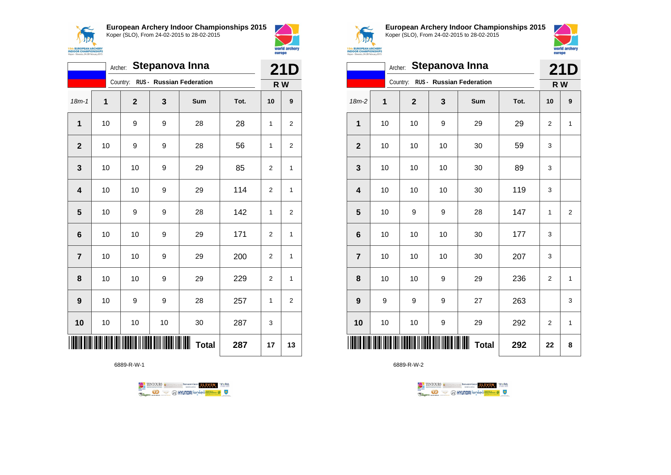$\prec$ **ANG 15th EUROPEAN ARCHERY**<br>INDOOR CHAMPIONSHIPS<br>Koper - Slovenia, 24-28 February 2015 **European Archery Indoor Championships 2015**



|                |    |             |    | Country: RUS - Russian Federation |      |                  | R W              |
|----------------|----|-------------|----|-----------------------------------|------|------------------|------------------|
| $18m - 1$      | 1  | $\mathbf 2$ | 3  | <b>Sum</b>                        | Tot. | 10               | 9                |
| 1              | 10 | 9           | 9  | 28                                | 28   | 1                | $\boldsymbol{2}$ |
| $\mathbf{2}$   | 10 | 9           | 9  | 28                                | 56   | 1                | $\boldsymbol{2}$ |
| 3              | 10 | 10          | 9  | 29                                | 85   | $\overline{2}$   | 1                |
| 4              | 10 | 10          | 9  | 29                                | 114  | $\overline{2}$   | 1                |
| 5              | 10 | 9           | 9  | 28                                | 142  | 1                | $\boldsymbol{2}$ |
| 6              | 10 | 10          | 9  | 29                                | 171  | $\boldsymbol{2}$ | 1                |
| $\overline{7}$ | 10 | 10          | 9  | 29                                | 200  | $\boldsymbol{2}$ | $\mathbf 1$      |
| 8              | 10 | 10          | 9  | 29                                | 229  | $\overline{2}$   | 1                |
| 9              | 10 | 9           | 9  | 28                                | 257  | 1                | $\overline{2}$   |
| 10             | 10 | 10          | 10 | 30                                | 287  | 3                |                  |
|                |    |             |    | Ш<br><b>Total</b>                 | 287  | 17               | 13               |

6889-R-W-1





**European Archery Indoor Championships 2015** Koper (SLO), From 24-02-2015 to 28-02-2015



|                                   | <b>21D</b> |              |    |              |      |                         |                |  |
|-----------------------------------|------------|--------------|----|--------------|------|-------------------------|----------------|--|
| Country: RUS - Russian Federation |            |              |    |              |      |                         | R W            |  |
| $18m-2$                           | 1          | $\mathbf{2}$ | 3  | Sum          | Tot. | 10                      | 9              |  |
| 1                                 | 10         | 10           | 9  | 29           | 29   | 2                       | $\mathbf{1}$   |  |
| $\overline{2}$                    | 10         | 10           | 10 | 30           | 59   | 3                       |                |  |
| $\mathbf{3}$                      | 10         | 10           | 10 | 30           | 89   | 3                       |                |  |
| $\overline{\mathbf{4}}$           | 10         | 10           | 10 | 30           | 119  | 3                       |                |  |
| 5                                 | 10         | 9            | 9  | 28           | 147  | 1                       | $\overline{2}$ |  |
| $6\phantom{1}6$                   | 10         | 10           | 10 | 30           | 177  | 3                       |                |  |
| $\overline{7}$                    | 10         | 10           | 10 | 30           | 207  | 3                       |                |  |
| 8                                 | 10         | 10           | 9  | 29           | 236  | $\overline{2}$          | 1              |  |
| $\boldsymbol{9}$                  | 9          | 9            | 9  | 27           | 263  |                         | 3              |  |
| 10                                | 10         | 10           | 9  | 29           | 292  | $\overline{\mathbf{c}}$ | 1              |  |
| ║║║                               |            |              |    | <b>Total</b> | 292  | 22                      | 8              |  |

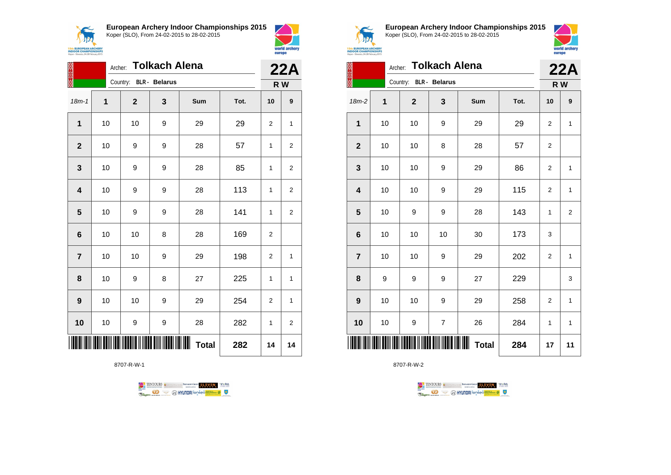



|                         | <b>Tolkach Alena</b><br>Archer: |              |                      |              |      |                |                |
|-------------------------|---------------------------------|--------------|----------------------|--------------|------|----------------|----------------|
|                         |                                 | Country:     | <b>BLR</b> - Belarus |              |      |                | R W            |
| $18m - 1$               | 1                               | $\mathbf{2}$ | 3                    | Sum          | Tot. | 10             | 9              |
| 1                       | 10                              | 10           | 9                    | 29           | 29   | 2              | 1              |
| $\overline{2}$          | 10                              | 9            | 9                    | 28           | 57   | $\mathbf{1}$   | 2              |
| 3                       | 10                              | 9            | 9                    | 28           | 85   | 1              | 2              |
| $\overline{\mathbf{4}}$ | 10                              | 9            | 9                    | 28           | 113  | 1              | 2              |
| $\overline{\mathbf{5}}$ | 10                              | 9            | 9                    | 28           | 141  | 1              | $\overline{2}$ |
| $6\phantom{1}6$         | 10                              | 10           | 8                    | 28           | 169  | $\overline{2}$ |                |
| $\overline{7}$          | 10                              | 10           | 9                    | 29           | 198  | 2              | 1              |
| 8                       | 10                              | 9            | 8                    | 27           | 225  | 1              | 1              |
| $\boldsymbol{9}$        | 10                              | 10           | 9                    | 29           | 254  | 2              | 1              |
| 10                      | 10                              | 9            | 9                    | 28           | 282  | 1              | 2              |
|                         |                                 |              |                      | <b>Total</b> | 282  | 14             | 14             |

8707-R-W-1





**European Archery Indoor Championships 2015** Koper (SLO), From 24-02-2015 to 28-02-2015



| <b>Tolkach Alena</b><br>Archer: |    |                        |    |                   |      |                | 22A            |  |
|---------------------------------|----|------------------------|----|-------------------|------|----------------|----------------|--|
|                                 |    | Country: BLR - Belarus |    |                   |      | R W            |                |  |
| 18m-2                           | 1  | $\overline{2}$         | 3  | Sum               | Tot. | 10             | 9              |  |
| 1                               | 10 | 10                     | 9  | 29                | 29   | $\overline{2}$ | 1              |  |
| $\mathbf{2}$                    | 10 | 10                     | 8  | 28                | 57   | $\overline{2}$ |                |  |
| $\mathbf{3}$                    | 10 | 10                     | 9  | 29                | 86   | 2              | 1              |  |
| $\overline{\mathbf{4}}$         | 10 | 10                     | 9  | 29                | 115  | $\overline{2}$ | 1              |  |
| 5                               | 10 | 9                      | 9  | 28                | 143  | 1              | $\overline{2}$ |  |
| $6\phantom{1}6$                 | 10 | 10                     | 10 | 30                | 173  | 3              |                |  |
| $\overline{7}$                  | 10 | 10                     | 9  | 29                | 202  | $\overline{2}$ | 1              |  |
| 8                               | 9  | 9                      | 9  | 27                | 229  |                | 3              |  |
| 9                               | 10 | 10                     | 9  | 29                | 258  | $\overline{2}$ | 1              |  |
| 10                              | 10 | 9                      | 7  | 26                | 284  | 1              | 1              |  |
|                                 |    |                        |    | ┉<br><b>Total</b> | 284  | 17             | 11             |  |

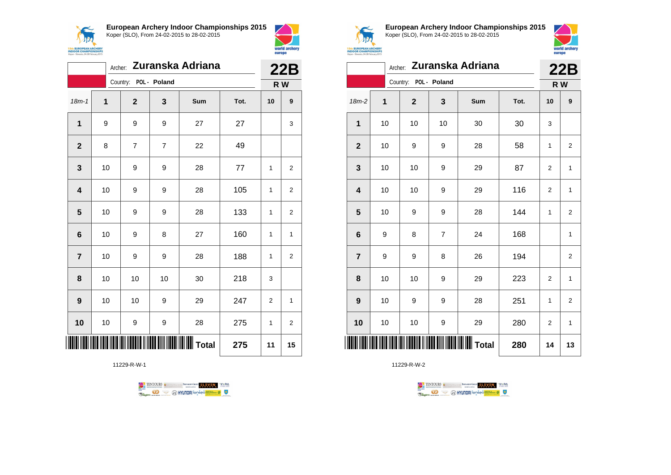



|                | Archer: Zuranska Adriana |                       |                |     |      |                |                  |
|----------------|--------------------------|-----------------------|----------------|-----|------|----------------|------------------|
|                |                          | Country: POL - Poland |                |     |      |                | 22B<br>R W       |
| $18m - 1$      | 1                        | $\mathbf{2}$          | 3              | Sum | Tot. | 10             | $\boldsymbol{9}$ |
| 1              | 9                        | 9                     | 9              | 27  | 27   |                | 3                |
| $\overline{2}$ | 8                        | $\overline{7}$        | $\overline{7}$ | 22  | 49   |                |                  |
| 3              | 10                       | 9                     | 9              | 28  | 77   | 1              | 2                |
| 4              | 10                       | 9                     | 9              | 28  | 105  | 1              | 2                |
| $5\phantom{1}$ | 10                       | 9                     | 9              | 28  | 133  | 1              | $\overline{c}$   |
| $6\phantom{1}$ | 10                       | 9                     | 8              | 27  | 160  | 1              | 1                |
| $\overline{7}$ | 10                       | 9                     | 9              | 28  | 188  | 1              | $\overline{2}$   |
| 8              | 10                       | 10                    | 10             | 30  | 218  | 3              |                  |
| 9              | 10                       | 10                    | 9              | 29  | 247  | $\overline{2}$ | 1                |
| 10             | 10                       | 9                     | 9              | 28  | 275  | 1              | $\overline{2}$   |
|                |                          |                       |                |     | 275  | 11             | 15               |

11229-R-W-1





**European Archery Indoor Championships 2015** Koper (SLO), From 24-02-2015 to 28-02-2015



|                         | Archer: Zuranska Adriana |                       |                |     |      |                | 22B                     |  |
|-------------------------|--------------------------|-----------------------|----------------|-----|------|----------------|-------------------------|--|
|                         |                          | Country: POL - Poland |                |     |      |                | R W                     |  |
| $18m-2$                 | 1                        | $\mathbf{2}$          | 3              | Sum | Tot. | 10             | 9                       |  |
| 1                       | 10                       | 10                    | 10             | 30  | 30   | 3              |                         |  |
| $\overline{2}$          | 10                       | 9                     | 9              | 28  | 58   | 1              | $\overline{2}$          |  |
| 3                       | 10                       | 10                    | 9              | 29  | 87   | 2              | 1                       |  |
| $\overline{\mathbf{4}}$ | 10                       | 10                    | 9              | 29  | 116  | $\overline{2}$ | $\mathbf{1}$            |  |
| 5                       | 10                       | 9                     | 9              | 28  | 144  | 1              | $\overline{\mathbf{c}}$ |  |
| $6\phantom{1}6$         | 9                        | 8                     | $\overline{7}$ | 24  | 168  |                | $\mathbf{1}$            |  |
| $\overline{7}$          | 9                        | 9                     | 8              | 26  | 194  |                | 2                       |  |
| 8                       | 10                       | 10                    | 9              | 29  | 223  | $\overline{2}$ | $\mathbf{1}$            |  |
| 9                       | 10                       | 9                     | 9              | 28  | 251  | 1              | $\overline{\mathbf{c}}$ |  |
| 10                      | 10                       | 10                    | 9              | 29  | 280  | 2              | $\mathbf{1}$            |  |
|                         |                          |                       |                |     | 280  | 14             | 13                      |  |

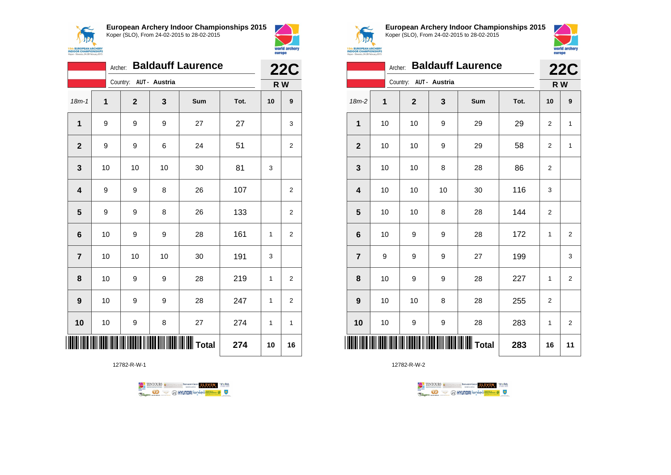



|                         | <b>Baldauff Laurence</b><br>Archer: |                        |    |     |      |    |                   |
|-------------------------|-------------------------------------|------------------------|----|-----|------|----|-------------------|
|                         |                                     | Country: AUT - Austria |    |     |      |    | <b>22C</b><br>R W |
| $18m - 1$               | 1                                   | $\mathbf{2}$           | 3  | Sum | Tot. | 10 | 9                 |
| 1                       | 9                                   | 9                      | 9  | 27  | 27   |    | 3                 |
| $\overline{2}$          | 9                                   | 9                      | 6  | 24  | 51   |    | $\overline{2}$    |
| 3                       | 10                                  | 10                     | 10 | 30  | 81   | 3  |                   |
| $\overline{\mathbf{4}}$ | 9                                   | 9                      | 8  | 26  | 107  |    | $\overline{2}$    |
| 5                       | 9                                   | 9                      | 8  | 26  | 133  |    | $\overline{2}$    |
| $6\phantom{1}$          | 10                                  | 9                      | 9  | 28  | 161  | 1  | $\overline{2}$    |
| $\overline{7}$          | 10                                  | 10                     | 10 | 30  | 191  | 3  |                   |
| 8                       | 10                                  | 9                      | 9  | 28  | 219  | 1  | 2                 |
| 9                       | 10                                  | 9                      | 9  | 28  | 247  | 1  | 2                 |
| 10                      | 10                                  | 9                      | 8  | 27  | 274  | 1  | 1                 |
|                         |                                     |                        |    |     | 274  | 10 | 16                |

12782-R-W-1





**European Archery Indoor Championships 2015** Koper (SLO), From 24-02-2015 to 28-02-2015



|                 | <b>Baldauff Laurence</b><br>Archer: |             |                        |     |      |                | <b>22C</b>     |  |
|-----------------|-------------------------------------|-------------|------------------------|-----|------|----------------|----------------|--|
|                 |                                     |             | Country: AUT - Austria |     |      | R W            |                |  |
| $18m-2$         | 1                                   | $\mathbf 2$ | 3                      | Sum | Tot. | 10             | 9              |  |
| 1               | 10                                  | 10          | 9                      | 29  | 29   | 2              | $\mathbf{1}$   |  |
| $\overline{2}$  | 10                                  | 10          | 9                      | 29  | 58   | 2              | 1              |  |
| 3               | 10                                  | 10          | 8                      | 28  | 86   | 2              |                |  |
| 4               | 10                                  | 10          | 10                     | 30  | 116  | 3              |                |  |
| 5               | 10                                  | 10          | 8                      | 28  | 144  | 2              |                |  |
| $6\phantom{1}6$ | 10                                  | 9           | 9                      | 28  | 172  | $\mathbf{1}$   | $\overline{2}$ |  |
| $\overline{7}$  | 9                                   | 9           | 9                      | 27  | 199  |                | 3              |  |
| 8               | 10                                  | 9           | 9                      | 28  | 227  | 1              | 2              |  |
| 9               | 10                                  | 10          | 8                      | 28  | 255  | $\overline{2}$ |                |  |
| 10              | 10                                  | 9           | 9                      | 28  | 283  | 1              | 2              |  |
|                 |                                     |             |                        |     | 283  | 16             | 11             |  |

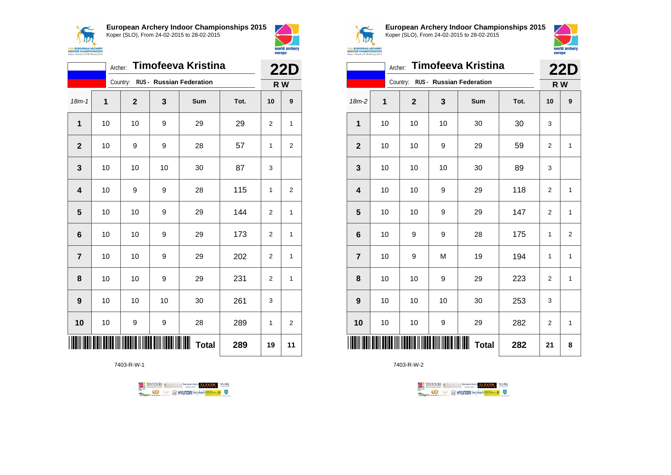



|                         | <b>Timofeeva Kristina</b><br>Archer: |                |    |                                   |      |                | <b>22D</b>       |  |
|-------------------------|--------------------------------------|----------------|----|-----------------------------------|------|----------------|------------------|--|
|                         |                                      |                |    | Country: RUS - Russian Federation |      |                | R W              |  |
| $18m - 1$               | 1                                    | $\overline{2}$ | 3  | Sum                               | Tot. | 10             | $\boldsymbol{9}$ |  |
| 1                       | 10                                   | 10             | 9  | 29                                | 29   | $\overline{2}$ | 1                |  |
| $\mathbf{2}$            | 10                                   | 9              | 9  | 28                                | 57   | 1              | 2                |  |
| 3                       | 10                                   | 10             | 10 | 30                                | 87   | 3              |                  |  |
| $\overline{\mathbf{4}}$ | 10                                   | 9              | 9  | 28                                | 115  | 1              | 2                |  |
| 5                       | 10                                   | 10             | 9  | 29                                | 144  | $\overline{2}$ | 1                |  |
| $6\phantom{1}6$         | 10                                   | 10             | 9  | 29                                | 173  | $\overline{2}$ | 1                |  |
| $\overline{7}$          | 10                                   | 10             | 9  | 29                                | 202  | 2              | 1                |  |
| 8                       | 10                                   | 10             | 9  | 29                                | 231  | $\overline{2}$ | $\mathbf{1}$     |  |
| 9                       | 10                                   | 10             | 10 | 30                                | 261  | 3              |                  |  |
| 10                      | 10                                   | 9              | 9  | 28                                | 289  | 1              | 2                |  |
|                         |                                      |                |    | <b>Total</b>                      | 289  | 19             | 11               |  |

7403-R-W-1





**European Archery Indoor Championships 2015** Koper (SLO), From 24-02-2015 to 28-02-2015



|                | Archer: Timofeeva Kristina |                |    |                                   |      |                |                         |  |
|----------------|----------------------------|----------------|----|-----------------------------------|------|----------------|-------------------------|--|
|                |                            |                |    | Country: RUS - Russian Federation |      | R W            |                         |  |
| $18m-2$        | 1                          | $\overline{2}$ | 3  | Sum                               | Tot. | 10             | 9                       |  |
| 1              | 10                         | 10             | 10 | 30                                | 30   | 3              |                         |  |
| $\mathbf{2}$   | 10                         | 10             | 9  | 29                                | 59   | 2              | 1                       |  |
| 3              | 10                         | 10             | 10 | 30                                | 89   | 3              |                         |  |
| 4              | 10                         | 10             | 9  | 29                                | 118  | $\overline{2}$ | $\mathbf{1}$            |  |
| 5              | 10                         | 10             | 9  | 29                                | 147  | 2              | $\mathbf{1}$            |  |
| 6              | 10                         | 9              | 9  | 28                                | 175  | 1              | $\overline{\mathbf{c}}$ |  |
| $\overline{7}$ | 10                         | 9              | M  | 19                                | 194  | 1              | $\mathbf{1}$            |  |
| 8              | 10                         | 10             | 9  | 29                                | 223  | $\overline{2}$ | $\mathbf{1}$            |  |
| 9              | 10                         | 10             | 10 | 30                                | 253  | 3              |                         |  |
| 10             | 10                         | 10             | 9  | 29                                | 282  | $\overline{2}$ | $\mathbf{1}$            |  |
|                |                            |                |    | ┉<br><b>Total</b>                 | 282  | 21             | 8                       |  |

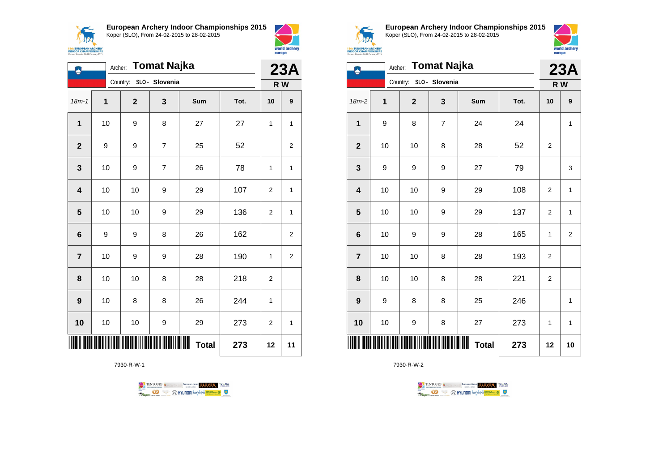



|                         | <b>Tomat Najka</b><br>Archer: |             |                |                   |      |                |                |  |
|-------------------------|-------------------------------|-------------|----------------|-------------------|------|----------------|----------------|--|
|                         | Country: SLO - Slovenia       |             |                | R W               |      |                |                |  |
| $18m - 1$               | 1                             | $\mathbf 2$ | 3              | Sum               | Tot. | 10             | 9              |  |
| 1                       | 10                            | 9           | 8              | 27                | 27   | 1              | 1              |  |
| $\mathbf{2}$            | 9                             | 9           | $\overline{7}$ | 25                | 52   |                | $\overline{2}$ |  |
| 3                       | 10                            | 9           | $\overline{7}$ | 26                | 78   | 1              | 1              |  |
| $\overline{\mathbf{4}}$ | 10                            | 10          | 9              | 29                | 107  | $\overline{2}$ | 1              |  |
| 5                       | 10                            | 10          | 9              | 29                | 136  | 2              | 1              |  |
| 6                       | 9                             | 9           | 8              | 26                | 162  |                | $\overline{2}$ |  |
| $\overline{7}$          | 10                            | 9           | 9              | 28                | 190  | 1              | $\overline{c}$ |  |
| 8                       | 10                            | 10          | 8              | 28                | 218  | $\overline{2}$ |                |  |
| 9                       | 10                            | 8           | 8              | 26                | 244  | 1              |                |  |
| 10                      | 10                            | 10          | 9              | 29                | 273  | 2              | 1              |  |
|                         |                               |             |                | ┉<br><b>Total</b> | 273  | 12             | 11             |  |

7930-R-W-1





**European Archery Indoor Championships 2015** Koper (SLO), From 24-02-2015 to 28-02-2015



|                         |    | Archer: Tomat Najka     |                |                   |      |                |                |  |
|-------------------------|----|-------------------------|----------------|-------------------|------|----------------|----------------|--|
|                         |    | Country: SLO - Slovenia |                |                   |      |                | R W            |  |
| $18m-2$                 | 1  | $\mathbf{2}$            | 3              | Sum               | Tot. | 10             | 9              |  |
| 1                       | 9  | 8                       | $\overline{7}$ | 24                | 24   |                | 1              |  |
| $\mathbf{2}$            | 10 | 10                      | 8              | 28                | 52   | $\mathbf 2$    |                |  |
| 3                       | 9  | 9                       | 9              | 27                | 79   |                | 3              |  |
| $\overline{\mathbf{4}}$ | 10 | 10                      | 9              | 29                | 108  | $\overline{2}$ | 1              |  |
| 5                       | 10 | 10                      | 9              | 29                | 137  | $\overline{2}$ | 1              |  |
| $\bf 6$                 | 10 | 9                       | 9              | 28                | 165  | 1              | $\overline{2}$ |  |
| $\overline{7}$          | 10 | 10                      | 8              | 28                | 193  | $\overline{2}$ |                |  |
| 8                       | 10 | 10                      | 8              | 28                | 221  | $\mathbf 2$    |                |  |
| 9                       | 9  | 8                       | 8              | 25                | 246  |                | $\mathbf{1}$   |  |
| 10                      | 10 | 9                       | 8              | 27                | 273  | 1              | 1              |  |
| ║║                      |    |                         |                | ┉<br><b>Total</b> | 273  | 12             | 10             |  |

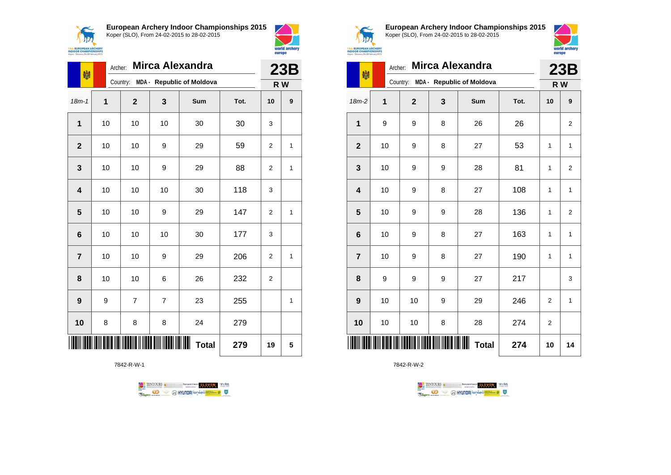



| 喇                   | <b>Mirca Alexandra</b><br>Archer:     |                |                |     |      |                | 23B |  |
|---------------------|---------------------------------------|----------------|----------------|-----|------|----------------|-----|--|
|                     | MDA - Republic of Moldova<br>Country: |                |                |     |      |                | R W |  |
| $18m - 1$           | 1                                     | $\mathbf{2}$   | 3              | Sum | Tot. | 10             | 9   |  |
| 1                   | 10                                    | 10             | 10             | 30  | 30   | 3              |     |  |
| $\overline{2}$      | 10                                    | 10             | 9              | 29  | 59   | $\overline{2}$ | 1   |  |
| 3                   | 10                                    | 10             | 9              | 29  | 88   | 2              | 1   |  |
| 4                   | 10                                    | 10             | 10             | 30  | 118  | 3              |     |  |
| 5                   | 10                                    | 10             | 9              | 29  | 147  | $\overline{2}$ | 1   |  |
| $6\phantom{1}6$     | 10                                    | 10             | 10             | 30  | 177  | 3              |     |  |
| $\overline{7}$      | 10                                    | 10             | 9              | 29  | 206  | $\overline{2}$ | 1   |  |
| 8                   | 10                                    | 10             | 6              | 26  | 232  | 2              |     |  |
| 9                   | 9                                     | $\overline{7}$ | $\overline{7}$ | 23  | 255  |                | 1   |  |
| 10                  | 8                                     | 8              | 8              | 24  | 279  |                |     |  |
| <b>Total</b><br>279 |                                       |                |                |     |      | 19             | 5   |  |

7842-R-W-1





**European Archery Indoor Championships 2015** Koper (SLO), From 24-02-2015 to 28-02-2015



**23B** 

| مرور                                       |  |  |
|--------------------------------------------|--|--|
| <b>PEAN ARCHERY</b><br><b>HAMPIONSHIPS</b> |  |  |
| ia, 24-28 February 2015                    |  |  |

| 喇                       | Archer:                               | <b>Mirca Alexandra</b> |   |                   |      | 23B            |                |
|-------------------------|---------------------------------------|------------------------|---|-------------------|------|----------------|----------------|
|                         | MDA - Republic of Moldova<br>Country: |                        |   |                   |      |                | R W            |
| $18m-2$                 | 1                                     | $\overline{2}$         | 3 | Sum               | Tot. | 10             | 9              |
| 1                       | 9                                     | 9                      | 8 | 26                | 26   |                | $\overline{c}$ |
| $\overline{2}$          | 10                                    | 9                      | 8 | 27                | 53   | 1              | 1              |
| 3                       | 10                                    | 9                      | 9 | 28                | 81   | 1              | $\overline{2}$ |
| $\overline{\mathbf{4}}$ | 10                                    | 9                      | 8 | 27                | 108  | 1              | $\mathbf{1}$   |
| 5                       | 10                                    | 9                      | 9 | 28                | 136  | 1              | $\overline{2}$ |
| $6\phantom{1}6$         | 10                                    | 9                      | 8 | 27                | 163  | 1              | 1              |
| $\overline{7}$          | 10                                    | 9                      | 8 | 27                | 190  | 1              | 1              |
| 8                       | 9                                     | 9                      | 9 | 27                | 217  |                | 3              |
| 9                       | 10                                    | 10                     | 9 | 29                | 246  | $\overline{2}$ | 1              |
| 10                      | 10                                    | 10                     | 8 | 28                | 274  | 2              |                |
| ║║║                     |                                       |                        |   | Ш<br><b>Total</b> | 274  | 10             | 14             |

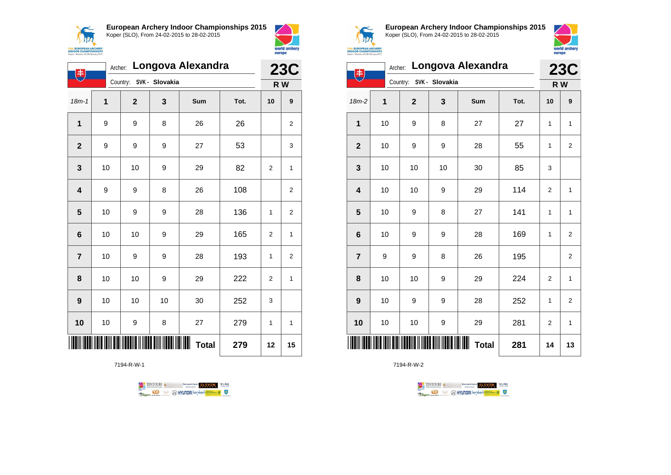



| 电               |    |                         |    | Archer: Longova Alexandra |      | <b>23C</b>     |                |
|-----------------|----|-------------------------|----|---------------------------|------|----------------|----------------|
|                 |    | Country: SVK - Slovakia |    |                           |      | R W            |                |
| $18m - 1$       | 1  | $\overline{2}$          | 3  | Sum                       | Tot. | 10             | 9              |
| 1               | 9  | 9                       | 8  | 26                        | 26   |                | 2              |
| $\overline{2}$  | 9  | 9                       | 9  | 27                        | 53   |                | 3              |
| 3               | 10 | 10                      | 9  | 29                        | 82   | $\overline{2}$ | $\mathbf{1}$   |
| 4               | 9  | 9                       | 8  | 26                        | 108  |                | 2              |
| 5               | 10 | 9                       | 9  | 28                        | 136  | 1              | 2              |
| $6\phantom{1}6$ | 10 | 10                      | 9  | 29                        | 165  | $\overline{2}$ | $\mathbf{1}$   |
| $\overline{7}$  | 10 | 9                       | 9  | 28                        | 193  | 1              | $\overline{2}$ |
| 8               | 10 | 10                      | 9  | 29                        | 222  | 2              | 1              |
| 9               | 10 | 10                      | 10 | 30                        | 252  | 3              |                |
| 10              | 10 | 9                       | 8  | 27                        | 279  | 1              | $\mathbf{1}$   |
|                 |    |                         |    | <b>Total</b>              | 279  | 12             | 15             |

7194-R-W-1





**European Archery Indoor Championships 2015** Koper (SLO), From 24-02-2015 to 28-02-2015



|                         | Longova Alexandra<br>Archer:<br>主 |              |                |                    |      |                |                |  |
|-------------------------|-----------------------------------|--------------|----------------|--------------------|------|----------------|----------------|--|
|                         |                                   | Country:     | SVK - Slovakia |                    |      | R W            |                |  |
| $18m-2$                 | 1                                 | $\mathbf{2}$ | 3              | Sum                | Tot. | 10             | 9              |  |
| 1                       | 10                                | 9            | 8              | 27                 | 27   | 1              | 1              |  |
| $\mathbf{2}$            | 10                                | 9            | 9              | 28                 | 55   | 1              | 2              |  |
| 3                       | 10                                | 10           | 10             | 30                 | 85   | 3              |                |  |
| $\overline{\mathbf{4}}$ | 10                                | 10           | 9              | 29                 | 114  | $\overline{2}$ | $\mathbf{1}$   |  |
| 5                       | 10                                | 9            | 8              | 27                 | 141  | 1              | $\mathbf{1}$   |  |
| $\bf 6$                 | 10                                | 9            | 9              | 28                 | 169  | 1              | $\overline{2}$ |  |
| $\overline{7}$          | 9                                 | 9            | 8              | 26                 | 195  |                | $\overline{2}$ |  |
| 8                       | 10                                | 10           | 9              | 29                 | 224  | $\overline{2}$ | $\mathbf{1}$   |  |
| $\boldsymbol{9}$        | 10                                | 9            | 9              | 28                 | 252  | 1              | $\overline{2}$ |  |
| 10                      | 10                                | 10           | 9              | 29                 | 281  | 2              | $\mathbf{1}$   |  |
|                         |                                   |              |                | ∭∭<br><b>Total</b> | 281  | 14             | 13             |  |

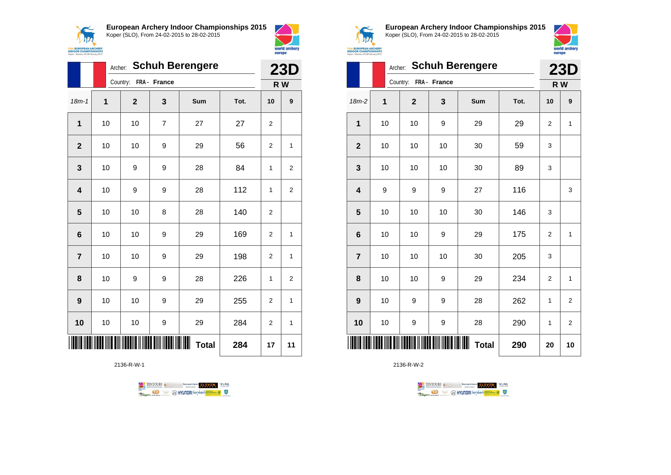



world archery

europe

|                         |    |              |              | Archer: Schuh Berengere |      |                | <b>23D</b>       |
|-------------------------|----|--------------|--------------|-------------------------|------|----------------|------------------|
|                         |    | Country:     | FRA - France |                         |      |                | R W              |
| $18m - 1$               | 1  | $\mathbf{2}$ | 3            | Sum                     | Tot. | 10             | $\boldsymbol{9}$ |
| 1                       | 10 | 10           | 7            | 27                      | 27   | $\overline{2}$ |                  |
| $\overline{2}$          | 10 | 10           | 9            | 29                      | 56   | $\overline{2}$ | 1                |
| 3                       | 10 | 9            | 9            | 28                      | 84   | 1              | $\overline{2}$   |
| $\overline{\mathbf{4}}$ | 10 | 9            | 9            | 28                      | 112  | 1              | $\boldsymbol{2}$ |
| 5                       | 10 | 10           | 8            | 28                      | 140  | 2              |                  |
| $6\phantom{1}6$         | 10 | 10           | 9            | 29                      | 169  | $\overline{2}$ | 1                |
| $\overline{7}$          | 10 | 10           | 9            | 29                      | 198  | $\overline{2}$ | 1                |
| 8                       | 10 | 9            | 9            | 28                      | 226  | 1              | $\overline{2}$   |
| 9                       | 10 | 10           | 9            | 29                      | 255  | 2              | 1                |
| 10                      | 10 | 10           | 9            | 29                      | 284  | 2              | 1                |
|                         |    |              |              | <b>Total</b>            | 284  | 17             | 11               |

2136-R-W-1





**European Archery Indoor Championships 2015** Koper (SLO), From 24-02-2015 to 28-02-2015



|                         | <b>ISth EUROPEAN ARCHERY<br/>INDOOR CHAMPIONSHIPS</b><br>in 24-28 February 2015 |              |              |                        |      |                |                |  |  |  |
|-------------------------|---------------------------------------------------------------------------------|--------------|--------------|------------------------|------|----------------|----------------|--|--|--|
|                         | Archer:                                                                         |              |              | <b>Schuh Berengere</b> |      |                | <b>23D</b>     |  |  |  |
|                         |                                                                                 | Country:     | FRA - France |                        |      |                | R W            |  |  |  |
| $18m-2$                 | 1                                                                               | $\mathbf{2}$ | 3            | Sum                    | Tot. | 10             | 9              |  |  |  |
| $\mathbf{1}$            | 10                                                                              | 10           | 9            | 29                     | 29   | $\overline{2}$ | $\mathbf{1}$   |  |  |  |
| $\mathbf{2}$            | 10                                                                              | 10           | 10           | 30                     | 59   | 3              |                |  |  |  |
| 3                       | 10                                                                              | 10           | 10           | 30                     | 89   | 3              |                |  |  |  |
| $\overline{\mathbf{4}}$ | 9                                                                               | 9            | 9            | 27                     | 116  |                | 3              |  |  |  |
| 5                       | 10                                                                              | 10           | 10           | 30                     | 146  | 3              |                |  |  |  |
| 6                       | 10                                                                              | 10           | 9            | 29                     | 175  | $\overline{2}$ | $\mathbf{1}$   |  |  |  |
| $\overline{7}$          | 10                                                                              | 10           | 10           | 30                     | 205  | 3              |                |  |  |  |
| 8                       | 10                                                                              | 10           | 9            | 29                     | 234  | $\overline{2}$ | $\mathbf{1}$   |  |  |  |
| 9                       | 10                                                                              | 9            | 9            | 28                     | 262  | 1              | $\overline{2}$ |  |  |  |
| 10                      | 10                                                                              | 9            | 9            | 28                     | 290  | 1              | $\overline{2}$ |  |  |  |
|                         |                                                                                 |              |              | <b>Total</b>           | 290  | 20             | 10             |  |  |  |

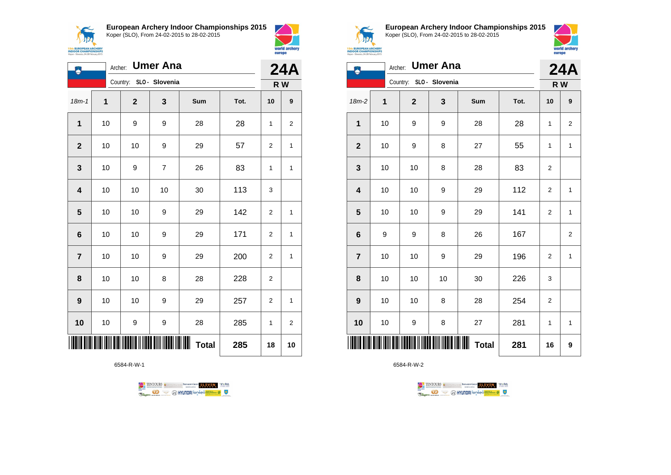**15th EUROPEAN ARCH<br>INDOOR CHAMPIONS**<br>Koper - Slovenia, 24-28 Februar

**European Archery Indoor Championships 2015** Koper (SLO), From 24-02-2015 to 28-02-2015





| 凩                | Archer: |                         | <b>Umer Ana</b> |                    |      | <b>24A</b>     |                  |
|------------------|---------|-------------------------|-----------------|--------------------|------|----------------|------------------|
|                  |         | Country: SLO - Slovenia |                 |                    |      |                | R W              |
| $18m - 1$        | 1       | $\mathbf{2}$            | 3               | Sum                | Tot. | 10             | $\boldsymbol{9}$ |
| 1                | 10      | 9                       | 9               | 28                 | 28   | 1              | $\overline{2}$   |
| $\mathbf{2}$     | 10      | 10                      | 9               | 29                 | 57   | 2              | 1                |
| $\mathbf 3$      | 10      | 9                       | $\overline{7}$  | 26                 | 83   | 1              | $\mathbf{1}$     |
| 4                | 10      | 10                      | 10              | 30                 | 113  | 3              |                  |
| 5                | 10      | 10                      | 9               | 29                 | 142  | $\overline{2}$ | 1                |
| $6\phantom{1}$   | 10      | 10                      | 9               | 29                 | 171  | $\overline{2}$ | $\mathbf{1}$     |
| $\overline{7}$   | 10      | 10                      | 9               | 29                 | 200  | 2              | 1                |
| 8                | 10      | 10                      | 8               | 28                 | 228  | $\overline{2}$ |                  |
| $\boldsymbol{9}$ | 10      | 10                      | 9               | 29                 | 257  | 2              | 1                |
| 10               | 10      | 9                       | 9               | 28                 | 285  | 1              | $\overline{2}$   |
|                  |         |                         |                 | ∭∭<br><b>Total</b> | 285  | 18             | 10               |

6584-R-W-1





**European Archery Indoor Championships 2015** Koper (SLO), From 24-02-2015 to 28-02-2015



| зιх                                                 |  |
|-----------------------------------------------------|--|
| <b>EUROPEAN ARCHERY</b><br><b>OOR CHAMPIONSHIPS</b> |  |
| r - Slovenia, 24-28 February 2015                   |  |

|                         | Archer: |                         | <b>Umer Ana</b> |                   |      | <b>24A</b>     |                |  |
|-------------------------|---------|-------------------------|-----------------|-------------------|------|----------------|----------------|--|
|                         |         | Country: SLO - Slovenia |                 |                   |      |                | R W            |  |
| $18m-2$                 | 1       | $\mathbf{2}$            | 3               | Sum               | Tot. | 10             | 9              |  |
| $\mathbf 1$             | 10      | 9                       | 9               | 28                | 28   | 1              | $\mathbf 2$    |  |
| $\mathbf{2}$            | 10      | 9                       | 8               | 27                | 55   | 1              | 1              |  |
| $\mathbf{3}$            | 10      | 10                      | 8               | 28                | 83   | $\overline{c}$ |                |  |
| $\overline{\mathbf{4}}$ | 10      | 10                      | 9               | 29                | 112  | $\overline{2}$ | $\mathbf{1}$   |  |
| 5                       | 10      | 10                      | 9               | 29                | 141  | 2              | 1              |  |
| $6\phantom{a}$          | 9       | 9                       | 8               | 26                | 167  |                | $\overline{2}$ |  |
| $\overline{7}$          | 10      | 10                      | 9               | 29                | 196  | $\overline{c}$ | 1              |  |
| 8                       | 10      | 10                      | 10              | 30                | 226  | 3              |                |  |
| 9                       | 10      | 10                      | 8               | 28                | 254  | 2              |                |  |
| 10                      | 10      | 9                       | 8               | 27                | 281  | 1              | $\mathbf{1}$   |  |
| ║║║                     |         |                         |                 | ┉<br><b>Total</b> | 281  | 16             | 9              |  |

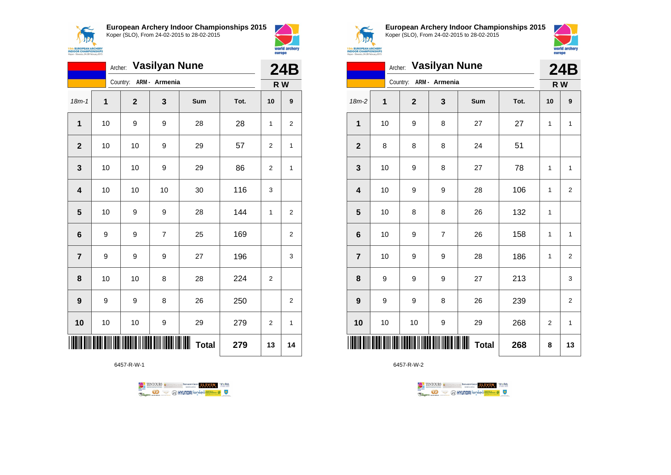

**European Archery Indoor Championships 2015**



|                         |    | Archer: Vasilyan Nune  |                |              |      | 24B            |                |
|-------------------------|----|------------------------|----------------|--------------|------|----------------|----------------|
|                         |    | Country: ARM - Armenia |                |              |      | R W            |                |
| $18m - 1$               | 1  | $\overline{2}$         | 3              | Sum          | Tot. | 10             | 9              |
| $\mathbf{1}$            | 10 | 9                      | 9              | 28           | 28   | 1              | $\overline{2}$ |
| $\mathbf{2}$            | 10 | 10                     | 9              | 29           | 57   | 2              | 1              |
| $\mathbf{3}$            | 10 | 10                     | 9              | 29           | 86   | $\overline{2}$ | 1              |
| $\overline{\mathbf{4}}$ | 10 | 10                     | 10             | 30           | 116  | 3              |                |
| 5                       | 10 | 9                      | 9              | 28           | 144  | 1              | $\overline{2}$ |
| $6\phantom{1}6$         | 9  | 9                      | $\overline{7}$ | 25           | 169  |                | $\overline{2}$ |
| $\overline{7}$          | 9  | 9                      | 9              | 27           | 196  |                | 3              |
| 8                       | 10 | 10                     | 8              | 28           | 224  | $\overline{2}$ |                |
| 9                       | 9  | 9                      | 8              | 26           | 250  |                | $\overline{2}$ |
| 10                      | 10 | 10                     | 9              | 29           | 279  | $\overline{2}$ | 1              |
| ║║                      |    |                        |                | <b>Total</b> | 279  | 13             | 14             |

6457-R-W-1





world archery

europe

**European Archery Indoor Championships 2015** Koper (SLO), From 24-02-2015 to 28-02-2015



|                         | Archer:     |                        | <b>Vasilyan Nune</b> |              |      | <b>24B</b>     |                |
|-------------------------|-------------|------------------------|----------------------|--------------|------|----------------|----------------|
|                         |             | Country: ARM - Armenia |                      |              |      |                | R W            |
| $18m-2$                 | $\mathbf 1$ | $\mathbf{2}$           | 3                    | Sum          | Tot. | 10             | 9              |
| $\mathbf 1$             | 10          | 9                      | 8                    | 27           | 27   | 1              | 1              |
| $\mathbf{2}$            | 8           | 8                      | 8                    | 24           | 51   |                |                |
| $\mathbf{3}$            | 10          | 9                      | 8                    | 27           | 78   | 1              | 1              |
| $\overline{\mathbf{4}}$ | 10          | 9                      | 9                    | 28           | 106  | 1              | $\overline{2}$ |
| $\overline{\mathbf{5}}$ | 10          | 8                      | 8                    | 26           | 132  | 1              |                |
| $\bf 6$                 | 10          | 9                      | $\overline{7}$       | 26           | 158  | 1              | 1              |
| $\overline{7}$          | $10$        | 9                      | 9                    | 28           | 186  | 1              | $\overline{2}$ |
| 8                       | 9           | 9                      | 9                    | 27           | 213  |                | 3              |
| 9                       | 9           | 9                      | 8                    | 26           | 239  |                | $\overline{2}$ |
| 10                      | 10          | 10                     | 9                    | 29           | 268  | $\overline{c}$ | 1              |
| IIIII                   |             |                        |                      | <b>Total</b> | 268  | 8              | 13             |

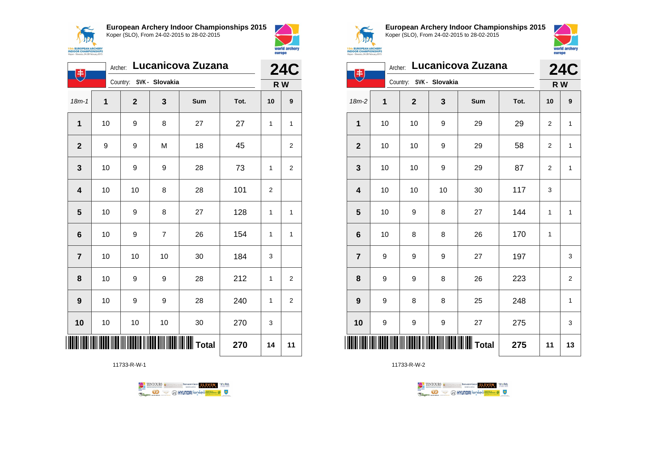



| 电                       |    | Archer:        |                         | Lucanicova Zuzana |      | <b>24C</b>     |                |
|-------------------------|----|----------------|-------------------------|-------------------|------|----------------|----------------|
|                         |    |                | Country: SVK - Slovakia |                   |      |                | R W            |
| $18m - 1$               | 1  | $\overline{2}$ | 3                       | Sum               | Tot. | 10             | 9              |
| 1                       | 10 | 9              | 8                       | 27                | 27   | 1              | $\mathbf{1}$   |
| $\overline{2}$          | 9  | 9              | M                       | 18                | 45   |                | 2              |
| 3                       | 10 | 9              | 9                       | 28                | 73   | 1              | 2              |
| $\overline{\mathbf{4}}$ | 10 | 10             | 8                       | 28                | 101  | $\overline{2}$ |                |
| 5                       | 10 | 9              | 8                       | 27                | 128  | $\mathbf{1}$   | 1              |
| $6\phantom{1}6$         | 10 | 9              | $\overline{7}$          | 26                | 154  | $\mathbf{1}$   | $\mathbf{1}$   |
| $\overline{7}$          | 10 | 10             | 10                      | 30                | 184  | 3              |                |
| 8                       | 10 | 9              | 9                       | 28                | 212  | $\mathbf{1}$   | 2              |
| 9                       | 10 | 9              | 9                       | 28                | 240  | $\mathbf{1}$   | $\overline{2}$ |
| 10                      | 10 | 10             | 10                      | 30                | 270  | 3              |                |
|                         |    |                |                         |                   | 270  | 14             | 11             |

11733-R-W-1





**European Archery Indoor Championships 2015** Koper (SLO), From 24-02-2015 to 28-02-2015



| 电                       | Archer: |                         |                  | Lucanicova Zuzana |      | <b>24C</b>   |                |
|-------------------------|---------|-------------------------|------------------|-------------------|------|--------------|----------------|
|                         |         | Country: SVK - Slovakia |                  |                   |      |              | R W            |
| 18m-2                   | 1       | $\mathbf{2}$            | 3                | Sum               | Tot. | 10           | 9              |
| 1                       | 10      | 10                      | 9                | 29                | 29   | 2            | $\mathbf{1}$   |
| $\mathbf 2$             | 10      | 10                      | 9                | 29                | 58   | 2            | 1              |
| 3                       | 10      | 10                      | $\boldsymbol{9}$ | 29                | 87   | 2            | $\mathbf{1}$   |
| $\overline{\mathbf{4}}$ | 10      | 10                      | 10               | 30                | 117  | 3            |                |
| 5                       | 10      | 9                       | 8                | 27                | 144  | 1            | $\mathbf{1}$   |
| $6\phantom{1}6$         | 10      | 8                       | 8                | 26                | 170  | $\mathbf{1}$ |                |
| $\overline{7}$          | 9       | 9                       | 9                | 27                | 197  |              | 3              |
| 8                       | 9       | 9                       | 8                | 26                | 223  |              | $\overline{2}$ |
| 9                       | 9       | 8                       | 8                | 25                | 248  |              | 1              |
| 10                      | 9       | 9                       | 9                | 27                | 275  |              | 3              |
|                         |         |                         |                  |                   | 275  | 11           | 13             |

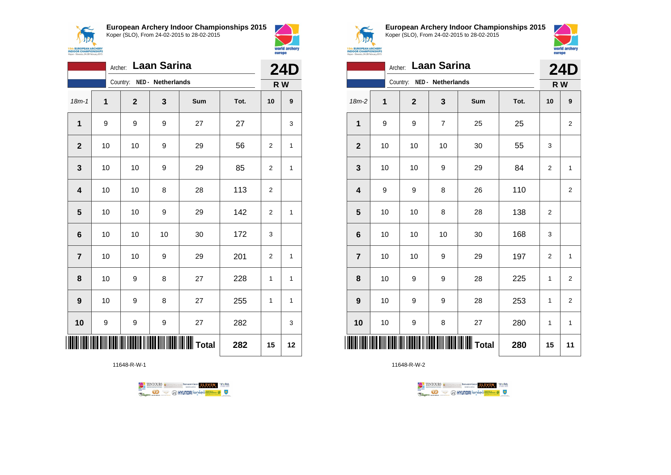$\sqrt{N}$ **15th EUROPEAN ARCHERY**<br>INDOOR CHAMPIONSHIPS<br>Koper - Slovenia, 24-28 February 2015 **European Archery Indoor Championships 2015** Koper (SLO), From 24-02-2015 to 28-02-2015



|                         | Archer: |             | Laan Sarina       |                             |      | <b>24D</b>     |                  |
|-------------------------|---------|-------------|-------------------|-----------------------------|------|----------------|------------------|
|                         |         | Country:    | NED - Netherlands |                             |      |                | R W              |
| $18m - 1$               | 1       | $\mathbf 2$ | 3                 | Sum                         | Tot. | 10             | $\boldsymbol{9}$ |
| $\mathbf{1}$            | 9       | 9           | 9                 | 27                          | 27   |                | 3                |
| $\mathbf{2}$            | 10      | 10          | 9                 | 29                          | 56   | 2              | $\mathbf{1}$     |
| $\mathbf 3$             | 10      | 10          | 9                 | 29                          | 85   | $\overline{2}$ | $\mathbf{1}$     |
| $\overline{\mathbf{4}}$ | 10      | 10          | 8                 | 28                          | 113  | $\overline{2}$ |                  |
| $\overline{\mathbf{5}}$ | 10      | 10          | 9                 | 29                          | 142  | $\overline{2}$ | 1                |
| $6\phantom{1}6$         | 10      | 10          | 10                | 30                          | 172  | 3              |                  |
| $\overline{7}$          | 10      | 10          | 9                 | 29                          | 201  | $\overline{2}$ | $\mathbf{1}$     |
| 8                       | 10      | 9           | 8                 | 27                          | 228  | 1              | $\mathbf{1}$     |
| $\boldsymbol{9}$        | 10      | 9           | 8                 | 27                          | 255  | 1              | $\mathbf{1}$     |
| 10                      | 9       | 9           | 9                 | 27                          | 282  |                | 3                |
| Ш                       |         |             |                   | <b>   </b>            Total | 282  | 15             | 12               |

11648-R-W-1





**European Archery Indoor Championships 2015** Koper (SLO), From 24-02-2015 to 28-02-2015



| Laan Sarina<br>Archer: |      |                            |                |              |      | <b>24D</b>   |                         |
|------------------------|------|----------------------------|----------------|--------------|------|--------------|-------------------------|
|                        |      | Country: NED - Netherlands |                |              |      | R W          |                         |
| 18m-2                  | 1    | $\mathbf 2$                | 3              | Sum          | Tot. | 10           | 9                       |
| 1                      | 9    | 9                          | $\overline{7}$ | 25           | 25   |              | $\overline{c}$          |
| $\mathbf{2}$           | 10   | 10                         | 10             | 30           | 55   | 3            |                         |
| 3                      | 10   | 10                         | 9              | 29           | 84   | 2            | $\mathbf{1}$            |
| 4                      | 9    | 9                          | 8              | 26           | 110  |              | $\overline{c}$          |
| 5                      | 10   | $10\,$                     | 8              | 28           | 138  | 2            |                         |
| 6                      | 10   | 10                         | 10             | 30           | 168  | 3            |                         |
| $\overline{7}$         | 10   | 10                         | 9              | 29           | 197  | 2            | $\mathbf{1}$            |
| 8                      | 10   | 9                          | 9              | 28           | 225  | 1            | $\overline{2}$          |
| $\boldsymbol{9}$       | 10   | 9                          | 9              | 28           | 253  | 1            | $\overline{\mathbf{c}}$ |
| 10                     | $10$ | 9                          | 8              | 27           | 280  | $\mathbf{1}$ | $\mathbf 1$             |
|                        |      |                            |                | <b>Total</b> | 280  | 15           | 11                      |

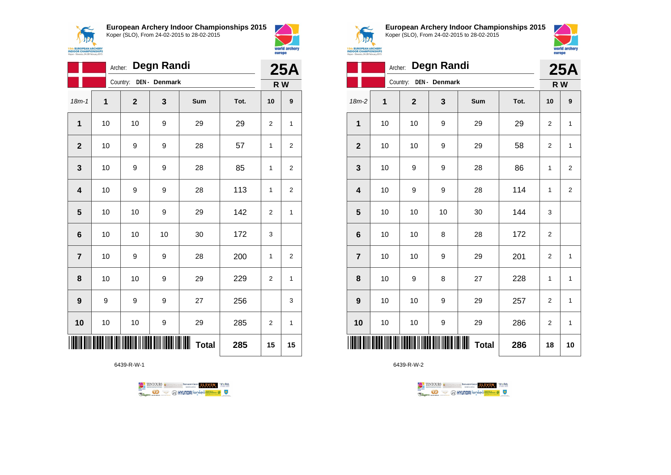**AN 15th EUROPEAN ARCHERY**<br>INDOOR CHAMPIONSHIP **European Archery Indoor Championships 2015**



Koper (SLO), From 24-02-2015 to 28-02-2015 world archery europe

| <b>Degn Randi</b><br>Archer: |                           |             |    |                   |      | <b>25A</b>     |                |  |
|------------------------------|---------------------------|-------------|----|-------------------|------|----------------|----------------|--|
|                              | DEN - Denmark<br>Country: |             |    |                   |      |                | R W            |  |
| $18m - 1$                    | 1                         | $\mathbf 2$ | 3  | Sum               | Tot. | 10             | 9              |  |
| 1                            | 10                        | 10          | 9  | 29                | 29   | $\overline{2}$ | $\mathbf{1}$   |  |
| $\overline{2}$               | 10                        | 9           | 9  | 28                | 57   | 1              | $\overline{2}$ |  |
| 3                            | 10                        | 9           | 9  | 28                | 85   | 1              | $\overline{2}$ |  |
| 4                            | 10                        | 9           | 9  | 28                | 113  | 1              | $\overline{2}$ |  |
| 5                            | 10                        | 10          | 9  | 29                | 142  | $\overline{2}$ | $\mathbf{1}$   |  |
| $6\phantom{1}6$              | 10                        | 10          | 10 | 30                | 172  | 3              |                |  |
| $\overline{7}$               | 10                        | 9           | 9  | 28                | 200  | 1              | 2              |  |
| 8                            | 10                        | 10          | 9  | 29                | 229  | 2              | $\mathbf{1}$   |  |
| 9                            | 9                         | 9           | 9  | 27                | 256  |                | 3              |  |
| 10                           | 10                        | 10          | 9  | 29                | 285  | $\overline{2}$ | $\mathbf{1}$   |  |
|                              |                           |             |    | Ш<br><b>Total</b> | 285  | 15             | 15             |  |

6439-R-W-1





**European Archery Indoor Championships 2015** Koper (SLO), From 24-02-2015 to 28-02-2015



| <b>EUROPEAN ARCHERY</b><br><b>OOR CHAMPIONSHIPS</b><br>r - Slovenia, 24-28 February 2015 | ЗΙΧ |  |
|------------------------------------------------------------------------------------------|-----|--|
|                                                                                          |     |  |
|                                                                                          |     |  |

| <b>Degn Randi</b><br>Archer: |                          |              |    |                        |      | <b>25A</b>     |                |
|------------------------------|--------------------------|--------------|----|------------------------|------|----------------|----------------|
|                              | Country:<br>DEN- Denmark |              |    |                        |      |                |                |
| $18m-2$                      | 1                        | $\mathbf{2}$ | 3  | Sum                    | Tot. | 10             | 9              |
| $\mathbf{1}$                 | 10                       | 10           | 9  | 29                     | 29   | $\overline{2}$ | $\mathbf{1}$   |
| $\mathbf{2}$                 | 10                       | 10           | 9  | 29                     | 58   | $\overline{2}$ | 1              |
| $\mathbf{3}$                 | 10                       | 9            | 9  | 28                     | 86   | 1              | 2              |
| $\overline{\mathbf{4}}$      | 10                       | 9            | 9  | 28                     | 114  | 1              | $\overline{c}$ |
| 5                            | 10                       | 10           | 10 | 30                     | 144  | 3              |                |
| $\bf 6$                      | 10                       | 10           | 8  | 28                     | 172  | $\overline{2}$ |                |
| $\overline{7}$               | 10                       | 10           | 9  | 29                     | 201  | $\overline{c}$ | 1              |
| 8                            | 10                       | 9            | 8  | 27                     | 228  | 1              | $\mathbf{1}$   |
| 9                            | 10                       | 10           | 9  | 29                     | 257  | $\overline{2}$ | 1              |
| 10                           | 10                       | 10           | 9  | 29                     | 286  | $\overline{2}$ | 1              |
| ║║║                          |                          |              |    | IIIIII<br><b>Total</b> | 286  | 18             | 10             |

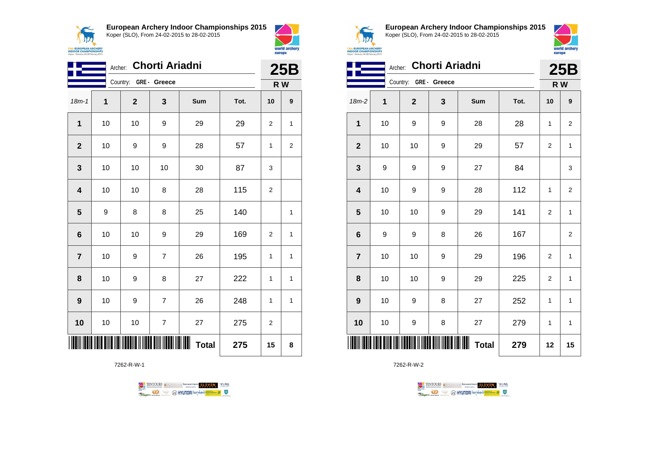



| Chorti Ariadni<br>Archer: |    |              |                |                   |      | <b>25B</b>   |                  |
|---------------------------|----|--------------|----------------|-------------------|------|--------------|------------------|
|                           |    | Country:     | GRE- Greece    |                   |      | R W          |                  |
| $18m - 1$                 | 1  | $\mathbf{2}$ | 3              | Sum               | Tot. | 10           | $\boldsymbol{9}$ |
| $\mathbf{1}$              | 10 | 10           | 9              | 29                | 29   | 2            | 1                |
| $\mathbf{2}$              | 10 | 9            | 9              | 28                | 57   | $\mathbf{1}$ | $\mathbf{2}$     |
| $\mathbf 3$               | 10 | 10           | 10             | 30                | 87   | 3            |                  |
| $\overline{\mathbf{4}}$   | 10 | 10           | 8              | 28                | 115  | 2            |                  |
| 5                         | 9  | 8            | 8              | 25                | 140  |              | 1                |
| $6\phantom{1}$            | 10 | 10           | 9              | 29                | 169  | 2            | 1                |
| $\overline{7}$            | 10 | 9            | $\overline{7}$ | 26                | 195  | $\mathbf{1}$ | 1                |
| 8                         | 10 | 9            | 8              | 27                | 222  | 1            | 1                |
| $\boldsymbol{9}$          | 10 | 9            | $\overline{7}$ | 26                | 248  | 1            | 1                |
| 10                        | 10 | $10$         | $\overline{7}$ | 27                | 275  | 2            |                  |
|                           |    |              |                | Ш<br><b>Total</b> | 275  | 15           | 8                |

7262-R-W-1





**European Archery Indoor Championships 2015** Koper (SLO), From 24-02-2015 to 28-02-2015



| Chorti Ariadni<br>Archer: |    |                       |             |                     |      | 25B            |                |
|---------------------------|----|-----------------------|-------------|---------------------|------|----------------|----------------|
|                           |    | Country: GRE - Greece |             |                     |      | R W            |                |
| 18m-2                     | 1  | $\mathbf{2}$          | $\mathbf 3$ | Sum                 | Tot. | 10             | 9              |
| 1                         | 10 | 9                     | 9           | 28                  | 28   | 1              | $\overline{2}$ |
| $\overline{2}$            | 10 | 10                    | 9           | 29                  | 57   | $\overline{2}$ | 1              |
| 3                         | 9  | 9                     | 9           | 27                  | 84   |                | 3              |
| $\overline{\mathbf{4}}$   | 10 | 9                     | 9           | 28                  | 112  | $\mathbf{1}$   | $\overline{2}$ |
| 5                         | 10 | 10                    | 9           | 29                  | 141  | $\overline{2}$ | $\mathbf{1}$   |
| 6                         | 9  | 9                     | 8           | 26                  | 167  |                | $\overline{2}$ |
| $\overline{7}$            | 10 | 10                    | 9           | 29                  | 196  | $\overline{2}$ | $\mathbf{1}$   |
| 8                         | 10 | 10                    | 9           | 29                  | 225  | $\overline{2}$ | $\mathbf{1}$   |
| 9                         | 10 | 9                     | 8           | 27                  | 252  | 1              | $\mathbf{1}$   |
| 10                        | 10 | 9                     | 8           | 27                  | 279  | 1              | $\mathbf{1}$   |
|                           |    |                       |             | ║║║<br><b>Total</b> | 279  | 12             | 15             |